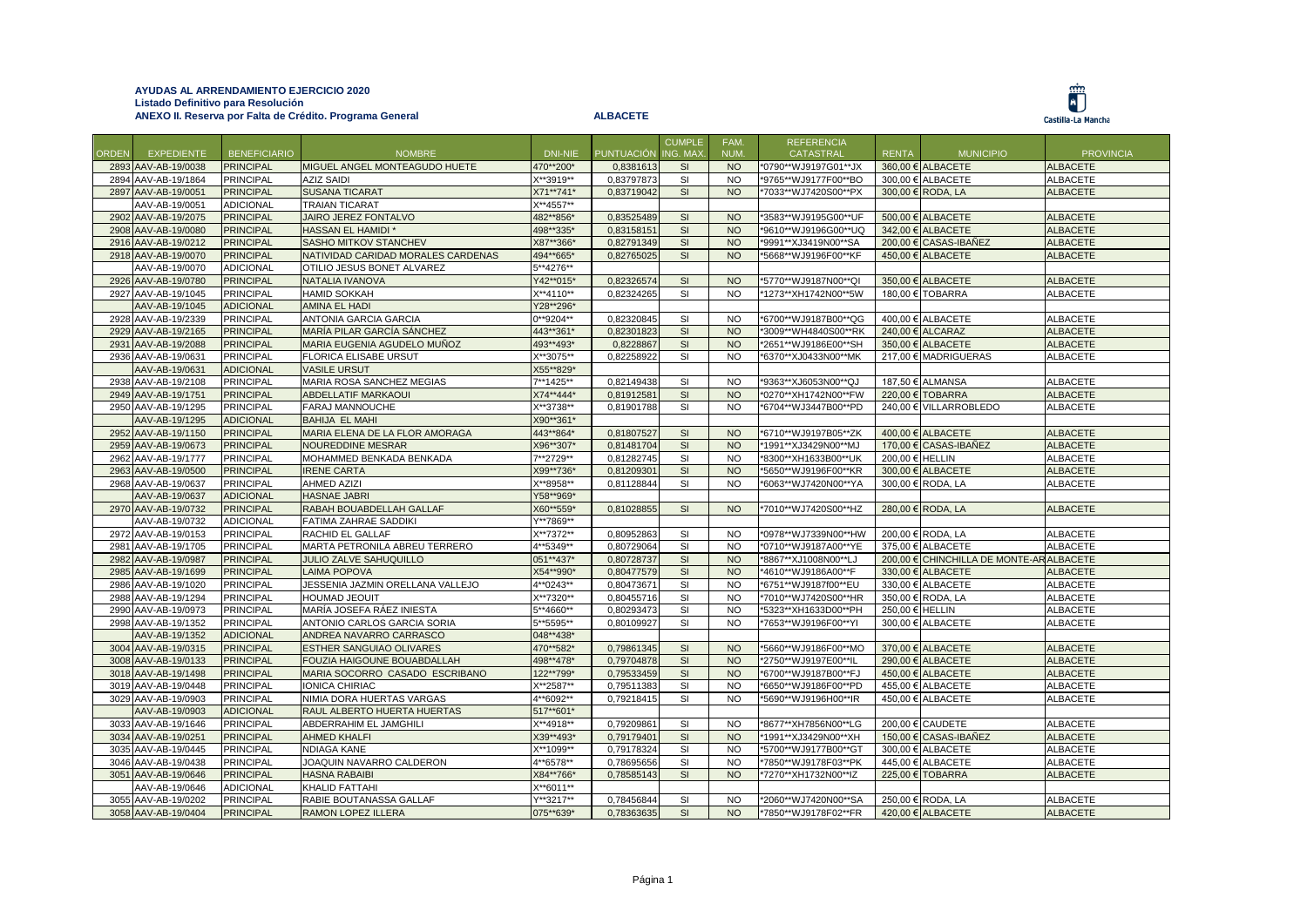

|              |                     |                     |                                    |           |                   | <b>CUMPLE</b> | FAM.      | <b>REFERENCIA</b>    |                 |                                          |                  |
|--------------|---------------------|---------------------|------------------------------------|-----------|-------------------|---------------|-----------|----------------------|-----------------|------------------------------------------|------------------|
| <b>ORDEN</b> | <b>EXPEDIENTE</b>   | <b>BENEFICIARIO</b> | <b>NOMBRE</b>                      | DNI-NIE   | <b>PUNTUACIÓN</b> | ING. MAX      | NUM.      | CATASTRAL            | <b>RENTA</b>    | <b>MUNICIPIO</b>                         | <b>PROVINCIA</b> |
|              | 2893 AAV-AB-19/0038 | <b>PRINCIPAL</b>    | MIGUEL ANGEL MONTEAGUDO HUETE      | 470**200* | 0,8381613         | SI            | <b>NO</b> | *0790**WJ9197G01**JX |                 | 360,00 € ALBACETE                        | <b>ALBACETE</b>  |
|              | 2894 AAV-AB-19/1864 | <b>PRINCIPAL</b>    | <b>AZIZ SAIDI</b>                  | X**3919** | 0,83797873        | SI            | <b>NO</b> | *9765**WJ9177F00**BO |                 | 300,00 € ALBACETE                        | ALBACETE         |
|              | 2897 AAV-AB-19/0051 | <b>PRINCIPAL</b>    | <b>SUSANA TICARAT</b>              | X71**741* | 0,83719042        | SI            | <b>NO</b> | *7033**WJ7420S00**PX |                 | 300,00 € RODA, LA                        | <b>ALBACETE</b>  |
|              | AAV-AB-19/0051      | <b>ADICIONAL</b>    | <b>TRAIAN TICARAT</b>              | X**4557** |                   |               |           |                      |                 |                                          |                  |
|              | 2902 AAV-AB-19/2075 | <b>PRINCIPAL</b>    | JAIRO JEREZ FONTALVO               | 482**856* | 0,83525489        | SI            | <b>NO</b> | *3583**WJ9195G00**UF |                 | 500,00 € ALBACETE                        | <b>ALBACETE</b>  |
|              | 2908 AAV-AB-19/0080 | <b>PRINCIPAL</b>    | <b>HASSAN EL HAMIDI*</b>           | 498**335* | 0,83158151        | SI            | <b>NO</b> | *9610**WJ9196G00**UQ |                 | 342.00 € ALBACETE                        | <b>ALBACETE</b>  |
|              | 2916 AAV-AB-19/0212 | <b>PRINCIPAL</b>    | SASHO MITKOV STANCHEV              | X87**366* | 0,82791349        | SI            | <b>NO</b> | *9991**XJ3419N00**SA |                 | 200,00 € CASAS-IBAÑEZ                    | <b>ALBACETE</b>  |
|              | 2918 AAV-AB-19/0070 | <b>PRINCIPAL</b>    | NATIVIDAD CARIDAD MORALES CARDENAS | 494**665* | 0,82765025        | <b>SI</b>     | <b>NO</b> | *5668**WJ9196F00**KF |                 | 450,00 € ALBACETE                        | <b>ALBACETE</b>  |
|              | AAV-AB-19/0070      | <b>ADICIONAL</b>    | OTILIO JESUS BONET ALVAREZ         | 5**4276** |                   |               |           |                      |                 |                                          |                  |
|              | 2926 AAV-AB-19/0780 | <b>PRINCIPAL</b>    | NATALIA IVANOVA                    | Y42**015* | 0.82326574        | <b>SI</b>     | <b>NO</b> | *5770**WJ9187N00**QI |                 | 350.00 € ALBACETE                        | <b>ALBACETE</b>  |
|              | 2927 AAV-AB-19/1045 | <b>PRINCIPAL</b>    | <b>HAMID SOKKAH</b>                | X**4110** | 0,82324265        | <b>SI</b>     | <b>NO</b> | *1273**XH1742N00**5W |                 | 180,00 € TOBARRA                         | <b>ALBACETE</b>  |
|              | AAV-AB-19/1045      | <b>ADICIONAL</b>    | <b>AMINA EL HADI</b>               | Y28**296* |                   |               |           |                      |                 |                                          |                  |
|              | 2928 AAV-AB-19/2339 | <b>PRINCIPAL</b>    | <b>ANTONIA GARCIA GARCIA</b>       | 0**9204** | 0,82320845        | <b>SI</b>     | <b>NO</b> | *6700**WJ9187B00**QG |                 | 400,00 € ALBACETE                        | <b>ALBACETE</b>  |
|              | 2929 AAV-AB-19/2165 | <b>PRINCIPAL</b>    | MARÍA PILAR GARCÍA SÁNCHEZ         | 443**361* | 0,82301823        | SI            | <b>NO</b> | *3009**WH4840S00**RK |                 | $240.00 \in$ ALCARAZ                     | <b>ALBACETE</b>  |
|              | 2931 AAV-AB-19/2088 | <b>PRINCIPAL</b>    | MARIA EUGENIA AGUDELO MUÑOZ        | 493**493* | 0,8228867         | SI            | <b>NO</b> | *2651**WJ9186E00**SH |                 | 350,00 € ALBACETE                        | <b>ALBACETE</b>  |
|              | 2936 AAV-AB-19/0631 | <b>PRINCIPAL</b>    | <b>FLORICA ELISABE URSUT</b>       | X**3075** | 0,82258922        | <b>SI</b>     | <b>NO</b> | *6370**XJ0433N00**MK |                 | 217.00 € MADRIGUERAS                     | <b>ALBACETE</b>  |
|              | AAV-AB-19/0631      | <b>ADICIONAL</b>    | <b>VASILE URSUT</b>                | X55**829* |                   |               |           |                      |                 |                                          |                  |
|              | 2938 AAV-AB-19/2108 | <b>PRINCIPAL</b>    | MARIA ROSA SANCHEZ MEGIAS          | 7**1425** | 0,82149438        | <b>SI</b>     | <b>NO</b> | *9363**XJ6053N00**QJ |                 | 187,50 € ALMANSA                         | <b>ALBACETE</b>  |
|              | 2949 AAV-AB-19/1751 | <b>PRINCIPAL</b>    | <b>ABDELLATIF MARKAOUI</b>         | X74**444* | 0,81912581        | SI            | <b>NO</b> | *0270**XH1742N00**FW |                 | 220,00 € TOBARRA                         | <b>ALBACETE</b>  |
|              | 2950 AAV-AB-19/1295 | <b>PRINCIPAL</b>    | <b>FARAJ MANNOUCHE</b>             | X**3738** | 0,81901788        | <b>SI</b>     | <b>NO</b> | *6704**WJ3447B00**PD |                 | 240.00 € VILLARROBLEDO                   | <b>ALBACETE</b>  |
|              | AAV-AB-19/1295      | <b>ADICIONAL</b>    | <b>BAHIJA EL MAHI</b>              | X90**361* |                   |               |           |                      |                 |                                          |                  |
|              | 2952 AAV-AB-19/1150 | <b>PRINCIPAL</b>    | MARIA ELENA DE LA FLOR AMORAGA     | 443**864* | 0,81807527        | SI            | <b>NO</b> | *6710**WJ9197B05**ZK |                 | 400,00 € ALBACETE                        | <b>ALBACETE</b>  |
|              | 2959 AAV-AB-19/0673 | <b>PRINCIPAL</b>    | <b>NOUREDDINE MESRAR</b>           | X96**307* | 0,81481704        | SI            | <b>NO</b> | *1991**XJ3429N00**MJ |                 | 170,00 € CASAS-IBAÑEZ                    | <b>ALBACETE</b>  |
|              | 2962 AAV-AB-19/1777 | <b>PRINCIPAL</b>    | MOHAMMED BENKADA BENKADA           | 7**2729** | 0,81282745        | SI            | <b>NO</b> | *8300**XH1633B00**UK | 200,00 € HELLIN |                                          | <b>ALBACETE</b>  |
|              | 2963 AAV-AB-19/0500 | <b>PRINCIPAL</b>    | <b>IRENE CARTA</b>                 | X99**736* | 0,81209301        | SI            | <b>NO</b> | *5650**WJ9196F00**KR |                 | 300,00 € ALBACETE                        | <b>ALBACETE</b>  |
|              | 2968 AAV-AB-19/0637 | <b>PRINCIPAL</b>    | AHMED AZIZI                        | X**8958** | 0,81128844        | <b>SI</b>     | <b>NO</b> | *6063**WJ7420N00**YA |                 | 300,00 € RODA, LA                        | <b>ALBACETE</b>  |
|              | AAV-AB-19/0637      | <b>ADICIONAL</b>    | <b>HASNAE JABRI</b>                | Y58**969* |                   |               |           |                      |                 |                                          |                  |
|              | 2970 AAV-AB-19/0732 | <b>PRINCIPAL</b>    | RABAH BOUABDELLAH GALLAF           | X60**559* | 0,81028855        | SI            | <b>NO</b> | *7010**WJ7420S00**HZ |                 | 280,00 € RODA, LA                        | <b>ALBACETE</b>  |
|              | AAV-AB-19/0732      | <b>ADICIONAL</b>    | <b>FATIMA ZAHRAE SADDIKI</b>       | Y**7869** |                   |               |           |                      |                 |                                          |                  |
|              | 2972 AAV-AB-19/0153 | <b>PRINCIPAL</b>    | RACHID EL GALLAF                   | X**7372** | 0,80952863        | SI            | <b>NO</b> | *0978**WJ7339N00**HW |                 | 200,00 € RODA, LA                        | <b>ALBACETE</b>  |
|              | 2981 AAV-AB-19/1705 | <b>PRINCIPAL</b>    | MARTA PETRONILA ABREU TERRERO      | 4**5349** | 0,80729064        | <b>SI</b>     | <b>NO</b> | *0710**WJ9187A00**YE |                 | 375.00 € ALBACETE                        | <b>ALBACETE</b>  |
|              | 2982 AAV-AB-19/0987 | <b>PRINCIPAL</b>    | JULIO ZALVE SAHUQUILLO             | 051**437* | 0,80728737        | SI            | <b>NO</b> | *8867**XJ1008N00**LJ |                 | 200,00 € CHINCHILLA DE MONTE-AR ALBACETE |                  |
|              | 2985 AAV-AB-19/1699 | <b>PRINCIPAL</b>    | <b>LAIMA POPOVA</b>                | X54**990* | 0.80477579        | SI            | <b>NO</b> | *4610**WJ9186A00**F  |                 | 330.00 € ALBACETE                        | <b>ALBACETE</b>  |
|              | 2986 AAV-AB-19/1020 | <b>PRINCIPAL</b>    | JESSENIA JAZMIN ORELLANA VALLEJO   | 4**0243** | 0,80473671        | SI            | <b>NO</b> | *6751**WJ9187f00**EU |                 | 330,00 € ALBACETE                        | <b>ALBACETE</b>  |
|              | 2988 AAV-AB-19/1294 | <b>PRINCIPAL</b>    | <b>HOUMAD JEOUIT</b>               | X**7320** | 0,80455716        | SI            | <b>NO</b> | *7010**WJ7420S00**HR |                 | 350,00 € RODA, LA                        | <b>ALBACETE</b>  |
|              | 2990 AAV-AB-19/0973 | <b>PRINCIPAL</b>    | MARÍA JOSEFA RÁEZ INIESTA          | 5**4660** | 0,80293473        | SI            | <b>NO</b> | *5323**XH1633D00**PH | 250,00 € HELLIN |                                          | <b>ALBACETE</b>  |
|              | 2998 AAV-AB-19/1352 | <b>PRINCIPAL</b>    | ANTONIO CARLOS GARCIA SORIA        | 5**5595** | 0.80109927        | SI            | <b>NO</b> | *7653**WJ9196F00**YI |                 | 300,00 € ALBACETE                        | <b>ALBACETE</b>  |
|              | AAV-AB-19/1352      | <b>ADICIONAL</b>    | ANDREA NAVARRO CARRASCO            | 048**438* |                   |               |           |                      |                 |                                          |                  |
|              | 3004 AAV-AB-19/0315 | <b>PRINCIPAL</b>    | <b>ESTHER SANGUIAO OLIVARES</b>    | 470**582* | 0,79861345        | SI            | <b>NO</b> | *5660**WJ9186F00**MO |                 | 370,00 € ALBACETE                        | <b>ALBACETE</b>  |
|              | 3008 AAV-AB-19/0133 | <b>PRINCIPAL</b>    | FOUZIA HAIGOUNE BOUABDALLAH        | 498**478* | 0,79704878        | SI            | <b>NO</b> | *2750**WJ9197E00**IL |                 | 290,00 € ALBACETE                        | <b>ALBACETE</b>  |
|              | 3018 AAV-AB-19/1498 | <b>PRINCIPAL</b>    | MARIA SOCORRO CASADO ESCRIBANO     | 122**799* | 0,79533459        | SI            | <b>NO</b> | *6700**WJ9187B00**FJ |                 | 450,00 € ALBACETE                        | <b>ALBACETE</b>  |
|              | 3019 AAV-AB-19/0448 | <b>PRINCIPAL</b>    | <b>IONICA CHIRIAC</b>              | X**2587** | 0,79511383        | SI            | <b>NO</b> | *6650**WJ9186F00**PD |                 | 455,00 € ALBACETE                        | ALBACETE         |
|              | 3029 AAV-AB-19/0903 | <b>PRINCIPAL</b>    | NIMIA DORA HUERTAS VARGAS          | 4**6092** | 0,79218415        | <b>SI</b>     | <b>NO</b> | *5690**WJ9196H00**IR |                 | 450,00 € ALBACETE                        | <b>ALBACETE</b>  |
|              | AAV-AB-19/0903      | <b>ADICIONAL</b>    | RAUL ALBERTO HUERTA HUERTAS        | 517**601* |                   |               |           |                      |                 |                                          |                  |
|              | 3033 AAV-AB-19/1646 | <b>PRINCIPAL</b>    | ABDERRAHIM EL JAMGHILI             | X**4918** | 0,79209861        | <b>SI</b>     | <b>NO</b> | *8677**XH7856N00**LG |                 | 200.00 € CAUDETE                         | <b>ALBACETE</b>  |
|              | 3034 AAV-AB-19/0251 | <b>PRINCIPAL</b>    | <b>AHMED KHALFI</b>                | X39**493* | 0,79179401        | SI            | <b>NO</b> | *1991**XJ3429N00**XH |                 | 150,00 € CASAS-IBAÑEZ                    | <b>ALBACETE</b>  |
|              | 3035 AAV-AB-19/0445 | <b>PRINCIPAL</b>    | <b>NDIAGA KANE</b>                 | X**1099** | 0,79178324        | <b>SI</b>     | <b>NO</b> | *5700**WJ9177B00**GT |                 | 300,00 € ALBACETE                        | <b>ALBACETE</b>  |
|              | 3046 AAV-AB-19/0438 | PRINCIPAL           | JOAQUIN NAVARRO CALDERON           | 4**6578** | 0,78695656        | SI            | <b>NO</b> | *7850**WJ9178F03**PK |                 | 445,00 € ALBACETE                        | <b>ALBACETE</b>  |
|              | 3051 AAV-AB-19/0646 | <b>PRINCIPAL</b>    | <b>HASNA RABAIBI</b>               | X84**766* | 0,78585143        | SI            | <b>NO</b> | *7270**XH1732N00**IZ |                 | 225.00 € TOBARRA                         | <b>ALBACETE</b>  |
|              | AAV-AB-19/0646      | <b>ADICIONAL</b>    | KHALID FATTAHI                     | X**6011** |                   |               |           |                      |                 |                                          |                  |
|              | 3055 AAV-AB-19/0202 | <b>PRINCIPAL</b>    | RABIE BOUTANASSA GALLAF            | Y**3217** | 0,78456844        | <b>SI</b>     | <b>NO</b> | *2060**WJ7420N00**SA |                 | 250,00 € RODA, LA                        | <b>ALBACETE</b>  |
|              | 3058 AAV-AB-19/0404 | <b>PRINCIPAL</b>    | <b>RAMON LOPEZ ILLERA</b>          | 075**639* | 0,78363635        | SI            | NO        | *7850**WJ9178F02**FR |                 | 420,00 € ALBACETE                        | <b>ALBACETE</b>  |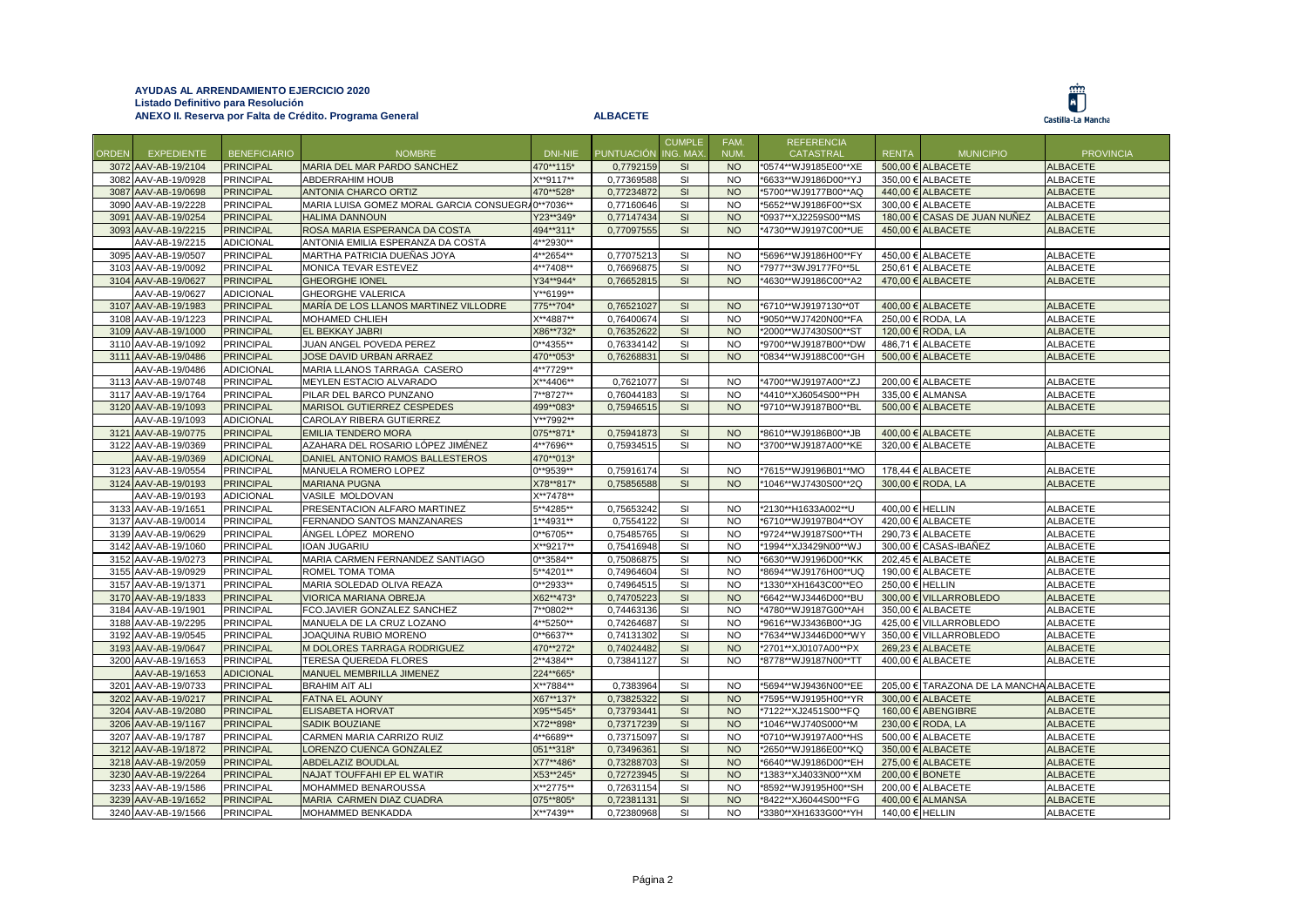

|       |                     |                     |                                                   |                     |                   | <b>CUMPLE</b>  | FAM.      | <b>REFERENCIA</b>    |                 |                                         |                  |
|-------|---------------------|---------------------|---------------------------------------------------|---------------------|-------------------|----------------|-----------|----------------------|-----------------|-----------------------------------------|------------------|
| ORDEN | <b>EXPEDIENTE</b>   | <b>BENEFICIARIO</b> | <b>NOMBRE</b>                                     | DNI-NIE             | <b>PUNTUACIÓN</b> | <b>NG. MAX</b> | NUM.      | CATASTRAL            | <b>RENTA</b>    | <b>MUNICIPIO</b>                        | <b>PROVINCIA</b> |
|       | 3072 AAV-AB-19/2104 | <b>PRINCIPAL</b>    | MARIA DEL MAR PARDO SANCHEZ                       | 470**115*           | 0,7792159         | <b>SI</b>      | NO.       | *0574**WJ9185E00**XE |                 | 500,00 € ALBACETE                       | <b>ALBACETE</b>  |
|       | 3082 AAV-AB-19/0928 | <b>PRINCIPAL</b>    | ABDERRAHIM HOUB                                   | X**9117**           | 0,77369588        | SI             | <b>NO</b> | *6633**WJ9186D00**YJ |                 | 350,00 € ALBACETE                       | <b>ALBACETE</b>  |
|       | 3087 AAV-AB-19/0698 | <b>PRINCIPAL</b>    | ANTONIA CHARCO ORTIZ                              | 470**528*           | 0,77234872        | SI             | <b>NO</b> | *5700**WJ9177B00**AQ |                 | 440,00 € ALBACETE                       | <b>ALBACETE</b>  |
|       | 3090 AAV-AB-19/2228 | <b>PRINCIPAL</b>    | MARIA LUISA GOMEZ MORAL GARCIA CONSUEGRA0**7036** |                     | 0,77160646        | SI             | <b>NO</b> | *5652**WJ9186F00**SX |                 | 300,00 € ALBACETE                       | <b>ALBACETE</b>  |
|       | 3091 AAV-AB-19/0254 | <b>PRINCIPAL</b>    | <b>HALIMA DANNOUN</b>                             | Y23**349*           | 0,77147434        | SI             | <b>NO</b> | *0937**XJ2259S00**MS |                 | 180,00 € CASAS DE JUAN NUÑEZ            | <b>ALBACETE</b>  |
|       | 3093 AAV-AB-19/2215 | <b>PRINCIPAL</b>    | ROSA MARIA ESPERANCA DA COSTA                     | 494**311*           | 0,77097555        | SI             | <b>NO</b> | *4730**WJ9197C00**UE |                 | 450,00 € ALBACETE                       | <b>ALBACETE</b>  |
|       | AAV-AB-19/2215      | <b>ADICIONAL</b>    | ANTONIA EMILIA ESPERANZA DA COSTA                 | 4**2930**           |                   |                |           |                      |                 |                                         |                  |
|       | 3095 AAV-AB-19/0507 | <b>PRINCIPAL</b>    | MARTHA PATRICIA DUEÑAS JOYA                       | 4**2654**           | 0,77075213        | SI             | <b>NO</b> | *5696**WJ9186H00**FY |                 | 450,00 € ALBACETE                       | ALBACETE         |
|       | 3103 AAV-AB-19/0092 | <b>PRINCIPAL</b>    | MONICA TEVAR ESTEVEZ                              | 4**7408**           | 0,76696875        | SI             | <b>NO</b> | *7977**3WJ9177F0**5L |                 | 250,61 € ALBACETE                       | <b>ALBACETE</b>  |
|       | 3104 AAV-AB-19/0627 | <b>PRINCIPAL</b>    | <b>GHEORGHE IONEL</b>                             | Y34**944*           | 0,76652815        | SI             | <b>NO</b> | *4630**WJ9186C00**A2 |                 | 470,00 € ALBACETE                       | <b>ALBACETE</b>  |
|       | AAV-AB-19/0627      | <b>ADICIONAL</b>    | <b>GHEORGHE VALERICA</b>                          | Y**6199**           |                   |                |           |                      |                 |                                         |                  |
|       | 3107 AAV-AB-19/1983 | <b>PRINCIPAL</b>    | MARÍA DE LOS LLANOS MARTINEZ VILLODRE             | 775**704*           | 0,76521027        | SI             | <b>NO</b> | *6710**WJ9197130**0T |                 | 400,00 € ALBACETE                       | <b>ALBACETE</b>  |
|       | 3108 AAV-AB-19/1223 | <b>PRINCIPAL</b>    | <b>MOHAMED CHLIEH</b>                             | X**4887**           | 0,76400674        | SI             | <b>NO</b> | *9050**WJ7420N00**FA |                 | 250,00 € RODA, LA                       | <b>ALBACETE</b>  |
|       | 3109 AAV-AB-19/1000 | <b>PRINCIPAL</b>    | EL BEKKAY JABRI                                   | X86**732*           | 0,76352622        | SI             | <b>NO</b> | *2000**WJ7430S00**ST |                 | 120,00 € RODA, LA                       | <b>ALBACETE</b>  |
|       | 3110 AAV-AB-19/1092 | <b>PRINCIPAL</b>    | JUAN ANGEL POVEDA PEREZ                           | $0***4355***$       | 0,76334142        | SI             | <b>NO</b> | *9700**WJ9187B00**DW |                 | 486,71 € ALBACETE                       | <b>ALBACETE</b>  |
|       | 3111 AAV-AB-19/0486 | <b>PRINCIPAL</b>    | JOSE DAVID URBAN ARRAEZ                           | 470**053*           | 0,76268831        | SI             | <b>NO</b> | *0834**WJ9188C00**GH |                 | 500,00 € ALBACETE                       | <b>ALBACETE</b>  |
|       | AAV-AB-19/0486      | <b>ADICIONAL</b>    | MARIA LLANOS TARRAGA CASERO                       | 4**7729**           |                   |                |           |                      |                 |                                         |                  |
|       | 3113 AAV-AB-19/0748 | <b>PRINCIPAL</b>    | MEYLEN ESTACIO ALVARADO                           | <sup>**4406**</sup> | 0,7621077         | <b>SI</b>      | <b>NO</b> | *4700**WJ9197A00**ZJ |                 | 200,00 € ALBACETE                       | <b>ALBACETE</b>  |
|       | 3117 AAV-AB-19/1764 | <b>PRINCIPAL</b>    | PILAR DEL BARCO PUNZANO                           | 7**8727**           | 0,76044183        | SI             | NO.       | *4410**XJ6054S00**PH |                 | 335.00 € ALMANSA                        | ALBACETE         |
|       | 3120 AAV-AB-19/1093 | <b>PRINCIPAL</b>    | MARISOL GUTIERREZ CESPEDES                        | 499**083*           | 0,75946515        | SI             | <b>NO</b> | *9710**WJ9187B00**BL |                 | 500,00 € ALBACETE                       | <b>ALBACETE</b>  |
|       | AAV-AB-19/1093      | <b>ADICIONAL</b>    | CAROLAY RIBERA GUTIERREZ                          | Y**7992**           |                   |                |           |                      |                 |                                         |                  |
|       | 3121 AAV-AB-19/0775 | <b>PRINCIPAL</b>    | <b>EMILIA TENDERO MORA</b>                        | 075**871*           | 0,75941873        | SI             | <b>NO</b> | *8610**WJ9186B00**JB |                 | 400,00 € ALBACETE                       | <b>ALBACETE</b>  |
|       | 3122 AAV-AB-19/0369 | <b>PRINCIPAL</b>    | AZAHARA DEL ROSARIO LÓPEZ JIMÉNEZ                 | 4**7696**           | 0,75934515        | SI             | <b>NO</b> | *3700**WJ9187A00**KE |                 | 320,00 € ALBACETE                       | <b>ALBACETE</b>  |
|       | AAV-AB-19/0369      | <b>ADICIONAL</b>    | DANIEL ANTONIO RAMOS BALLESTEROS                  | 470**013*           |                   |                |           |                      |                 |                                         |                  |
|       | 3123 AAV-AB-19/0554 | <b>PRINCIPAL</b>    | MANUELA ROMERO LOPEZ                              | 0**9539**           | 0,75916174        | SI             | <b>NO</b> | *7615**WJ9196B01**MO |                 | 178,44 € ALBACETE                       | ALBACETE         |
|       | 3124 AAV-AB-19/0193 | <b>PRINCIPAL</b>    | <b>MARIANA PUGNA</b>                              | X78**817*           | 0,75856588        | SI             | <b>NO</b> | *1046**WJ7430S00**2Q |                 | 300,00 € RODA, LA                       | <b>ALBACETE</b>  |
|       | AAV-AB-19/0193      | <b>ADICIONAL</b>    | VASILE MOLDOVAN                                   | X**7478**           |                   |                |           |                      |                 |                                         |                  |
|       | 3133 AAV-AB-19/1651 | PRINCIPAL           | PRESENTACION ALFARO MARTINEZ                      | 5**4285**           | 0,75653242        | SI             | <b>NO</b> | *2130**H1633A002**U  | 400,00 € HELLIN |                                         | <b>ALBACETE</b>  |
|       | 3137 AAV-AB-19/0014 | <b>PRINCIPAL</b>    | FERNANDO SANTOS MANZANARES                        | 1**4931**           | 0,7554122         | SI             | NO.       | *6710**WJ9197B04**OY |                 | 420,00 € ALBACETE                       | <b>ALBACETE</b>  |
|       | 3139 AAV-AB-19/0629 | <b>PRINCIPAL</b>    | ÁNGEL LÓPEZ MORENO                                | $0***6705**$        | 0,75485765        | SI             | <b>NO</b> | *9724**WJ9187S00**TH |                 | 290,73 € ALBACETE                       | <b>ALBACETE</b>  |
|       | 3142 AAV-AB-19/1060 | <b>PRINCIPAL</b>    | <b>IOAN JUGARIU</b>                               | X**9217**           | 0,75416948        | SI             | <b>NO</b> | *1994**XJ3429N00**WJ |                 | 300,00 € CASAS-IBAÑEZ                   | ALBACETE         |
|       | 3152 AAV-AB-19/0273 | <b>PRINCIPAL</b>    | MARIA CARMEN FERNANDEZ SANTIAGO                   | $0***3584**$        | 0,75086875        | SI             | <b>NO</b> | *6630**WJ9196D00**KK |                 | 202,45 € ALBACETE                       | <b>ALBACETE</b>  |
|       | 3155 AAV-AB-19/0929 | <b>PRINCIPAL</b>    | ROMEL TOMA TOMA                                   | 5**4201**           | 0,74964604        | SI             | <b>NO</b> | *8694**WJ9176H00**UQ |                 | 190,00 € ALBACETE                       | ALBACETE         |
|       | 3157 AAV-AB-19/1371 | <b>PRINCIPAL</b>    | MARIA SOLEDAD OLIVA REAZA                         | $0***2933**$        | 0,74964515        | SI             | <b>NO</b> | *1330**XH1643C00**EO | 250.00 € HELLIN |                                         | <b>ALBACETE</b>  |
|       | 3170 AAV-AB-19/1833 | <b>PRINCIPAL</b>    | VIORICA MARIANA OBREJA                            | X62**473*           | 0,74705223        | SI             | <b>NO</b> | *6642**WJ3446D00**BU |                 | 300,00 € VILLARROBLEDO                  | <b>ALBACETE</b>  |
|       | 3184 AAV-AB-19/1901 | <b>PRINCIPAL</b>    | FCO.JAVIER GONZALEZ SANCHEZ                       | 7**0802**           | 0,74463136        | SI             | <b>NO</b> | *4780**WJ9187G00**AH |                 | 350,00 € ALBACETE                       | <b>ALBACETE</b>  |
|       | 3188 AAV-AB-19/2295 | <b>PRINCIPAL</b>    | MANUELA DE LA CRUZ LOZANO                         | 4**5250**           | 0,74264687        | SI             | <b>NO</b> | *9616**WJ3436B00**JG |                 | 425,00 € VILLARROBLEDO                  | <b>ALBACETE</b>  |
|       | 3192 AAV-AB-19/0545 | <b>PRINCIPAL</b>    | JOAQUINA RUBIO MORENO                             | 0**6637**           | 0,74131302        | <b>SI</b>      | <b>NO</b> | *7634**WJ3446D00**WY |                 | 350,00 € VILLARROBLEDO                  | <b>ALBACETE</b>  |
|       | 3193 AAV-AB-19/0647 | <b>PRINCIPAL</b>    | M DOLORES TARRAGA RODRIGUEZ                       | 470**272*           | 0,74024482        | SI             | <b>NO</b> | *2701**XJ0107A00**PX |                 | 269,23 € ALBACETE                       | <b>ALBACETE</b>  |
|       | 3200 AAV-AB-19/1653 | <b>PRINCIPAL</b>    | <b>TERESA QUEREDA FLORES</b>                      | 2**4384**           | 0,73841127        | SI             | <b>NO</b> | *8778**WJ9187N00**TT |                 | 400.00 € ALBACETE                       | <b>ALBACETE</b>  |
|       | AAV-AB-19/1653      | <b>ADICIONAL</b>    | MANUEL MEMBRILLA JIMENEZ                          | 224**665*           |                   |                |           |                      |                 |                                         |                  |
|       | 3201 AAV-AB-19/0733 | <b>PRINCIPAL</b>    | <b>BRAHIM AIT ALI</b>                             | X**7884**           | 0,7383964         | SI             | <b>NO</b> | *5694**WJ9436N00**EE |                 | 205,00 € TARAZONA DE LA MANCHA ALBACETE |                  |
|       | 3202 AAV-AB-19/0217 | <b>PRINCIPAL</b>    | <b>FATNA EL AOUNY</b>                             | X67**137*           | 0,73825322        | SI             | <b>NO</b> | *7595**WJ9195H00**YR |                 | 300,00 € ALBACETE                       | <b>ALBACETE</b>  |
|       | 3204 AAV-AB-19/2080 | <b>PRINCIPAL</b>    | <b>ELISABETA HORVAT</b>                           | X95**545*           | 0,73793441        | SI             | <b>NO</b> | *7122**XJ2451S00**FQ |                 | 160,00 € ABENGIBRE                      | <b>ALBACETE</b>  |
|       | 3206 AAV-AB-19/1167 | <b>PRINCIPAL</b>    | <b>SADIK BOUZIANE</b>                             | X72**898*           | 0,73717239        | SI             | <b>NO</b> | *1046**WJ740S000**M  |                 | 230,00 € RODA, LA                       | <b>ALBACETE</b>  |
|       | 3207 AAV-AB-19/1787 | <b>PRINCIPAL</b>    | CARMEN MARIA CARRIZO RUIZ                         | 4**6689**           | 0,73715097        | <b>SI</b>      | <b>NO</b> | *0710**WJ9197A00**HS |                 | $500.00 \in$ ALBACETE                   | <b>ALBACETE</b>  |
|       | 3212 AAV-AB-19/1872 | <b>PRINCIPAL</b>    | LORENZO CUENCA GONZALEZ                           | 051**318*           | 0,73496361        | SI             | <b>NO</b> | *2650**WJ9186E00**KQ |                 | 350,00 € ALBACETE                       | <b>ALBACETE</b>  |
|       | 3218 AAV-AB-19/2059 | <b>PRINCIPAL</b>    | <b>ABDELAZIZ BOUDLAL</b>                          | X77**486*           | 0,73288703        | <b>SI</b>      | <b>NO</b> | *6640**WJ9186D00**EH |                 | 275,00 € ALBACETE                       | <b>ALBACETE</b>  |
|       | 3230 AAV-AB-19/2264 | <b>PRINCIPAL</b>    | NAJAT TOUFFAHI EP EL WATIR                        | X53**245*           | 0,72723945        | SI             | <b>NO</b> | *1383**XJ4033N00**XM |                 | 200,00 € BONETE                         | <b>ALBACETE</b>  |
|       | 3233 AAV-AB-19/1586 | <b>PRINCIPAL</b>    | MOHAMMED BENAROUSSA                               | X**2775**           | 0.72631154        | <b>SI</b>      | <b>NO</b> | *8592**WJ9195H00**SH |                 | 200.00 € ALBACETE                       | <b>ALBACETE</b>  |
|       | 3239 AAV-AB-19/1652 | <b>PRINCIPAL</b>    | MARIA CARMEN DIAZ CUADRA                          | 075**805*           | 0,72381131        | <b>SI</b>      | <b>NO</b> | *8422**XJ6044S00**FG |                 | 400,00 € ALMANSA                        | <b>ALBACETE</b>  |
|       | 3240 AAV-AB-19/1566 | <b>PRINCIPAL</b>    | MOHAMMED BENKADDA                                 | X**7439**           | 0,72380968        | SI             | <b>NO</b> | *3380**XH1633G00**YH | 140,00 € HELLIN |                                         | <b>ALBACETE</b>  |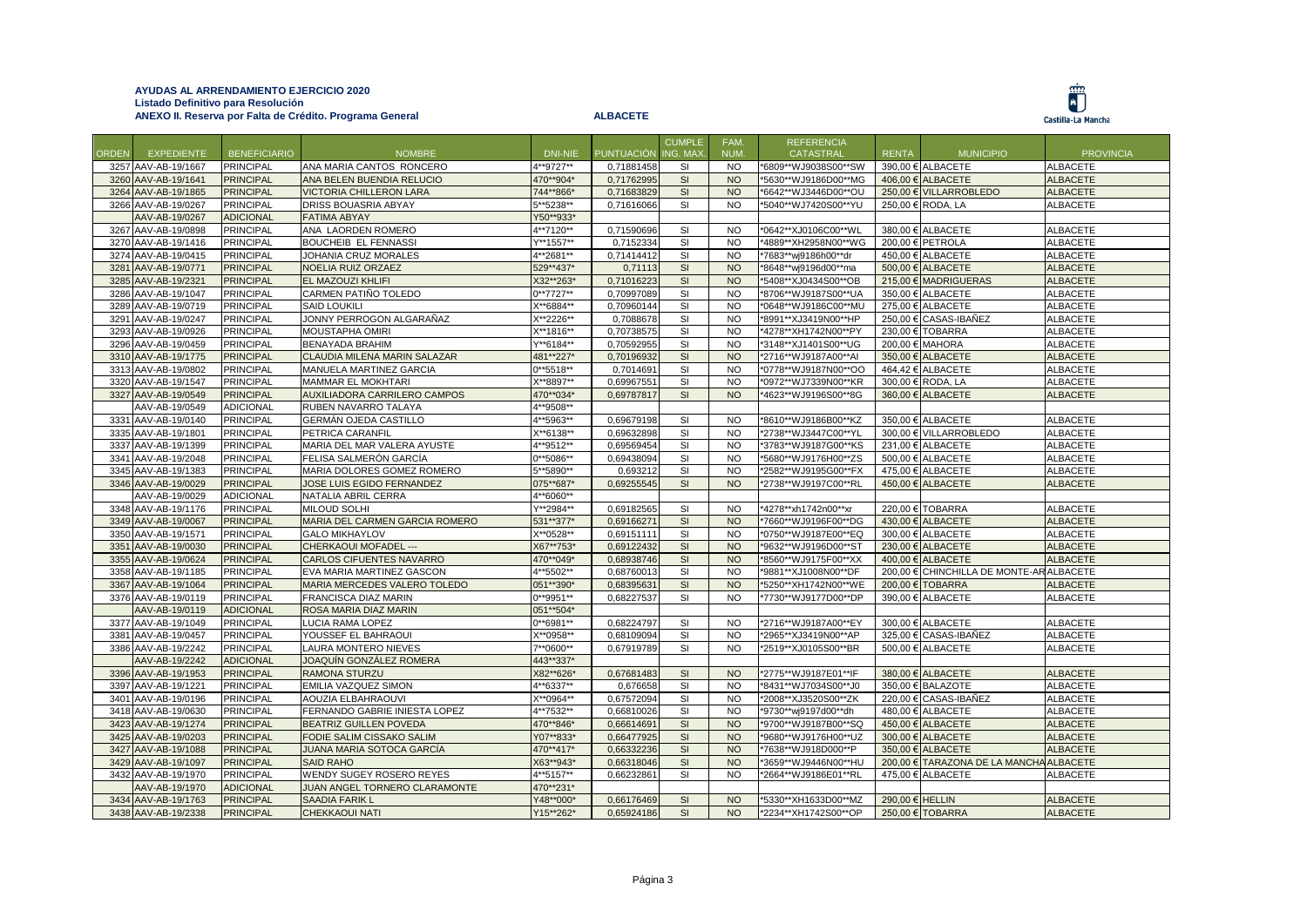|              |                     |                     |                                |                 |                     | <b>CUMPLE</b> | FAM.       | <b>REFERENCIA</b>    |                 |                                          |                  |
|--------------|---------------------|---------------------|--------------------------------|-----------------|---------------------|---------------|------------|----------------------|-----------------|------------------------------------------|------------------|
| <b>ORDEN</b> | <b>EXPEDIENTE</b>   | <b>BENEFICIARIO</b> | <b>NOMBRE</b>                  | DNI-NIE         | PUNTUACIÓN ING. MAX |               | <b>NUM</b> | <b>CATASTRAL</b>     | <b>RENTA</b>    | <b>MUNICIPIO</b>                         | <b>PROVINCIA</b> |
|              | 3257 AAV-AB-19/1667 | <b>PRINCIPAL</b>    | ANA MARIA CANTOS RONCERO       | 4**9727**       | 0,71881458          | <b>SI</b>     | <b>NO</b>  | *6809**WJ9038S00**SW |                 | 390,00 € ALBACETE                        | <b>ALBACETE</b>  |
|              | 3260 AAV-AB-19/1641 | <b>PRINCIPAL</b>    | ANA BELEN BUENDIA RELUCIO      | 470**904*       | 0,71762995          | SI            | <b>NO</b>  | *5630**WJ9186D00**MG |                 | 406.00 € ALBACETE                        | <b>ALBACETE</b>  |
|              | 3264 AAV-AB-19/1865 | <b>PRINCIPAL</b>    | <b>VICTORIA CHILLERON LARA</b> | 744**866*       | 0,71683829          | SI            | <b>NO</b>  | *6642**WJ3446D00**OU |                 | 250,00 € VILLARROBLEDO                   | <b>ALBACETE</b>  |
|              | 3266 AAV-AB-19/0267 | <b>PRINCIPAL</b>    | DRISS BOUASRIA ABYAY           | 5**5238**       | 0,71616066          | SI            | <b>NO</b>  | *5040**WJ7420S00**YU |                 | 250,00 € RODA, LA                        | ALBACETE         |
|              | AAV-AB-19/0267      | <b>ADICIONAL</b>    | <b>FATIMA ABYAY</b>            | Y50**933*       |                     |               |            |                      |                 |                                          |                  |
|              | 3267 AAV-AB-19/0898 | <b>PRINCIPAL</b>    | ANA LAORDEN ROMERO             | 4**7120**       | 0,71590696          | SI            | <b>NO</b>  | *0642**XJ0106C00**WL |                 | 380,00 € ALBACETE                        | <b>ALBACETE</b>  |
|              | 3270 AAV-AB-19/1416 | <b>PRINCIPAL</b>    | <b>BOUCHEIB EL FENNASSI</b>    | Y**1557**       | 0,7152334           | <b>SI</b>     | <b>NO</b>  | *4889**XH2958N00**WG |                 | 200,00 € PETROLA                         | <b>ALBACETE</b>  |
|              | 3274 AAV-AB-19/0415 | <b>PRINCIPAL</b>    | JOHANIA CRUZ MORALES           | 4**2681**       | 0,71414412          | SI            | <b>NO</b>  | *7683**wj9186h00**dr |                 | 450,00 € ALBACETE                        | ALBACETE         |
|              | 3281 AAV-AB-19/0771 | <b>PRINCIPAL</b>    | NOELIA RUIZ ORZAEZ             | 529**437*       | 0,71113             | SI            | <b>NO</b>  | *8648**wj9196d00**ma |                 | 500,00 € ALBACETE                        | <b>ALBACETE</b>  |
|              | 3285 AAV-AB-19/2321 | <b>PRINCIPAL</b>    | EL MAZOUZI KHLIFI              | X32**263*       | 0,71016223          | SI            | <b>NO</b>  | *5408**XJ0434S00**OB |                 | 215,00 € MADRIGUERAS                     | <b>ALBACETE</b>  |
|              | 3286 AAV-AB-19/1047 | <b>PRINCIPAL</b>    | CARMEN PATIÑO TOLEDO           | $0***7727**$    | 0,70997089          | SI            | <b>NO</b>  | *8706**WJ9187S00**UA |                 | 350,00 € ALBACETE                        | <b>ALBACETE</b>  |
|              | 3289 AAV-AB-19/0719 | <b>PRINCIPAL</b>    | <b>SAID LOUKILI</b>            | X**6884**       | 0,70960144          | <b>SI</b>     | <b>NO</b>  | *0648**WJ9186C00**MU |                 | 275,00 € ALBACETE                        | ALBACETE         |
|              | 3291 AAV-AB-19/0247 | <b>PRINCIPAL</b>    | JONNY PERROGON ALGARAÑAZ       | X**2226**       | 0,7088678           | <b>SI</b>     | <b>NO</b>  | *8991**XJ3419N00**HP |                 | 250,00 € CASAS-IBAÑEZ                    | <b>ALBACETE</b>  |
|              | 3293 AAV-AB-19/0926 | <b>PRINCIPAL</b>    | MOUSTAPHA OMIRI                | $X^{**}$ 1816** | 0,70738575          | SI            | <b>NO</b>  | *4278**XH1742N00**PY |                 | 230,00 € TOBARRA                         | <b>ALBACETE</b>  |
| 3296         | AAV-AB-19/0459      | <b>PRINCIPAL</b>    | <b>BENAYADA BRAHIM</b>         | Y**6184**       | 0,70592955          | SI            | <b>NO</b>  | *3148**XJ1401S00**UG |                 | 200,00 € MAHORA                          | <b>ALBACETE</b>  |
|              | 3310 AAV-AB-19/1775 | <b>PRINCIPAL</b>    | CLAUDIA MILENA MARIN SALAZAR   | 481**227*       | 0,70196932          | SI            | <b>NO</b>  | *2716**WJ9187A00**AI |                 | 350.00 € ALBACETE                        | <b>ALBACETE</b>  |
|              | 3313 AAV-AB-19/0802 | <b>PRINCIPAL</b>    | MANUELA MARTINEZ GARCIA        | $0***$ 5518**   | 0,7014691           | SI            | <b>NO</b>  | *0778**WJ9187N00**OO |                 | 464,42 € ALBACETE                        | <b>ALBACETE</b>  |
|              | 3320 AAV-AB-19/1547 | <b>PRINCIPAL</b>    | MAMMAR EL MOKHTARI             | X**8897**       | 0,69967551          | SI            | <b>NO</b>  | *0972**WJ7339N00**KR |                 | 300,00 € RODA, LA                        | <b>ALBACETE</b>  |
|              | 3327 AAV-AB-19/0549 | <b>PRINCIPAL</b>    | AUXILIADORA CARRILERO CAMPOS   | 470**034*       | 0.69787817          | SI            | <b>NO</b>  | '4623**WJ9196S00**8G |                 | 360.00 € ALBACETE                        | <b>ALBACETE</b>  |
|              | AAV-AB-19/0549      | <b>ADICIONAL</b>    | RUBEN NAVARRO TALAYA           | 4**9508**       |                     |               |            |                      |                 |                                          |                  |
|              | 3331 AAV-AB-19/0140 | <b>PRINCIPAL</b>    | GERMÁN OJEDA CASTILLO          | 4**5963**       | 0,69679198          | SI            | <b>NO</b>  | *8610**WJ9186B00**KZ |                 | 350,00 € ALBACETE                        | <b>ALBACETE</b>  |
|              | 3335 AAV-AB-19/1801 | <b>PRINCIPAL</b>    | PETRICA CARANFIL               | X**6138**       | 0,69632898          | SI            | <b>NO</b>  | *2738**WJ3447C00**YL |                 | 300.00 € VILLARROBLEDO                   | ALBACETE         |
|              | 3337 AAV-AB-19/1399 | <b>PRINCIPAL</b>    | MARIA DEL MAR VALERA AYUSTE    | 4**9512**       | 0.69569454          | SI            | <b>NO</b>  | *3783**WJ9187G00**KS |                 | 231,00 € ALBACETE                        | <b>ALBACETE</b>  |
|              | 3341 AAV-AB-19/2048 | <b>PRINCIPAL</b>    | FELISA SALMERÓN GARCÍA         | $0***$ 5086**   | 0,69438094          | SI            | <b>NO</b>  | *5680**WJ9176H00**ZS |                 | 500,00 € ALBACETE                        | <b>ALBACETE</b>  |
|              | 3345 AAV-AB-19/1383 | <b>PRINCIPAL</b>    | MARIA DOLORES GOMEZ ROMERO     | 5**5890**       | 0,693212            | <b>SI</b>     | <b>NO</b>  | *2582**WJ9195G00**FX |                 | 475,00 € ALBACETE                        | <b>ALBACETE</b>  |
|              | 3346 AAV-AB-19/0029 | <b>PRINCIPAL</b>    | JOSE LUIS EGIDO FERNANDEZ      | 075**687*       | 0,69255545          | SI            | <b>NO</b>  | *2738**WJ9197C00**RL |                 | 450,00 € ALBACETE                        | <b>ALBACETE</b>  |
|              | AAV-AB-19/0029      | <b>ADICIONAL</b>    | NATALIA ABRIL CERRA            | 4**6060**       |                     |               |            |                      |                 |                                          |                  |
|              | 3348 AAV-AB-19/1176 | <b>PRINCIPAL</b>    | MILOUD SOLHI                   | Y**2984**       | 0,69182565          | <b>SI</b>     | <b>NO</b>  | *4278**xh1742n00**xr |                 | 220,00 € TOBARRA                         | <b>ALBACETE</b>  |
|              | 3349 AAV-AB-19/0067 | <b>PRINCIPAL</b>    | MARIA DEL CARMEN GARCIA ROMERO | 531**377*       | 0,69166271          | SI            | <b>NO</b>  | *7660**WJ9196F00**DG |                 | 430.00 € ALBACETE                        | <b>ALBACETE</b>  |
|              | 3350 AAV-AB-19/1571 | <b>PRINCIPAL</b>    | <b>GALO MIKHAYLOV</b>          | X**0528**       | 0,69151111          | SI            | <b>NO</b>  | *0750**WJ9187E00**EQ |                 | 300,00 € ALBACETE                        | <b>ALBACETE</b>  |
| 3351         | AAV-AB-19/0030      | <b>PRINCIPAL</b>    | CHERKAOUI MOFADEL ---          | X67**753*       | 0,69122432          | SI            | <b>NO</b>  | '9632**WJ9196D00**ST |                 | 230,00 € ALBACETE                        | <b>ALBACETE</b>  |
| 3355         | AAV-AB-19/0624      | <b>PRINCIPAL</b>    | CARLOS CIFUENTES NAVARRO       | 470**049*       | 0,68938746          | SI            | <b>NO</b>  | *8560**WJ9175F00**XX |                 | 400,00 € ALBACETE                        | <b>ALBACETE</b>  |
|              | 3358 AAV-AB-19/1185 | <b>PRINCIPAL</b>    | EVA MARIA MARTINEZ GASCON      | 4**5502**       | 0,68760013          | SI            | <b>NO</b>  | *9881**XJ1008N00**DF |                 | 200,00 € CHINCHILLA DE MONTE-AR ALBACETE |                  |
|              | 3367 AAV-AB-19/1064 | <b>PRINCIPAL</b>    | MARIA MERCEDES VALERO TOLEDO   | 051**390*       | 0,68395631          | SI            | <b>NO</b>  | *5250**XH1742N00**WE |                 | 200,00 € TOBARRA                         | <b>ALBACETE</b>  |
|              | 3376 AAV-AB-19/0119 | <b>PRINCIPAL</b>    | FRANCISCA DIAZ MARIN           | $0***9951**$    | 0,68227537          | SI            | <b>NO</b>  | *7730**WJ9177D00**DP |                 | 390,00 € ALBACETE                        | ALBACETE         |
|              | AAV-AB-19/0119      | <b>ADICIONAL</b>    | ROSA MARIA DIAZ MARIN          | 051**504*       |                     |               |            |                      |                 |                                          |                  |
|              | 3377 AAV-AB-19/1049 | <b>PRINCIPAL</b>    | LUCIA RAMA LOPEZ               | $0***6981**$    | 0,68224797          | SI            | <b>NO</b>  | *2716**WJ9187A00**EY |                 | 300.00 € ALBACETE                        | <b>ALBACETE</b>  |
|              | 3381 AAV-AB-19/0457 | <b>PRINCIPAL</b>    | YOUSSEF EL BAHRAOUI            | X**0958**       | 0,68109094          | SI            | <b>NO</b>  | *2965**XJ3419N00**AP |                 | 325,00 € CASAS-IBAÑEZ                    | ALBACETE         |
|              | 3386 AAV-AB-19/2242 | <b>PRINCIPAL</b>    | LAURA MONTERO NIEVES           | 7**0600**       | 0,67919789          | <b>SI</b>     | NO.        | *2519**XJ0105S00**BR |                 | 500,00 € ALBACETE                        | ALBACETE         |
|              | AAV-AB-19/2242      | <b>ADICIONAL</b>    | JOAQUÍN GONZÁLEZ ROMERA        | 443**337*       |                     |               |            |                      |                 |                                          |                  |
|              | 3396 AAV-AB-19/1953 | <b>PRINCIPAL</b>    | <b>RAMONA STURZU</b>           | X82**626*       | 0,67681483          | SI            | <b>NO</b>  | *2775**WJ9187E01**IF |                 | 380,00 € ALBACETE                        | <b>ALBACETE</b>  |
|              | 3397 AAV-AB-19/1221 | <b>PRINCIPAL</b>    | EMILIA VAZQUEZ SIMON           | 4**6337**       | 0,676658            | SI            | <b>NO</b>  | *8431**WJ7034S00**J0 |                 | 350,00 € BALAZOTE                        | <b>ALBACETE</b>  |
|              | 3401 AAV-AB-19/0196 | <b>PRINCIPAL</b>    | <b>AOUZIA ELBAHRAOUVI</b>      | X**0964**       | 0.67572094          | SI            | <b>NO</b>  | *2008**XJ3520S00**ZK |                 | 220,00 € CASAS-IBAÑEZ                    | <b>ALBACETE</b>  |
|              | 3418 AAV-AB-19/0630 | <b>PRINCIPAL</b>    | FERNANDO GABRIE INIESTA LOPEZ  | 4**7532**       | 0,66810026          | SI            | <b>NO</b>  | *9730**wj9197d00**dh |                 | 480,00 € ALBACETE                        | <b>ALBACETE</b>  |
|              | 3423 AAV-AB-19/1274 | <b>PRINCIPAL</b>    | <b>BEATRIZ GUILLEN POVEDA</b>  | 470**846*       | 0,66614691          | SI            | <b>NO</b>  | *9700**WJ9187B00**SQ |                 | 450,00 € ALBACETE                        | <b>ALBACETE</b>  |
|              | 3425 AAV-AB-19/0203 | <b>PRINCIPAL</b>    | FODIE SALIM CISSAKO SALIM      | Y07**833*       | 0.66477925          | SI            | <b>NO</b>  | *9680**WJ9176H00**UZ |                 | 300.00 € ALBACETE                        | <b>ALBACETE</b>  |
|              | 3427 AAV-AB-19/1088 | <b>PRINCIPAL</b>    | JUANA MARIA SOTOCA GARCÍA      | 470**417*       | 0,66332236          | SI            | <b>NO</b>  | 7638**WJ918D000**P   |                 | 350,00 € ALBACETE                        | <b>ALBACETE</b>  |
|              | 3429 AAV-AB-19/1097 | <b>PRINCIPAL</b>    | <b>SAID RAHO</b>               | X63**943*       | 0,66318046          | SI            | <b>NO</b>  | 3659**WJ9446N00**HU  |                 | 200,00 € TARAZONA DE LA MANCHA ALBACETE  |                  |
|              | 3432 AAV-AB-19/1970 | <b>PRINCIPAL</b>    | WENDY SUGEY ROSERO REYES       | 4**5157**       | 0,66232861          | SI            | <b>NO</b>  | *2664**WJ9186E01**RL |                 | 475,00 € ALBACETE                        | <b>ALBACETE</b>  |
|              | AAV-AB-19/1970      | <b>ADICIONAL</b>    | JUAN ANGEL TORNERO CLARAMONTE  | 470**231*       |                     |               |            |                      |                 |                                          |                  |
|              | 3434 AAV-AB-19/1763 | <b>PRINCIPAL</b>    | <b>SAADIA FARIK L</b>          | Y48**000*       | 0,66176469          | SI            | <b>NO</b>  | *5330**XH1633D00**MZ | 290,00 € HELLIN |                                          | <b>ALBACETE</b>  |
|              | 3438 AAV-AB-19/2338 | <b>PRINCIPAL</b>    | <b>CHEKKAOUI NATI</b>          |                 |                     | SI            | <b>NO</b>  |                      |                 | 250,00 € TOBARRA                         | <b>ALBACETE</b>  |
|              |                     |                     |                                | Y15**262*       | 0,65924186          |               |            | *2234**XH1742S00**OP |                 |                                          |                  |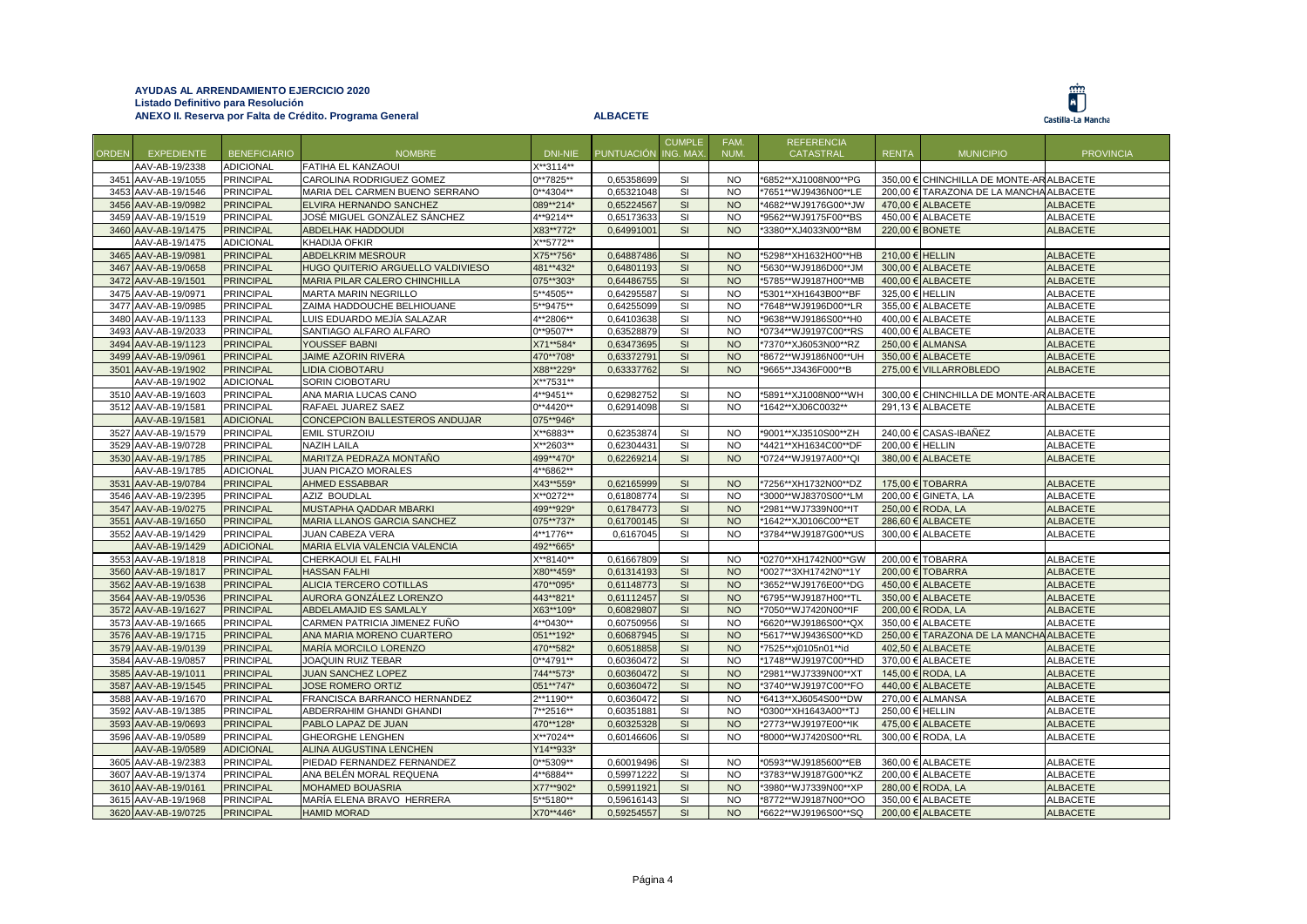|              |                     |                     |                                   |              |                     | <b>CUMPLE</b> | FAM.      | <b>REFERENCIA</b>    |                 |                                          |                  |
|--------------|---------------------|---------------------|-----------------------------------|--------------|---------------------|---------------|-----------|----------------------|-----------------|------------------------------------------|------------------|
| <b>ORDEN</b> | <b>EXPEDIENTE</b>   | <b>BENEFICIARIO</b> | <b>NOMBRE</b>                     | DNI-NIE      | PUNTUACIÓN ING. MAX |               | NUM.      | <b>CATASTRAL</b>     | <b>RENTA</b>    | <b>MUNICIPIO</b>                         | <b>PROVINCIA</b> |
|              | AAV-AB-19/2338      | <b>ADICIONAL</b>    | <b>FATIHA EL KANZAOUI</b>         | X**3114**    |                     |               |           |                      |                 |                                          |                  |
|              | 3451 AAV-AB-19/1055 | <b>PRINCIPAL</b>    | CAROLINA RODRIGUEZ GOMEZ          | $0***7825**$ | 0,65358699          | <b>SI</b>     | <b>NO</b> | *6852**XJ1008N00**PG |                 | 350.00 € CHINCHILLA DE MONTE-AR ALBACETE |                  |
|              | 3453 AAV-AB-19/1546 | <b>PRINCIPAL</b>    | MARIA DEL CARMEN BUENO SERRANO    | $0***4304**$ | 0,65321048          | SI            | <b>NO</b> | *7651**WJ9436N00**LE |                 | 200,00 € TARAZONA DE LA MANCHA ALBACETE  |                  |
|              | 3456 AAV-AB-19/0982 | <b>PRINCIPAL</b>    | ELVIRA HERNANDO SANCHEZ           | 089**214*    | 0,65224567          | SI            | <b>NO</b> | *4682**WJ9176G00**JW |                 | 470.00 € ALBACETE                        | <b>ALBACETE</b>  |
|              | 3459 AAV-AB-19/1519 | <b>PRINCIPAL</b>    | JOSÉ MIGUEL GONZÁLEZ SÁNCHEZ      | 4**9214**    | 0,65173633          | SI            | <b>NO</b> | *9562**WJ9175F00**BS |                 | 450,00 € ALBACETE                        | <b>ALBACETE</b>  |
|              | 3460 AAV-AB-19/1475 | <b>PRINCIPAL</b>    | <b>ABDELHAK HADDOUDI</b>          | X83**772*    | 0,64991001          | SI            | <b>NO</b> | *3380**XJ4033N00**BM |                 | 220,00 € BONETE                          | <b>ALBACETE</b>  |
|              | AAV-AB-19/1475      | <b>ADICIONAL</b>    | <b>KHADIJA OFKIR</b>              | X**5772**    |                     |               |           |                      |                 |                                          |                  |
|              | 3465 AAV-AB-19/0981 | <b>PRINCIPAL</b>    | ABDELKRIM MESROUR                 | X75**756*    | 0,64887486          | SI            | <b>NO</b> | *5298**XH1632H00**HB | 210,00 € HELLIN |                                          | <b>ALBACETE</b>  |
|              | 3467 AAV-AB-19/0658 | <b>PRINCIPAL</b>    | HUGO QUITERIO ARGUELLO VALDIVIESO | 481**432*    | 0,64801193          | SI            | <b>NO</b> | *5630**WJ9186D00**JM |                 | 300,00 € ALBACETE                        | <b>ALBACETE</b>  |
|              | 3472 AAV-AB-19/1501 | <b>PRINCIPAL</b>    | MARIA PILAR CALERO CHINCHILLA     | 075**303*    | 0,64486755          | SI            | <b>NO</b> | *5785**WJ9187H00**MB |                 | 400,00 € ALBACETE                        | <b>ALBACETE</b>  |
|              | 3475 AAV-AB-19/0971 | <b>PRINCIPAL</b>    | <b>MARTA MARIN NEGRILLO</b>       | 5**4505**    | 0,64295587          | <b>SI</b>     | <b>NO</b> | *5301**XH1643B00**BF | 325.00 €        | <b>HELLIN</b>                            | <b>ALBACETE</b>  |
|              | 3477 AAV-AB-19/0985 | <b>PRINCIPAL</b>    | ZAIMA HADDOUCHE BELHIOUANE        | 5**9475**    | 0,64255099          | SI            | <b>NO</b> | *7648**WJ9196D00**LR |                 | 355,00 € ALBACETE                        | <b>ALBACETE</b>  |
|              | 3480 AAV-AB-19/1133 | <b>PRINCIPAL</b>    | LUIS EDUARDO MEJÍA SALAZAR        | 4**2806**    | 0,64103638          | SI            | <b>NO</b> | *9638**WJ9186S00**H0 |                 | 400,00 € ALBACETE                        | <b>ALBACETE</b>  |
|              | 3493 AAV-AB-19/2033 | <b>PRINCIPAL</b>    | SANTIAGO ALFARO ALFARO            | 0**9507**    | 0,63528879          | <b>SI</b>     | <b>NO</b> | *0734**WJ9197C00**RS |                 | 400.00 € ALBACETE                        | ALBACETE         |
|              | 3494 AAV-AB-19/1123 | <b>PRINCIPAL</b>    | YOUSSEF BABNI                     | X71**584*    | 0,63473695          | SI            | <b>NO</b> | *7370**XJ6053N00**RZ | 250,00€         | <b>ALMANSA</b>                           | <b>ALBACETE</b>  |
|              | 3499 AAV-AB-19/0961 | <b>PRINCIPAL</b>    | JAIME AZORIN RIVERA               | 470**708*    | 0,63372791          | SI            | <b>NO</b> | *8672**WJ9186N00**UH | 350,00 €        | <b>ALBACETE</b>                          | <b>ALBACETE</b>  |
|              | 3501 AAV-AB-19/1902 | <b>PRINCIPAL</b>    | <b>LIDIA CIOBOTARU</b>            | X88**229*    | 0,63337762          | SI            | <b>NO</b> | *9665**J3436F000**B  |                 | 275,00 € VILLARROBLEDO                   | <b>ALBACETE</b>  |
|              | AAV-AB-19/1902      | <b>ADICIONAL</b>    | SORIN CIOBOTARU                   | X**7531**    |                     |               |           |                      |                 |                                          |                  |
|              | 3510 AAV-AB-19/1603 | <b>PRINCIPAL</b>    | ANA MARIA LUCAS CANO              | 4**9451**    | 0,62982752          | <b>SI</b>     | <b>NO</b> | *5891**XJ1008N00**WH |                 | 300.00 € CHINCHILLA DE MONTE-AR ALBACETE |                  |
|              | 3512 AAV-AB-19/1581 | <b>PRINCIPAL</b>    | RAFAEL JUAREZ SAEZ                | $0**4420**$  | 0,62914098          | SI            | <b>NO</b> | *1642**XJ06C0032**   |                 | 291,13 € ALBACETE                        | <b>ALBACETE</b>  |
|              | AAV-AB-19/1581      | <b>ADICIONAL</b>    | CONCEPCION BALLESTEROS ANDUJAR    | 075**946*    |                     |               |           |                      |                 |                                          |                  |
|              | 3527 AAV-AB-19/1579 | <b>PRINCIPAL</b>    | <b>EMIL STURZOIU</b>              | X**6883**    | 0,62353874          | SI            | <b>NO</b> | *9001**XJ3510S00**ZH |                 | 240,00 € CASAS-IBAÑEZ                    | <b>ALBACETE</b>  |
|              | 3529 AAV-AB-19/0728 | <b>PRINCIPAL</b>    | <b>NAZIH LAILA</b>                | X**2603**    | 0,62304431          | SI            | <b>NO</b> | *4421**XH1634C00**DF | 200,00 € HELLIN |                                          | ALBACETE         |
|              | 3530 AAV-AB-19/1785 | <b>PRINCIPAL</b>    | MARITZA PEDRAZA MONTAÑO           | 499**470*    | 0.62269214          | SI            | <b>NO</b> | *0724**WJ9197A00**QI |                 | 380.00 € ALBACETE                        | <b>ALBACETE</b>  |
|              | AAV-AB-19/1785      | <b>ADICIONAL</b>    | JUAN PICAZO MORALES               | 4**6862**    |                     |               |           |                      |                 |                                          |                  |
|              | 3531 AAV-AB-19/0784 | <b>PRINCIPAL</b>    | <b>AHMED ESSABBAR</b>             | X43**559*    | 0,62165999          | SI            | <b>NO</b> | *7256**XH1732N00**DZ |                 | 175,00 € TOBARRA                         | <b>ALBACETE</b>  |
|              | 3546 AAV-AB-19/2395 | <b>PRINCIPAL</b>    | AZIZ BOUDLAL                      | X**0272**    | 0,61808774          | <b>SI</b>     | <b>NO</b> | *3000**WJ8370S00**LM |                 | 200,00 € GINETA, LA                      | <b>ALBACETE</b>  |
|              | 3547 AAV-AB-19/0275 | <b>PRINCIPAL</b>    | MUSTAPHA QADDAR MBARKI            | 499**929*    | 0,61784773          | SI            | <b>NO</b> | *2981**WJ7339N00**IT | 250,00 €        | RODA, LA                                 | <b>ALBACETE</b>  |
|              | 3551 AAV-AB-19/1650 | <b>PRINCIPAL</b>    | MARIA LLANOS GARCIA SANCHEZ       | 075**737*    | 0,61700145          | SI            | <b>NO</b> | *1642**XJ0106C00**ET |                 | 286,60 € ALBACETE                        | <b>ALBACETE</b>  |
|              | 3552 AAV-AB-19/1429 | <b>PRINCIPAL</b>    | <b>JUAN CABEZA VERA</b>           | 4**1776**    | 0,6167045           | SI            | <b>NO</b> | *3784**WJ9187G00**US |                 | 300,00 € ALBACETE                        | ALBACETE         |
|              | AAV-AB-19/1429      | <b>ADICIONAL</b>    | MARIA ELVIA VALENCIA VALENCIA     | 492**665*    |                     |               |           |                      |                 |                                          |                  |
|              | 3553 AAV-AB-19/1818 | <b>PRINCIPAL</b>    | CHERKAOUI EL FALHI                | X**8140**    | 0,61667809          | <b>SI</b>     | <b>NO</b> | *0270**XH1742N00**GW | 200,00€         | <b>TOBARRA</b>                           | <b>ALBACETE</b>  |
|              | 3560 AAV-AB-19/1817 | <b>PRINCIPAL</b>    | <b>HASSAN FALHI</b>               | X80**459*    | 0,61314193          | SI            | <b>NO</b> | *0027**3XH1742N0**1Y |                 | 200,00 € TOBARRA                         | <b>ALBACETE</b>  |
|              | 3562 AAV-AB-19/1638 | <b>PRINCIPAL</b>    | ALICIA TERCERO COTILLAS           | 470**095*    | 0,61148773          | SI            | <b>NO</b> | *3652**WJ9176E00**DG |                 | 450,00 € ALBACETE                        | <b>ALBACETE</b>  |
|              | 3564 AAV-AB-19/0536 | <b>PRINCIPAL</b>    | AURORA GONZÁLEZ LORENZO           | 443**821*    | 0,61112457          | SI            | <b>NO</b> | *6795**WJ9187H00**TL |                 | 350,00 € ALBACETE                        | <b>ALBACETE</b>  |
|              | 3572 AAV-AB-19/1627 | <b>PRINCIPAL</b>    | ABDELAMAJID ES SAMLALY            | X63**109*    | 0,60829807          | SI            | <b>NO</b> | *7050**WJ7420N00**IF |                 | 200,00 € RODA, LA                        | <b>ALBACETE</b>  |
|              | 3573 AAV-AB-19/1665 | <b>PRINCIPAL</b>    | CARMEN PATRICIA JIMENEZ FUÑO      | 4**0430**    | 0,60750956          | <b>SI</b>     | <b>NO</b> | *6620**WJ9186S00**QX | 350.00 €        | <b>ALBACETE</b>                          | <b>ALBACETE</b>  |
|              | 3576 AAV-AB-19/1715 | <b>PRINCIPAL</b>    | ANA MARIA MORENO CUARTERO         | 051**192*    | 0,60687945          | SI            | <b>NO</b> | *5617**WJ9436S00**KD |                 | 250,00 € TARAZONA DE LA MANCHA ALBACETE  |                  |
|              | 3579 AAV-AB-19/0139 | <b>PRINCIPAL</b>    | MARÍA MORCILO LORENZO             | 470**582*    | 0,60518858          | SI            | <b>NO</b> | *7525**xj0105n01**id |                 | 402,50 € ALBACETE                        | <b>ALBACETE</b>  |
|              | 3584 AAV-AB-19/0857 | <b>PRINCIPAL</b>    | <b>JOAQUIN RUIZ TEBAR</b>         | $0***4791**$ | 0,60360472          | <b>SI</b>     | <b>NO</b> | *1748**WJ9197C00**HD |                 | 370,00 € ALBACETE                        | <b>ALBACETE</b>  |
|              | 3585 AAV-AB-19/1011 | <b>PRINCIPAL</b>    | JUAN SANCHEZ LOPEZ                | 744**573*    | 0,60360472          | SI            | <b>NO</b> | *2981**WJ7339N00**XT |                 | 145,00 € RODA, LA                        | <b>ALBACETE</b>  |
|              | 3587 AAV-AB-19/1545 | <b>PRINCIPAL</b>    | <b>JOSE ROMERO ORTIZ</b>          | 051**747*    | 0,60360472          | SI            | <b>NO</b> | *3740**WJ9197C00**FO |                 | 440,00 € ALBACETE                        | <b>ALBACETE</b>  |
|              | 3588 AAV-AB-19/1670 | <b>PRINCIPAL</b>    | FRANCISCA BARRANCO HERNANDEZ      | $2**1190**$  | 0,60360472          | SI            | <b>NO</b> | *6413**XJ6054S00**DW |                 | 270,00 € ALMANSA                         | <b>ALBACETE</b>  |
|              | 3592 AAV-AB-19/1385 | <b>PRINCIPAL</b>    | ABDERRAHIM GHANDI GHANDI          | 7**2516**    | 0,60351881          | SI            | <b>NO</b> | *0300**XH1643A00**TJ | 250,00 € HELLIN |                                          | <b>ALBACETE</b>  |
|              | 3593 AAV-AB-19/0693 | <b>PRINCIPAL</b>    | PABLO LAPAZ DE JUAN               | 470**128*    | 0,60325328          | SI            | <b>NO</b> | *2773**WJ9197E00**IK |                 | 475.00 € ALBACETE                        | <b>ALBACETE</b>  |
|              | 3596 AAV-AB-19/0589 | <b>PRINCIPAL</b>    | <b>GHEORGHE LENGHEN</b>           | X**7024**    | 0,60146606          | SI            | <b>NO</b> | *8000**WJ7420S00**RL |                 | 300,00 € RODA, LA                        | <b>ALBACETE</b>  |
|              | AAV-AB-19/0589      | <b>ADICIONAL</b>    | ALINA AUGUSTINA LENCHEN           | Y14**933*    |                     |               |           |                      |                 |                                          |                  |
|              | 3605 AAV-AB-19/2383 | <b>PRINCIPAL</b>    | PIEDAD FERNANDEZ FERNANDEZ        | 0**5309**    | 0,60019496          | SI            | <b>NO</b> | *0593**WJ9185600**EB |                 | 360,00 € ALBACETE                        | <b>ALBACETE</b>  |
|              | 3607 AAV-AB-19/1374 | <b>PRINCIPAL</b>    | ANA BELÉN MORAL REQUENA           | 4**6884**    | 0,59971222          | SI            | <b>NO</b> | *3783**WJ9187G00**KZ |                 | 200,00 € ALBACETE                        | ALBACETE         |
|              | 3610 AAV-AB-19/0161 | <b>PRINCIPAL</b>    | <b>MOHAMED BOUASRIA</b>           | X77**902*    | 0,59911921          | SI            | <b>NO</b> | *3980**WJ7339N00**XP | 280.00€         | RODA, LA                                 | <b>ALBACETE</b>  |
|              | 3615 AAV-AB-19/1968 | <b>PRINCIPAL</b>    | MARÍA ELENA BRAVO HERRERA         | 5**5180**    | 0,59616143          | SI            | <b>NO</b> | *8772**WJ9187N00**OO |                 | 350,00 € ALBACETE                        | ALBACETE         |
|              | 3620 AAV-AB-19/0725 | <b>PRINCIPAL</b>    | <b>HAMID MORAD</b>                | X70**446*    | 0,59254557          | SI            | <b>NO</b> | *6622**WJ9196S00**SQ |                 | 200,00 € ALBACETE                        | <b>ALBACETE</b>  |
|              |                     |                     |                                   |              |                     |               |           |                      |                 |                                          |                  |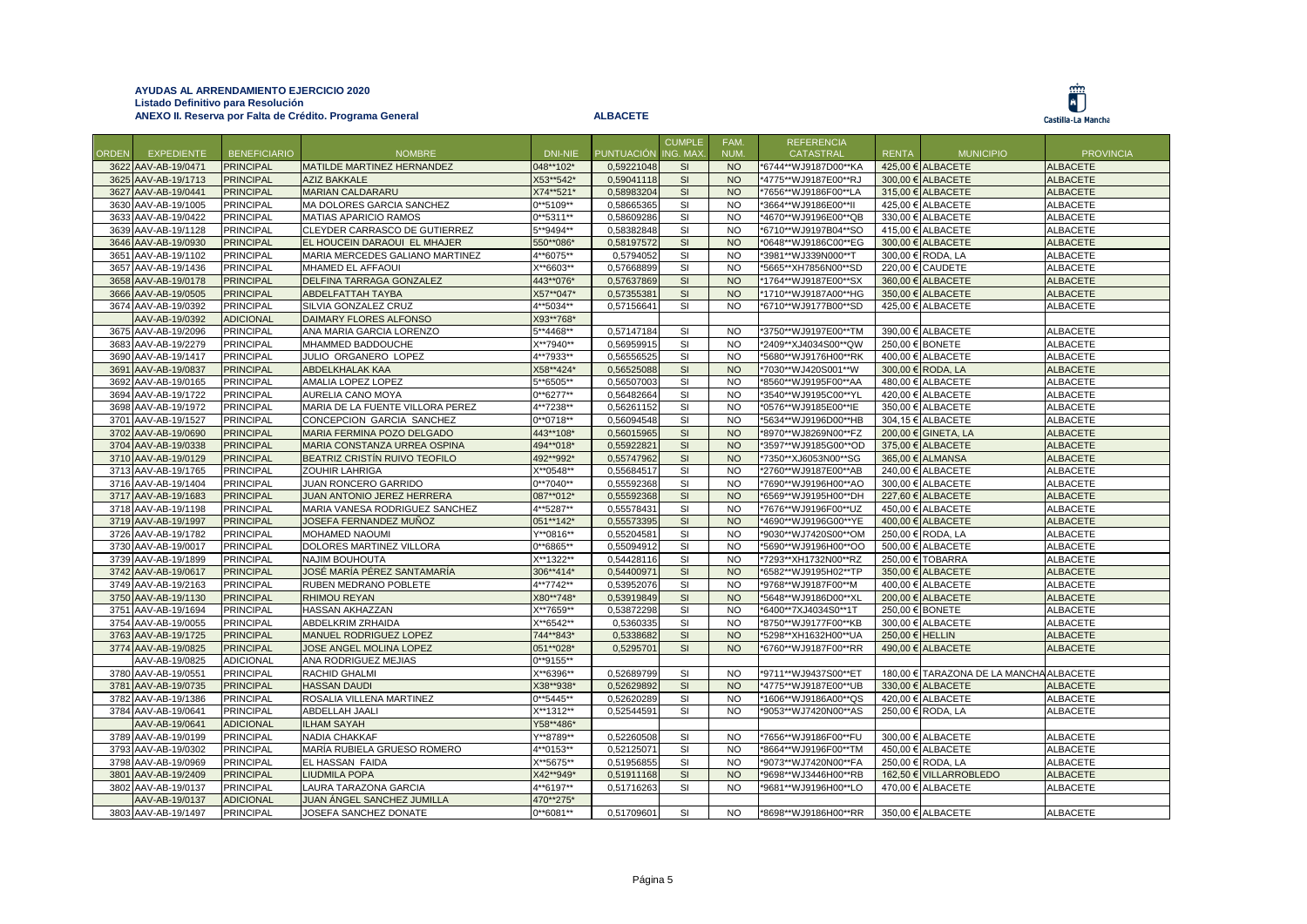

|              |                     |                     |                                  |              |                   | <b>CUMPLE</b> | FAM.      | <b>REFERENCIA</b>    |                 |                                         |                  |
|--------------|---------------------|---------------------|----------------------------------|--------------|-------------------|---------------|-----------|----------------------|-----------------|-----------------------------------------|------------------|
| <b>ORDEN</b> | <b>EXPEDIENTE</b>   | <b>BENEFICIARIO</b> | <b>NOMBRE</b>                    | DNI-NIE      | <b>PUNTUACIÓN</b> | ING. MAX      | NUM.      | CATASTRAL            | <b>RENTA</b>    | <b>MUNICIPIO</b>                        | <b>PROVINCIA</b> |
|              | 3622 AAV-AB-19/0471 | <b>PRINCIPAL</b>    | MATILDE MARTINEZ HERNANDEZ       | 048**102*    | 0,59221048        | SI            | NO        | *6744**WJ9187D00**KA |                 | 425,00 € ALBACETE                       | <b>ALBACETE</b>  |
|              | 3625 AAV-AB-19/1713 | <b>PRINCIPAL</b>    | <b>AZIZ BAKKALE</b>              | X53**542*    | 0,59041118        | SI            | <b>NO</b> | *4775**WJ9187E00**RJ |                 | 300,00 € ALBACETE                       | <b>ALBACETE</b>  |
|              | 3627 AAV-AB-19/0441 | <b>PRINCIPAL</b>    | <b>MARIAN CALDARARU</b>          | X74**521*    | 0,58983204        | <b>SI</b>     | <b>NO</b> | *7656**WJ9186F00**LA |                 | 315,00 € ALBACETE                       | <b>ALBACETE</b>  |
|              | 3630 AAV-AB-19/1005 | PRINCIPAL           | MA DOLORES GARCIA SANCHEZ        | $0***5109**$ | 0,58665365        | SI            | <b>NO</b> | *3664**WJ9186E00**II |                 | 425,00 € ALBACETE                       | <b>ALBACETE</b>  |
|              | 3633 AAV-AB-19/0422 | PRINCIPAL           | <b>MATIAS APARICIO RAMOS</b>     | $0***5311**$ | 0,58609286        | <b>SI</b>     | <b>NO</b> | *4670**WJ9196E00**QB |                 | 330,00 € ALBACETE                       | <b>ALBACETE</b>  |
|              | 3639 AAV-AB-19/1128 | PRINCIPAL           | CLEYDER CARRASCO DE GUTIERREZ    | 5**9494**    | 0,58382848        | SI            | <b>NO</b> | *6710**WJ9197B04**SO |                 | 415,00 € ALBACETE                       | <b>ALBACETE</b>  |
|              | 3646 AAV-AB-19/0930 | <b>PRINCIPAL</b>    | EL HOUCEIN DARAOUI EL MHAJER     | 550**086*    | 0.58197572        | SI            | <b>NO</b> | *0648**WJ9186C00**EG |                 | 300.00 € ALBACETE                       | <b>ALBACETE</b>  |
|              | 3651 AAV-AB-19/1102 | PRINCIPAL           | MARIA MERCEDES GALIANO MARTINEZ  | 4**6075**    | 0,5794052         | SI            | <b>NO</b> | *3981**WJ339N000**T  |                 | 300,00 € RODA, LA                       | <b>ALBACETE</b>  |
|              | 3657 AAV-AB-19/1436 | <b>PRINCIPAL</b>    | <b>MHAMED EL AFFAOUI</b>         | X**6603**    | 0.57668899        | SI            | <b>NO</b> | *5665**XH7856N00**SD |                 | 220.00 € CAUDETE                        | <b>ALBACETE</b>  |
|              | 3658 AAV-AB-19/0178 | <b>PRINCIPAL</b>    | DELFINA TARRAGA GONZALEZ         | 443**076*    | 0,57637869        | SI            | <b>NO</b> | *1764**WJ9187E00**SX |                 | 360,00 € ALBACETE                       | <b>ALBACETE</b>  |
|              | 3666 AAV-AB-19/0505 | <b>PRINCIPAL</b>    | <b>ABDELFATTAH TAYBA</b>         | X57**047*    | 0,57355381        | SI            | <b>NO</b> | *1710**WJ9187A00**HG |                 | 350.00 € ALBACETE                       | <b>ALBACETE</b>  |
|              | 3674 AAV-AB-19/0392 | PRINCIPAL           | SILVIA GONZALEZ CRUZ             | 4**5034**    | 0,57156641        | <b>SI</b>     | <b>NO</b> | *6710**WJ9177B00**SD |                 | 425,00 € ALBACETE                       | <b>ALBACETE</b>  |
|              | AAV-AB-19/0392      | <b>ADICIONAL</b>    | DAIMARY FLORES ALFONSO           | X93**768*    |                   |               |           |                      |                 |                                         |                  |
|              | 3675 AAV-AB-19/2096 | PRINCIPAL           | ANA MARIA GARCIA LORENZO         | 5**4468**    | 0,57147184        | SI            | <b>NO</b> | *3750**WJ9197E00**TM |                 | 390,00 € ALBACETE                       | <b>ALBACETE</b>  |
|              | 3683 AAV-AB-19/2279 | <b>PRINCIPAL</b>    | MHAMMED BADDOUCHE                | X**7940**    | 0.56959915        | <b>SI</b>     | <b>NO</b> | *2409**XJ4034S00**QW | 250.00 € BONETE |                                         | <b>ALBACETE</b>  |
|              | 3690 AAV-AB-19/1417 | <b>PRINCIPAL</b>    | JULIO ORGANERO LOPEZ             | 4**7933**    | 0,56556525        | SI            | <b>NO</b> | *5680**WJ9176H00**RK |                 | 400,00 € ALBACETE                       | <b>ALBACETE</b>  |
|              | 3691 AAV-AB-19/0837 | <b>PRINCIPAL</b>    | <b>ABDELKHALAK KAA</b>           | X58**424*    | 0,56525088        | SI            | <b>NO</b> | *7030**WJ420S001**W  |                 | 300,00 € RODA, LA                       | <b>ALBACETE</b>  |
|              | 3692 AAV-AB-19/0165 | <b>PRINCIPAL</b>    | AMALIA LOPEZ LOPEZ               | 5**6505**    | 0,56507003        | SI            | <b>NO</b> | *8560**WJ9195F00**AA |                 | 480,00 € ALBACETE                       | ALBACETE         |
|              |                     |                     |                                  |              |                   |               |           |                      |                 |                                         |                  |
|              | 3694 AAV-AB-19/1722 | <b>PRINCIPAL</b>    | AURELIA CANO MOYA                | $0***6277**$ | 0,56482664        | SI            | <b>NO</b> | *3540**WJ9195C00**YL |                 | 420,00 € ALBACETE                       | <b>ALBACETE</b>  |
|              | 3698 AAV-AB-19/1972 | <b>PRINCIPAL</b>    | MARIA DE LA FUENTE VILLORA PEREZ | 4**7238**    | 0,56261152        | SI            | <b>NO</b> | *0576**WJ9185E00**IE |                 | 350,00 € ALBACETE                       | <b>ALBACETE</b>  |
|              | 3701 AAV-AB-19/1527 | PRINCIPAL           | CONCEPCION GARCIA SANCHEZ        | $0**0718**$  | 0,56094548        | SI            | <b>NO</b> | *5634**WJ9196D00**HB |                 | 304,15 € ALBACETE                       | <b>ALBACETE</b>  |
|              | 3702 AAV-AB-19/0690 | <b>PRINCIPAL</b>    | MARIA FERMINA POZO DELGADO       | 443**108*    | 0,56015965        | SI            | <b>NO</b> | *8970**WJ8269N00**FZ |                 | 200,00 € GINETA, LA                     | <b>ALBACETE</b>  |
|              | 3704 AAV-AB-19/0338 | <b>PRINCIPAL</b>    | MARIA CONSTANZA URREA OSPINA     | 494**018*    | 0,55922821        | SI            | <b>NO</b> | *3597**WJ9185G00**OD |                 | 375,00 € ALBACETE                       | <b>ALBACETE</b>  |
|              | 3710 AAV-AB-19/0129 | <b>PRINCIPAL</b>    | BEATRIZ CRISTÍN RUIVO TEOFILO    | 492**992*    | 0,55747962        | SI            | <b>NO</b> | *7350**XJ6053N00**SG |                 | 365,00 € ALMANSA                        | <b>ALBACETE</b>  |
|              | 3713 AAV-AB-19/1765 | PRINCIPAL           | <b>ZOUHIR LAHRIGA</b>            | X**0548**    | 0,55684517        | <b>SI</b>     | <b>NO</b> | *2760**WJ9187E00**AB |                 | 240,00 € ALBACETE                       | <b>ALBACETE</b>  |
|              | 3716 AAV-AB-19/1404 | PRINCIPAL           | JUAN RONCERO GARRIDO             | $0***7040**$ | 0,55592368        | SI            | <b>NO</b> | *7690**WJ9196H00**AO |                 | 300,00 € ALBACETE                       | <b>ALBACETE</b>  |
|              | 3717 AAV-AB-19/1683 | <b>PRINCIPAL</b>    | JUAN ANTONIO JEREZ HERRERA       | 087**012*    | 0,55592368        | SI            | <b>NO</b> | *6569**WJ9195H00**DH |                 | 227,60 € ALBACETE                       | <b>ALBACETE</b>  |
|              | 3718 AAV-AB-19/1198 | <b>PRINCIPAL</b>    | MARIA VANESA RODRIGUEZ SANCHEZ   | 4**5287**    | 0,55578431        | <b>SI</b>     | <b>NO</b> | *7676**WJ9196F00**UZ |                 | 450,00 € ALBACETE                       | <b>ALBACETE</b>  |
|              | 3719 AAV-AB-19/1997 | <b>PRINCIPAL</b>    | JOSEFA FERNANDEZ MUÑOZ           | 051**142*    | 0,55573395        | SI            | <b>NO</b> | *4690**WJ9196G00**YE |                 | 400,00 € ALBACETE                       | <b>ALBACETE</b>  |
|              | 3726 AAV-AB-19/1782 | <b>PRINCIPAL</b>    | <b>MOHAMED NAOUMI</b>            | Y**0816**    | 0,55204581        | <b>SI</b>     | <b>NO</b> | *9030**WJ7420S00**OM |                 | 250,00 € RODA, LA                       | <b>ALBACETE</b>  |
|              | 3730 AAV-AB-19/0017 | PRINCIPAL           | DOLORES MARTINEZ VILLORA         | 0**6865**    | 0,55094912        | SI            | <b>NO</b> | *5690**WJ9196H00**OO |                 | 500,00 € ALBACETE                       | <b>ALBACETE</b>  |
|              | 3739 AAV-AB-19/1899 | <b>PRINCIPAL</b>    | <b>NAJIM BOUHOUTA</b>            | X**1322**    | 0,54428116        | SI            | <b>NO</b> | *7293**XH1732N00**RZ |                 | 250,00 € TOBARRA                        | <b>ALBACETE</b>  |
|              | 3742 AAV-AB-19/0617 | <b>PRINCIPAL</b>    | JOSÉ MARÍA PÉREZ SANTAMARÍA      | 306**414*    | 0,54400971        | SI            | <b>NO</b> | *6582**WJ9195H02**TP |                 | 350,00 € ALBACETE                       | <b>ALBACETE</b>  |
|              | 3749 AAV-AB-19/2163 | <b>PRINCIPAL</b>    | <b>RUBEN MEDRANO POBLETE</b>     | 4**7742**    | 0,53952076        | SI            | <b>NO</b> | *9768**WJ9187F00**M  |                 | 400,00 € ALBACETE                       | ALBACETE         |
|              | 3750 AAV-AB-19/1130 | <b>PRINCIPAL</b>    | <b>RHIMOU REYAN</b>              | X80**748*    | 0,53919849        | SI            | <b>NO</b> | *5648**WJ9186D00**XL |                 | 200,00 € ALBACETE                       | <b>ALBACETE</b>  |
|              | 3751 AAV-AB-19/1694 | <b>PRINCIPAL</b>    | <b>HASSAN AKHAZZAN</b>           | X**7659**    | 0.53872298        | <b>SI</b>     | <b>NO</b> | *6400**7XJ4034S0**1T | 250,00 € BONETE |                                         | <b>ALBACETE</b>  |
|              | 3754 AAV-AB-19/0055 | <b>PRINCIPAL</b>    | <b>ABDELKRIM ZRHAIDA</b>         | X**6542**    | 0,5360335         | SI            | <b>NO</b> | *8750**WJ9177F00**KB |                 | 300,00 € ALBACETE                       | <b>ALBACETE</b>  |
|              | 3763 AAV-AB-19/1725 | <b>PRINCIPAL</b>    | MANUEL RODRIGUEZ LOPEZ           | 744**843*    | 0.5338682         | SI            | <b>NO</b> | *5298**XH1632H00**UA | 250.00 € HELLIN |                                         | <b>ALBACETE</b>  |
|              | 3774 AAV-AB-19/0825 | <b>PRINCIPAL</b>    | JOSE ANGEL MOLINA LOPEZ          | 051**028*    | 0,5295701         | SI            | <b>NO</b> | *6760**WJ9187F00**RR |                 | 490,00 € ALBACETE                       | <b>ALBACETE</b>  |
|              | AAV-AB-19/0825      | <b>ADICIONAL</b>    | ANA RODRIGUEZ MEJIAS             | 0**9155**    |                   |               |           |                      |                 |                                         |                  |
|              | 3780 AAV-AB-19/0551 | PRINCIPAL           | <b>RACHID GHALMI</b>             | X**6396**    | 0,52689799        | SI            | <b>NO</b> | *9711**WJ9437S00**ET |                 | 180,00 € TARAZONA DE LA MANCHA ALBACETE |                  |
|              | 3781 AAV-AB-19/0735 | <b>PRINCIPAL</b>    | <b>HASSAN DAUDI</b>              | X38**938*    | 0,52629892        | SI            | <b>NO</b> | *4775**WJ9187E00**UB |                 | 330.00 € ALBACETE                       | <b>ALBACETE</b>  |
|              | 3782 AAV-AB-19/1386 | <b>PRINCIPAL</b>    | ROSALIA VILLENA MARTINEZ         | $0***5445**$ | 0,52620289        | <b>SI</b>     | <b>NO</b> | *1606**WJ9186A00**QS |                 | 420,00 € ALBACETE                       | <b>ALBACETE</b>  |
|              | 3784 AAV-AB-19/0641 | <b>PRINCIPAL</b>    | <b>ABDELLAH JAALI</b>            | X**1312**    | 0,52544591        | <b>SI</b>     | <b>NO</b> | *9053**WJ7420N00**AS |                 | 250,00 € RODA, LA                       | ALBACETE         |
|              | AAV-AB-19/0641      | <b>ADICIONAL</b>    | <b>ILHAM SAYAH</b>               | Y58**486*    |                   |               |           |                      |                 |                                         |                  |
|              | 3789 AAV-AB-19/0199 | <b>PRINCIPAL</b>    | <b>NADIA CHAKKAF</b>             | Y**8789**    | 0.52260508        | <b>SI</b>     | <b>NO</b> | *7656**WJ9186F00**FU |                 | 300.00 € ALBACETE                       | <b>ALBACETE</b>  |
|              | 3793 AAV-AB-19/0302 | <b>PRINCIPAL</b>    | MARÍA RUBIELA GRUESO ROMERO      | 4**0153**    | 0,52125071        | SI            | <b>NO</b> | *8664**WJ9196F00**TM |                 | 450,00 € ALBACETE                       | <b>ALBACETE</b>  |
|              | 3798 AAV-AB-19/0969 | PRINCIPAL           | <b>EL HASSAN FAIDA</b>           | X**5675**    | 0,51956855        | SI            | <b>NO</b> | *9073**WJ7420N00**FA |                 | 250,00 € RODA, LA                       | ALBACETE         |
|              | 3801 AAV-AB-19/2409 | <b>PRINCIPAL</b>    | <b>LIUDMILA POPA</b>             | X42**949*    | 0,51911168        | SI            | <b>NO</b> | *9698**WJ3446H00**RB |                 | 162,50 € VILLARROBLEDO                  | <b>ALBACETE</b>  |
|              | 3802 AAV-AB-19/0137 | PRINCIPAL           | LAURA TARAZONA GARCIA            | 4**6197**    | 0,51716263        | SI            | <b>NO</b> | *9681**WJ9196H00**LO |                 | 470,00 € ALBACETE                       | <b>ALBACETE</b>  |
|              | AAV-AB-19/0137      | <b>ADICIONAL</b>    | JUAN ÁNGEL SANCHEZ JUMILLA       | 470**275*    |                   |               |           |                      |                 |                                         |                  |
|              | 3803 AAV-AB-19/1497 | <b>PRINCIPAL</b>    | JOSEFA SANCHEZ DONATE            | $0**6081**$  | 0,51709601        | <b>SI</b>     | <b>NO</b> |                      |                 |                                         | <b>ALBACETE</b>  |
|              |                     |                     |                                  |              |                   |               |           | *8698**WJ9186H00**RR |                 | 350,00 € ALBACETE                       |                  |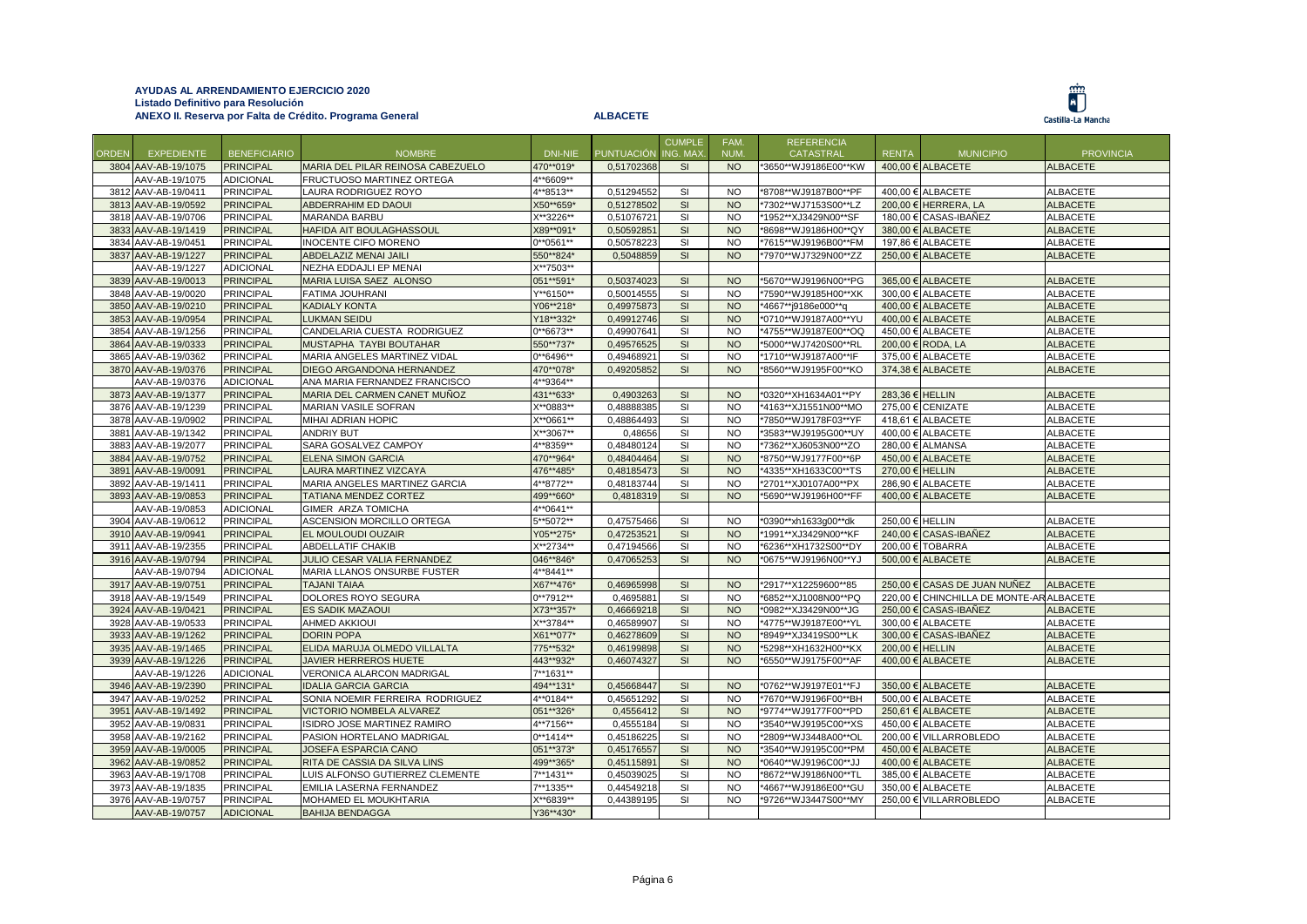

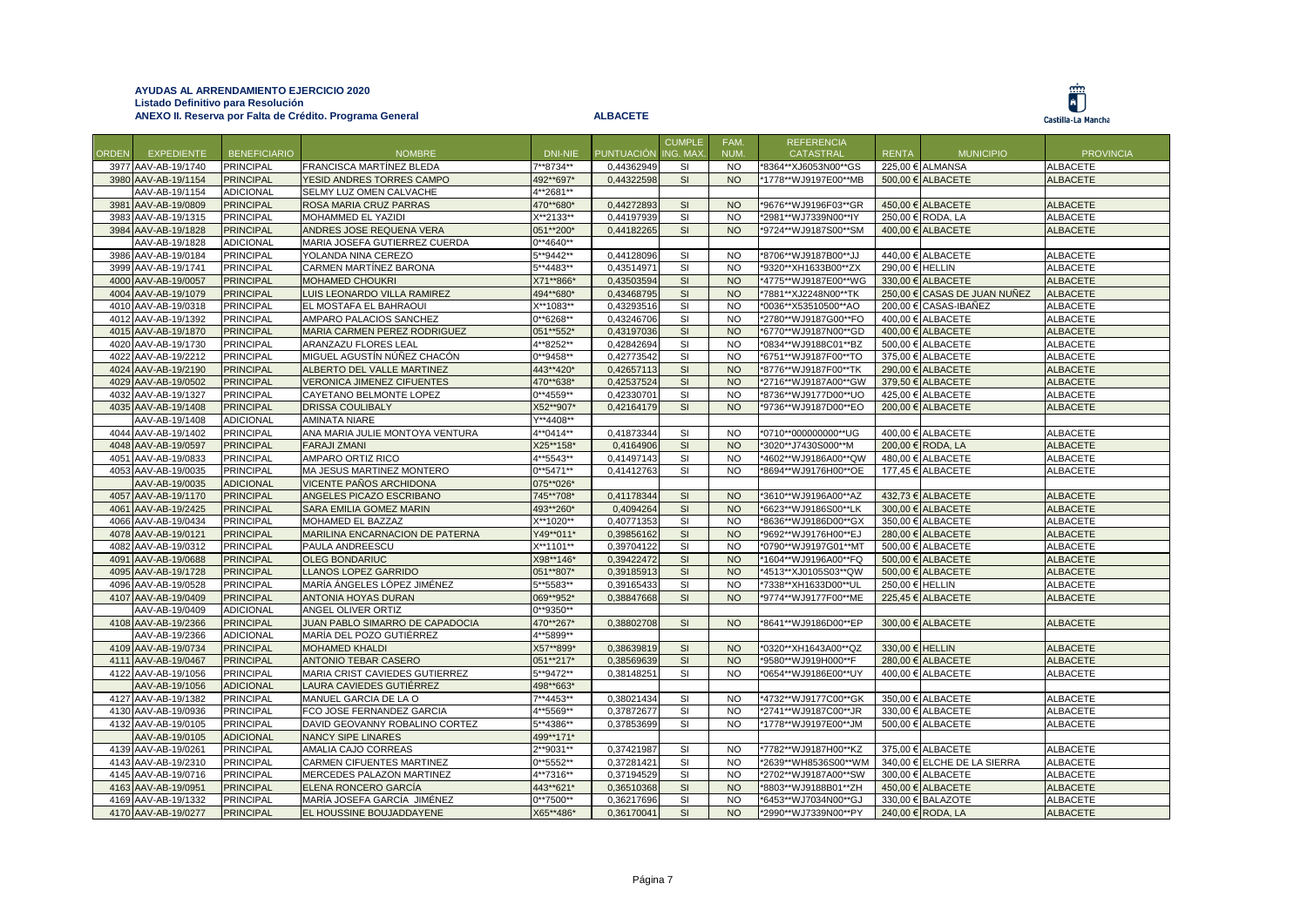|       |                                       |                                      |                                                 |                          |            | <b>CUMPLE</b> | FAM.                   | <b>REFERENCIA</b>    |                 |                                        |                                    |
|-------|---------------------------------------|--------------------------------------|-------------------------------------------------|--------------------------|------------|---------------|------------------------|----------------------|-----------------|----------------------------------------|------------------------------------|
| ORDEN | <b>EXPEDIENTE</b>                     | <b>BENEFICIARIO</b>                  | <b>NOMBRE</b>                                   | DNI-NIE                  | PUNTUACIÓN | ING. MAX      | NUM.                   | <b>CATASTRAL</b>     | <b>RENTA</b>    | <b>MUNICIPIO</b>                       | <b>PROVINCIA</b>                   |
|       | 3977 AAV-AB-19/1740                   | <b>PRINCIPAL</b>                     | FRANCISCA MARTÍNEZ BLEDA                        | 7**8734**                | 0,44362949 | SI            | <b>NO</b>              | *8364**XJ6053N00**GS |                 | 225,00 € ALMANSA                       | <b>ALBACETE</b>                    |
|       | 3980 AAV-AB-19/1154                   | <b>PRINCIPAL</b>                     | YESID ANDRES TORRES CAMPO                       | 492**697*                | 0,44322598 | SI            | <b>NO</b>              | *1778**WJ9197E00**MB |                 | 500,00 € ALBACETE                      | <b>ALBACETE</b>                    |
|       | AAV-AB-19/1154                        | <b>ADICIONAL</b>                     | SELMY LUZ OMEN CALVACHE                         | 4**2681**                |            |               |                        |                      |                 |                                        |                                    |
|       | 3981 AAV-AB-19/0809                   | <b>PRINCIPAL</b>                     | ROSA MARIA CRUZ PARRAS                          | 470**680*                | 0,44272893 | SI            | <b>NO</b>              | *9676**WJ9196F03**GR |                 | 450,00 € ALBACETE                      | <b>ALBACETE</b>                    |
|       | 3983 AAV-AB-19/1315                   | <b>PRINCIPAL</b>                     | MOHAMMED EL YAZIDI                              | X**2133**                | 0,44197939 | SI            | <b>NO</b>              | *2981**WJ7339N00**IY |                 | 250,00 € RODA, LA                      | <b>ALBACETE</b>                    |
|       | 3984 AAV-AB-19/1828                   | <b>PRINCIPAL</b>                     | ANDRES JOSE REQUENA VERA                        | 051**200*                | 0,44182265 | SI            | <b>NO</b>              | *9724**WJ9187S00**SM |                 | 400,00 € ALBACETE                      | <b>ALBACETE</b>                    |
|       | AAV-AB-19/1828                        | <b>ADICIONAL</b>                     | MARIA JOSEFA GUTIERREZ CUERDA                   | $0**4640**$              |            |               |                        |                      |                 |                                        |                                    |
|       | 3986 AAV-AB-19/0184                   | <b>PRINCIPAL</b>                     | YOLANDA NINA CEREZO                             | 5**9442**                | 0,44128096 | SI            | <b>NO</b>              | *8706**WJ9187B00**JJ |                 | 440,00 € ALBACETE                      | <b>ALBACETE</b>                    |
|       | 3999 AAV-AB-19/1741                   | <b>PRINCIPAL</b>                     | CARMEN MARTÍNEZ BARONA                          | 5**4483**                | 0,43514971 | SI            | <b>NO</b>              | *9320**XH1633B00**ZX | 290.00 € HELLIN |                                        | <b>ALBACETE</b>                    |
|       | 4000 AAV-AB-19/0057                   | <b>PRINCIPAL</b>                     | <b>MOHAMED CHOUKRI</b>                          | X71**866*                | 0,43503594 | SI            | <b>NO</b>              | *4775**WJ9187E00**WG |                 | 330,00 € ALBACETE                      | <b>ALBACETE</b>                    |
|       | 4004 AAV-AB-19/1079                   | <b>PRINCIPAL</b>                     | LUIS LEONARDO VILLA RAMIREZ                     | 494**680*                | 0,43468795 | SI            | <b>NO</b>              | '7881**XJ2248N00**TK |                 | 250,00 € CASAS DE JUAN NUÑEZ           | <b>ALBACETE</b>                    |
|       | 4010 AAV-AB-19/0318                   | <b>PRINCIPAL</b>                     | EL MOSTAFA EL BAHRAOUI                          | X**1083**                | 0,43293516 | SI            | <b>NO</b>              | *0036**X53510500**AO |                 | 200,00 € CASAS-IBAÑEZ                  | <b>ALBACETE</b>                    |
|       | 4012 AAV-AB-19/1392                   | <b>PRINCIPAL</b>                     | AMPARO PALACIOS SANCHEZ                         | 0**6268**                | 0,43246706 | SI            | <b>NO</b>              | *2780**WJ9187G00**FO |                 | 400,00 € ALBACETE                      | <b>ALBACETE</b>                    |
|       | 4015 AAV-AB-19/1870                   | <b>PRINCIPAL</b>                     | MARIA CARMEN PEREZ RODRIGUEZ                    | 051**552*                | 0,43197036 | SI            | <b>NO</b>              | *6770**WJ9187N00**GD |                 | 400,00 € ALBACETE                      | <b>ALBACETE</b>                    |
|       | 4020 AAV-AB-19/1730                   | PRINCIPAL                            | ARANZAZU FLORES LEAL                            | 4**8252**                | 0,42842694 | SI            | <b>NO</b>              | *0834**WJ9188C01**BZ |                 | 500,00 € ALBACETE                      | <b>ALBACETE</b>                    |
|       | 4022 AAV-AB-19/2212                   | <b>PRINCIPAL</b>                     | MIGUEL AGUSTÍN NÚÑEZ CHACÓN                     | $0***9458**$             | 0.42773542 | SI            | <b>NO</b>              | *6751**WJ9187F00**TO |                 | 375.00 € ALBACETE                      | <b>ALBACETE</b>                    |
|       | 4024 AAV-AB-19/2190                   | <b>PRINCIPAL</b>                     | ALBERTO DEL VALLE MARTINEZ                      | 443**420*                | 0,42657113 | SI            | <b>NO</b>              | *8776**WJ9187F00**TK |                 | 290,00 € ALBACETE                      | <b>ALBACETE</b>                    |
|       | 4029 AAV-AB-19/0502                   | <b>PRINCIPAL</b>                     | <b>VERONICA JIMENEZ CIFUENTES</b>               | 470**638*                | 0,42537524 | SI            | <b>NO</b><br><b>NO</b> | *2716**WJ9187A00**GW |                 | 379,50 € ALBACETE                      | <b>ALBACETE</b>                    |
|       | 4032 AAV-AB-19/1327                   | <b>PRINCIPAL</b><br><b>PRINCIPAL</b> | CAYETANO BELMONTE LOPEZ                         | $0**4559**$<br>X52**907* | 0,42330701 | SI<br>SI      | <b>NO</b>              | *8736**WJ9177D00**UO |                 | 425,00 € ALBACETE<br>200,00 € ALBACETE | <b>ALBACETE</b>                    |
|       | 4035 AAV-AB-19/1408<br>AAV-AB-19/1408 | <b>ADICIONAL</b>                     | <b>DRISSA COULIBALY</b><br><b>AMINATA NIARE</b> | Y**4408**                | 0,42164179 |               |                        | *9736**WJ9187D00**EO |                 |                                        | <b>ALBACETE</b>                    |
|       | 4044 AAV-AB-19/1402                   | <b>PRINCIPAL</b>                     | ANA MARIA JULIE MONTOYA VENTURA                 | 4**0414**                | 0,41873344 | SI            | <b>NO</b>              | *0710**000000000**UG |                 | 400,00 € ALBACETE                      | <b>ALBACETE</b>                    |
|       | 4048 AAV-AB-19/0597                   | <b>PRINCIPAL</b>                     | <b>FARAJI ZMANI</b>                             | X25**158*                | 0,4164906  | SI            | <b>NO</b>              | *3020**J7430S000**M  |                 | 200,00 € RODA, LA                      | <b>ALBACETE</b>                    |
|       | 4051 AAV-AB-19/0833                   | <b>PRINCIPAL</b>                     | AMPARO ORTIZ RICO                               | 4**5543**                | 0,41497143 | SI            | <b>NO</b>              | *4602**WJ9186A00**QW |                 | 480,00 € ALBACETE                      | <b>ALBACETE</b>                    |
|       | 4053 AAV-AB-19/0035                   | <b>PRINCIPAL</b>                     | MA JESUS MARTINEZ MONTERO                       | $0***$ 5471**            | 0,41412763 | SI            | <b>NO</b>              | *8694**WJ9176H00**OE |                 | 177,45 € ALBACETE                      | <b>ALBACETE</b>                    |
|       | AAV-AB-19/0035                        | <b>ADICIONAL</b>                     | VICENTE PAÑOS ARCHIDONA                         | 075**026*                |            |               |                        |                      |                 |                                        |                                    |
|       | 4057 AAV-AB-19/1170                   | <b>PRINCIPAL</b>                     | ANGELES PICAZO ESCRIBANO                        | 745**708*                | 0,41178344 | SI            | <b>NO</b>              | *3610**WJ9196A00**AZ |                 | 432,73 € ALBACETE                      | <b>ALBACETE</b>                    |
|       | 4061 AAV-AB-19/2425                   | <b>PRINCIPAL</b>                     | SARA EMILIA GOMEZ MARIN                         | 493**260*                | 0,4094264  | SI            | <b>NO</b>              | *6623**WJ9186S00**LK |                 | 300,00 € ALBACETE                      | <b>ALBACETE</b>                    |
|       | 4066 AAV-AB-19/0434                   | <b>PRINCIPAL</b>                     | MOHAMED EL BAZZAZ                               | X**1020**                | 0.40771353 | SI            | <b>NO</b>              | *8636**WJ9186D00**GX |                 | 350.00 € ALBACETE                      | <b>ALBACETE</b>                    |
|       | 4078 AAV-AB-19/0121                   | <b>PRINCIPAL</b>                     | MARILINA ENCARNACION DE PATERNA                 | Y49**011*                | 0,39856162 | SI            | <b>NO</b>              | *9692**WJ9176H00**EJ |                 | 280,00 € ALBACETE                      | <b>ALBACETE</b>                    |
|       | 4082 AAV-AB-19/0312                   | <b>PRINCIPAL</b>                     | PAULA ANDREESCU                                 | X**1101**                | 0,39704122 | SI            | <b>NO</b>              | *0790**WJ9197G01**MT |                 | 500,00 € ALBACETE                      | <b>ALBACETE</b>                    |
|       | 4091 AAV-AB-19/0688                   | <b>PRINCIPAL</b>                     | <b>OLEG BONDARIUC</b>                           | X98**146*                | 0,39422472 | SI            | <b>NO</b>              | *1604**WJ9196A00**FQ |                 | 500,00 € ALBACETE                      | <b>ALBACETE</b>                    |
|       | 4095 AAV-AB-19/1728                   | <b>PRINCIPAL</b>                     | <b>LLANOS LOPEZ GARRIDO</b>                     | 051**807*                | 0,39185913 | SI            | <b>NO</b>              | '4513**XJ0105S03**QW |                 | 500,00 € ALBACETE                      | <b>ALBACETE</b>                    |
|       | 4096 AAV-AB-19/0528                   | <b>PRINCIPAL</b>                     | MARÍA ÁNGELES LÓPEZ JIMÉNEZ                     | 5**5583**                | 0,39165433 | SI            | <b>NO</b>              | *7338**XH1633D00**UL | 250,00 € HELLIN |                                        | <b>ALBACETE</b>                    |
|       | 4107 AAV-AB-19/0409                   | <b>PRINCIPAL</b>                     | <b>ANTONIA HOYAS DURAN</b>                      | 069**952*                | 0,38847668 | SI            | <b>NO</b>              | *9774**WJ9177F00**ME |                 | 225,45 € ALBACETE                      | <b>ALBACETE</b>                    |
|       | AAV-AB-19/0409                        | <b>ADICIONAL</b>                     | ANGEL OLIVER ORTIZ                              | 0**9350**                |            |               |                        |                      |                 |                                        |                                    |
|       | 4108 AAV-AB-19/2366                   | <b>PRINCIPAL</b>                     | JUAN PABLO SIMARRO DE CAPADOCIA                 | 470**267*                | 0,38802708 | SI            | <b>NO</b>              | *8641**WJ9186D00**EP |                 | 300,00 € ALBACETE                      | <b>ALBACETE</b>                    |
|       | AAV-AB-19/2366                        | <b>ADICIONAL</b>                     | MARÍA DEL POZO GUTIÉRREZ                        | 4**5899**                |            |               |                        |                      |                 |                                        |                                    |
|       | 4109 AAV-AB-19/0734                   | <b>PRINCIPAL</b>                     | <b>MOHAMED KHALDI</b>                           | X57**899*                | 0,38639819 | SI            | <b>NO</b>              | *0320**XH1643A00**QZ | 330,00 € HELLIN |                                        | <b>ALBACETE</b>                    |
|       | 4111 AAV-AB-19/0467                   | <b>PRINCIPAL</b>                     | <b>ANTONIO TEBAR CASERO</b>                     | 051**217*                | 0,38569639 | SI            | <b>NO</b>              | *9580**WJ919H000**F  |                 | 280,00 € ALBACETE                      | <b>ALBACETE</b>                    |
|       | 4122 AAV-AB-19/1056                   | <b>PRINCIPAL</b>                     | MARIA CRIST CAVIEDES GUTIERREZ                  | 5**9472**                | 0,38148251 | SI            | <b>NO</b>              | *0654**WJ9186E00**UY |                 | 400,00 € ALBACETE                      | <b>ALBACETE</b>                    |
|       | AAV-AB-19/1056                        | <b>ADICIONAL</b>                     | LAURA CAVIEDES GUTIÉRREZ                        | 498**663*                |            |               |                        |                      |                 |                                        |                                    |
|       | 4127 AAV-AB-19/1382                   | <b>PRINCIPAL</b>                     | MANUEL GARCIA DE LA O                           | 7**4453**                | 0,38021434 | SI            | <b>NO</b>              | *4732**WJ9177C00**GK |                 | 350,00 € ALBACETE                      | <b>ALBACETE</b>                    |
|       | 4130 AAV-AB-19/0936                   | <b>PRINCIPAL</b>                     | FCO JOSE FERNANDEZ GARCIA                       | 4**5569**                | 0,37872677 | SI            | <b>NO</b>              | *2741**WJ9187C00**JR |                 | 330,00 € ALBACETE                      | <b>ALBACETE</b>                    |
|       | 4132 AAV-AB-19/0105                   | <b>PRINCIPAL</b>                     | DAVID GEOVANNY ROBALINO CORTEZ                  | 5**4386**                | 0,37853699 | SI            | <b>NO</b>              | *1778**WJ9197E00**JM |                 | 500,00 € ALBACETE                      | <b>ALBACETE</b>                    |
|       | AAV-AB-19/0105                        | <b>ADICIONAL</b>                     | <b>NANCY SIPE LINARES</b>                       | 499**171*                |            |               |                        |                      |                 |                                        |                                    |
|       | 4139 AAV-AB-19/0261                   | <b>PRINCIPAL</b>                     | AMALIA CAJO CORREAS                             | 2**9031**                | 0,37421987 | SI            | <b>NO</b>              | *7782**WJ9187H00**KZ |                 | 375,00 € ALBACETE                      | <b>ALBACETE</b>                    |
|       | 4143 AAV-AB-19/2310                   | <b>PRINCIPAL</b>                     | <b>CARMEN CIFUENTES MARTINEZ</b>                | $0***5552**$             | 0,37281421 | <b>SI</b>     | <b>NO</b>              | *2639**WH8536S00**WM |                 | 340,00 € ELCHE DE LA SIERRA            | <b>ALBACETE</b>                    |
|       | 4145 AAV-AB-19/0716                   | <b>PRINCIPAL</b>                     | MERCEDES PALAZON MARTINEZ                       | 4**7316**                | 0,37194529 | SI            | <b>NO</b>              | *2702**WJ9187A00**SW |                 | 300,00 € ALBACETE                      | <b>ALBACETE</b>                    |
|       | 4163 AAV-AB-19/0951                   | <b>PRINCIPAL</b>                     | ELENA RONCERO GARCÍA                            | 443**621*                | 0.36510368 | SI            | <b>NO</b>              | *8803**WJ9188B01**ZH |                 | 450.00 € ALBACETE                      | <b>ALBACETE</b>                    |
|       | 4169 AAV-AB-19/1332                   | <b>PRINCIPAL</b><br><b>PRINCIPAL</b> | MARÍA JOSEFA GARCÍA JIMÉNEZ                     | $0**7500**$              | 0,36217696 | SI<br>SI      | <b>NO</b><br><b>NO</b> | *6453**WJ7034N00**GJ |                 | 330,00 € BALAZOTE<br>240,00 € RODA, LA | <b>ALBACETE</b><br><b>ALBACETE</b> |
|       | 4170 AAV-AB-19/0277                   |                                      | EL HOUSSINE BOUJADDAYENE                        | X65**486*                | 0,36170041 |               |                        | *2990**WJ7339N00**PY |                 |                                        |                                    |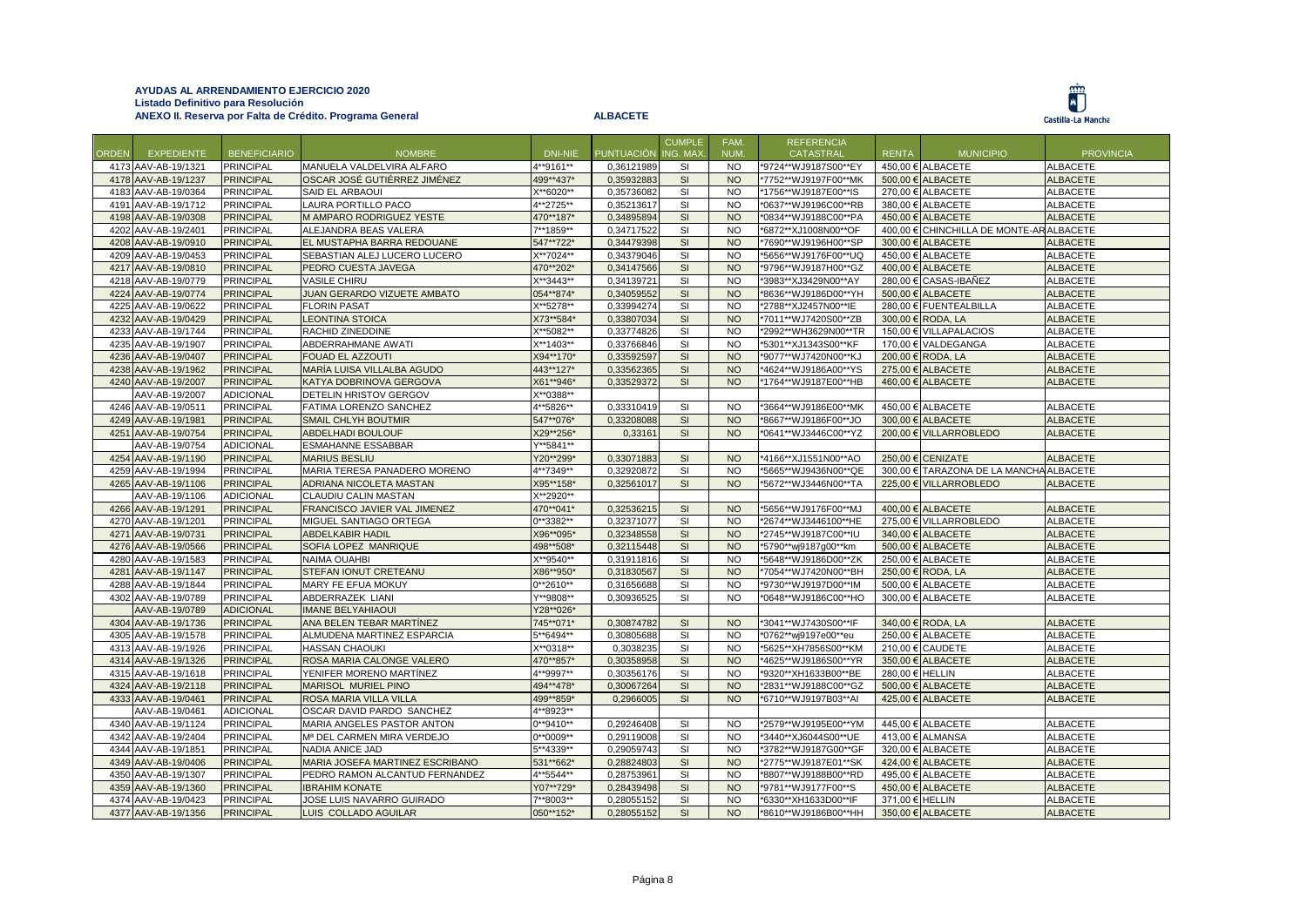Ü

|       |                     |                     | ANEXO II. Reserva por Falta de Crédito. Programa General |                   | <b>ALBACETE</b> |                          |                |                                       |                 |                                          | Castilla-La Mancha |
|-------|---------------------|---------------------|----------------------------------------------------------|-------------------|-----------------|--------------------------|----------------|---------------------------------------|-----------------|------------------------------------------|--------------------|
|       |                     |                     |                                                          |                   |                 |                          |                |                                       |                 |                                          |                    |
| ORDEN | <b>EXPEDIENTE</b>   | <b>BENEFICIARIO</b> | <b>NOMBRE</b>                                            | <b>DNI-NIE</b>    | PUNTUACIÓN      | <b>CUMPLE</b><br>NG. MAX | FAM.<br>NUM.   | <b>REFERENCIA</b><br><b>CATASTRAL</b> | <b>RENTA</b>    | <b>MUNICIPIO</b>                         | <b>PROVINCIA</b>   |
|       | 4173 AAV-AB-19/1321 | <b>PRINCIPAL</b>    | MANUELA VALDELVIRA ALFARO                                | 4**9161**         | 0,36121989      | SI                       | <b>NO</b>      | *9724**WJ9187S00**EY                  |                 | 450,00 € ALBACETE                        | <b>ALBACETE</b>    |
|       | 4178 AAV-AB-19/1237 | <b>PRINCIPAL</b>    | OSCAR JOSÉ GUTIÉRREZ JIMÉNEZ                             | 499**437*         | 0,35932883      | SI                       | <b>NO</b>      | *7752**WJ9197F00**MK                  |                 | 500,00 € ALBACETE                        | <b>ALBACETE</b>    |
|       | 4183 AAV-AB-19/0364 | PRINCIPAL           | SAID EL ARBAOUI                                          | X**6020**         | 0,35736082      | SI                       | <b>NO</b>      | *1756**WJ9187E00**IS                  |                 | 270,00 € ALBACETE                        | <b>ALBACETE</b>    |
|       | 4191 AAV-AB-19/1712 | <b>PRINCIPAL</b>    | LAURA PORTILLO PACO                                      | 4**2725**         | 0,35213617      | SI                       | <b>NO</b>      | *0637**WJ9196C00**RB                  |                 | 380,00 € ALBACETE                        | <b>ALBACETE</b>    |
|       | 4198 AAV-AB-19/0308 | <b>PRINCIPAL</b>    | M AMPARO RODRIGUEZ YESTE                                 | 470**187*         | 0,34895894      | SI                       | <b>NO</b>      | *0834**WJ9188C00**PA                  |                 | 450,00 € ALBACETE                        | <b>ALBACETE</b>    |
|       | 4202 AAV-AB-19/2401 | <b>PRINCIPAL</b>    | ALEJANDRA BEAS VALERA                                    | 7**1859**         | 0,34717522      | SI                       | <b>NO</b>      | *6872**XJ1008N00**OF                  |                 | 400,00 € CHINCHILLA DE MONTE-AR ALBACETE |                    |
|       | 4208 AAV-AB-19/0910 | <b>PRINCIPAL</b>    | EL MUSTAPHA BARRA REDOUANE                               | 547**722*         | 0,34479398      | SI                       | <b>NO</b>      | *7690**WJ9196H00**SP                  |                 | 300,00 € ALBACETE                        | <b>ALBACETE</b>    |
|       | 4209 AAV-AB-19/0453 | <b>PRINCIPAL</b>    | SEBASTIAN ALEJ LUCERO LUCERO                             | X**7024**         | 0,34379046      | $\mathsf{SI}$            | <b>NO</b>      | *5656**WJ9176F00**UQ                  |                 | 450,00 € ALBACETE                        | <b>ALBACETE</b>    |
|       | 4217 AAV-AB-19/0810 | <b>PRINCIPAL</b>    | PEDRO CUESTA JAVEGA                                      | 470**202*         | 0,34147566      | SI                       | <b>NO</b>      | *9796**WJ9187H00**GZ                  |                 | 400,00 € ALBACETE                        | <b>ALBACETE</b>    |
|       | 4218 AAV-AB-19/0779 | <b>PRINCIPAL</b>    | <b>VASILE CHIRU</b>                                      | $X^{**}3443^{**}$ | 0,34139721      | <b>SI</b>                | <b>NO</b>      | *3983**XJ3429N00**AY                  |                 | 280,00 € CASAS-IBAÑEZ                    | <b>ALBACETE</b>    |
|       | 4224 AAV-AB-19/0774 | <b>PRINCIPAL</b>    | JUAN GERARDO VIZUETE AMBATO                              | 054**874*         | 0,34059552      | SI                       | <b>NO</b>      | *8636**WJ9186D00**YH                  |                 | 500,00 € ALBACETE                        | <b>ALBACETE</b>    |
|       | 4225 AAV-AB-19/0622 | PRINCIPAL           | <b>FLORIN PASAT</b>                                      | X**5278**         | 0,33994274      | SI                       | <b>NO</b>      | *2788**XJ2457N00**IE                  |                 | 280,00 € FUENTEALBILLA                   | <b>ALBACETE</b>    |
|       | 4232 AAV-AB-19/0429 | <b>PRINCIPAL</b>    | <b>LEONTINA STOICA</b>                                   | X73**584*         | 0,33807034      | SI                       | <b>NO</b>      | *7011**WJ7420S00**ZB                  |                 | 300,00 € RODA, LA                        | <b>ALBACETE</b>    |
|       | 4233 AAV-AB-19/1744 | <b>PRINCIPAL</b>    | RACHID ZINEDDINE                                         | X**5082**         | 0,33774826      | SI                       | <b>NO</b>      | *2992**WH3629N00**TR                  |                 | 150,00 € VILLAPALACIOS                   | <b>ALBACETE</b>    |
|       | 4235 AAV-AB-19/1907 | PRINCIPAL           | ABDERRAHMANE AWATI                                       | X**1403**         | 0,33766846      | SI                       | <b>NO</b>      | *5301**XJ1343S00**KF                  |                 | 170,00 € VALDEGANGA                      | <b>ALBACETE</b>    |
|       | 4236 AAV-AB-19/0407 | <b>PRINCIPAL</b>    | FOUAD EL AZZOUTI                                         | X94**170*         | 0,33592597      | SI                       | <b>NO</b>      | *9077**WJ7420N00**KJ                  |                 | 200,00 € RODA, LA                        | <b>ALBACETE</b>    |
|       | 4238 AAV-AB-19/1962 | <b>PRINCIPAL</b>    | MARÍA LUISA VILLALBA AGUDO                               | 443**127*         | 0,33562365      | SI                       | <b>NO</b>      | *4624**WJ9186A00**YS                  |                 | 275,00 € ALBACETE                        | <b>ALBACETE</b>    |
|       | 4240 AAV-AB-19/2007 | <b>PRINCIPAL</b>    | KATYA DOBRINOVA GERGOVA                                  | X61**946*         | 0,33529372      | SI                       | <b>NO</b>      | *1764**WJ9187E00**HB                  |                 | 460,00 € ALBACETE                        | <b>ALBACETE</b>    |
|       | AAV-AB-19/2007      | <b>ADICIONAL</b>    | DETELIN HRISTOV GERGOV                                   | X**0388**         |                 |                          |                |                                       |                 |                                          |                    |
|       | 4246 AAV-AB-19/0511 | PRINCIPAL           | FATIMA LORENZO SANCHEZ                                   | 4**5826**         | 0,33310419      | SI                       | <b>NO</b>      | *3664**WJ9186E00**MK                  |                 | 450,00 € ALBACETE                        | <b>ALBACETE</b>    |
|       | 4249 AAV-AB-19/1981 | <b>PRINCIPAL</b>    | <b>SMAIL CHLYH BOUTMIR</b>                               | 547**076*         | 0,33208088      | SI                       | <b>NO</b>      | *8667**WJ9186F00**JO                  |                 | 300,00 € ALBACETE                        | <b>ALBACETE</b>    |
|       | 4251 AAV-AB-19/0754 | <b>PRINCIPAL</b>    | <b>ABDELHADI BOULOUF</b>                                 | X29**256*         | 0,33161         | SI                       | <b>NO</b>      | *0641**WJ3446C00**YZ                  |                 | 200,00 € VILLARROBLEDO                   | <b>ALBACETE</b>    |
|       | AAV-AB-19/0754      | <b>ADICIONAL</b>    | ESMAHANNE ESSABBAR                                       | Y**5841**         |                 |                          |                |                                       |                 |                                          |                    |
|       | 4254 AAV-AB-19/1190 | <b>PRINCIPAL</b>    | <b>MARIUS BESLIU</b>                                     | Y20**299*         | 0.33071883      | SI                       | <b>NO</b>      | *4166**XJ1551N00**AO                  |                 | 250.00 € CENIZATE                        | <b>ALBACETE</b>    |
|       | 4259 AAV-AB-19/1994 | <b>PRINCIPAL</b>    | MARIA TERESA PANADERO MORENO                             | 4**7349**         | 0,32920872      | SI                       | N <sub>O</sub> | *5665**WJ9436N00**QE                  |                 | 300,00 € TARAZONA DE LA MANCHA ALBACETE  |                    |
|       | 4265 AAV-AB-19/1106 | <b>PRINCIPAL</b>    | ADRIANA NICOLETA MASTAN                                  | X95**158*         | 0,32561017      | SI                       | <b>NO</b>      | *5672**WJ3446N00**TA                  |                 | 225,00 € VILLARROBLEDO                   | <b>ALBACETE</b>    |
|       | AAV-AB-19/1106      | <b>ADICIONAL</b>    | <b>CLAUDIU CALIN MASTAN</b>                              | X**2920**         |                 |                          |                |                                       |                 |                                          |                    |
|       | 4266 AAV-AB-19/1291 | <b>PRINCIPAL</b>    | FRANCISCO JAVIER VAL JIMENEZ                             | 470**041*         | 0,32536215      | SI                       | <b>NO</b>      | *5656**WJ9176F00**MJ                  |                 | 400,00 € ALBACETE                        | <b>ALBACETE</b>    |
|       | 4270 AAV-AB-19/1201 | PRINCIPAL           | MIGUEL SANTIAGO ORTEGA                                   | 0**3382**         | 0,32371077      | SI                       | <b>NO</b>      | *2674**WJ3446100**HE                  |                 | 275,00 € VILLARROBLEDO                   | <b>ALBACETE</b>    |
|       | 4271 AAV-AB-19/0731 | <b>PRINCIPAL</b>    | <b>ABDELKABIR HADIL</b>                                  | X96**095*         | 0,32348558      | SI                       | <b>NO</b>      | *2745**WJ9187C00**IU                  |                 | 340,00 € ALBACETE                        | <b>ALBACETE</b>    |
|       | 4276 AAV-AB-19/0566 | <b>PRINCIPAL</b>    | SOFIA LOPEZ MANRIQUE                                     | 498**508*         | 0,32115448      | SI                       | <b>NO</b>      | *5790**wj9187g00**km                  |                 | 500,00 € ALBACETE                        | <b>ALBACETE</b>    |
|       | 4280 AAV-AB-19/1583 | PRINCIPAL           | NAIMA OUAHBI                                             | X**9540**         | 0,31911816      | SI                       | <b>NO</b>      | *5648**WJ9186D00**ZK                  |                 | 250,00 € ALBACETE                        | <b>ALBACETE</b>    |
|       | 4281 AAV-AB-19/1147 | <b>PRINCIPAL</b>    | STEFAN IONUT CRETEANU                                    | X86**950*         | 0,31830567      | SI                       | <b>NO</b>      | *7054**WJ7420N00**BH                  |                 | 250,00 € RODA, LA                        | <b>ALBACETE</b>    |
|       | 4288 AAV-AB-19/1844 | PRINCIPAL           | MARY FE EFUA MOKUY                                       | $0**2610**$       | 0,31656688      | SI                       | <b>NO</b>      | *9730**WJ9197D00**IM                  |                 | 500,00 € ALBACETE                        | <b>ALBACETE</b>    |
|       | 4302 AAV-AB-19/0789 | PRINCIPAL           | ABDERRAZEK LIANI                                         | Y**9808**         | 0,30936525      | SI                       | <b>NO</b>      | *0648**WJ9186C00**HO                  |                 | 300,00 € ALBACETE                        | <b>ALBACETE</b>    |
|       | AAV-AB-19/0789      | <b>ADICIONAL</b>    | <b>IMANE BELYAHIAOUI</b>                                 | Y28**026*         |                 |                          |                |                                       |                 |                                          |                    |
|       | 4304 AAV-AB-19/1736 | <b>PRINCIPAL</b>    | ANA BELEN TEBAR MARTÍNEZ                                 | 745**071*         | 0,30874782      | SI                       | <b>NO</b>      | *3041**WJ7430S00**IF                  |                 | 340,00 € RODA, LA                        | <b>ALBACETE</b>    |
|       | 4305 AAV-AB-19/1578 | PRINCIPAL           | ALMUDENA MARTINEZ ESPARCIA                               | 5**6494**         | 0,30805688      | SI                       | <b>NO</b>      | *0762**wj9197e00**eu                  |                 | 250,00 € ALBACETE                        | <b>ALBACETE</b>    |
|       | 4313 AAV-AB-19/1926 | PRINCIPAL           | <b>HASSAN CHAOUKI</b>                                    | X**0318**         | 0,3038235       | SI                       | <b>NO</b>      | *5625**XH7856S00**KM                  |                 | 210,00 € CAUDETE                         | ALBACETE           |
|       | 4314 AAV-AB-19/1326 | <b>PRINCIPAL</b>    | ROSA MARIA CALONGE VALERO                                | 470**857*         | 0,30358958      | SI                       | <b>NO</b>      | *4625**WJ9186S00**YR                  |                 | 350,00 € ALBACETE                        | <b>ALBACETE</b>    |
|       | 4315 AAV-AB-19/1618 | <b>PRINCIPAL</b>    | YENIFER MORENO MARTÍNEZ                                  | 4**9997**         | 0,30356176      | $\mathsf{SI}$            | <b>NO</b>      | *9320**XH1633B00**BE                  | 280.00 € HELLIN |                                          | <b>ALBACETE</b>    |
|       | 4324 AAV-AB-19/2118 | <b>PRINCIPAL</b>    | MARISOL MURIEL PINO                                      | 494**478*         | 0,30067264      | SI                       | <b>NO</b>      | *2831**WJ9188C00**GZ                  |                 | 500,00 € ALBACETE                        | <b>ALBACETE</b>    |
|       | 4333 AAV-AB-19/0461 | <b>PRINCIPAL</b>    | ROSA MARIA VILLA VILLA                                   | 499**859*         | 0,2966005       | SI                       | <b>NO</b>      | *6710**WJ9197B03**AI                  |                 | 425,00 € ALBACETE                        | <b>ALBACETE</b>    |
|       | AAV-AB-19/0461      | <b>ADICIONAL</b>    | OSCAR DAVID PARDO SANCHEZ                                | 4**8923**         |                 |                          |                |                                       |                 |                                          |                    |
|       | 4340 AAV-AB-19/1124 | <b>PRINCIPAL</b>    | MARIA ANGELES PASTOR ANTON                               | $0***9410**$      | 0,29246408      | <b>SI</b>                | <b>NO</b>      | *2579**WJ9195E00**YM                  |                 | 445,00 € ALBACETE                        | <b>ALBACETE</b>    |
|       | 4342 AAV-AB-19/2404 | PRINCIPAL           | Mª DEL CARMEN MIRA VERDEJO                               | $0**0009**$       | 0,29119008      | SI                       | <b>NO</b>      | *3440**XJ6044S00**UE                  |                 | 413,00 € ALMANSA                         | <b>ALBACETE</b>    |
|       | 4344 AAV-AB-19/1851 | PRINCIPAL           | NADIA ANICE JAD                                          | 5**4339**         | 0,29059743      | $\mathsf{SI}$            | <b>NO</b>      | *3782**WJ9187G00**GF                  |                 | 320,00 € ALBACETE                        | <b>ALBACETE</b>    |
|       | 4349 AAV-AB-19/0406 | <b>PRINCIPAL</b>    | MARIA JOSEFA MARTINEZ ESCRIBANO                          | 531**662*         | 0,28824803      | SI                       | <b>NO</b>      | *2775**WJ9187E01**SK                  |                 | 424,00 € ALBACETE                        | <b>ALBACETE</b>    |
|       | 4350 AAV-AB-19/1307 | <b>PRINCIPAL</b>    | PEDRO RAMON ALCANTUD FERNANDEZ                           | 4**5544**         | 0,28753961      | SI                       | <b>NO</b>      | *8807**WJ9188B00**RD                  |                 | 495,00 € ALBACETE                        | <b>ALBACETE</b>    |
|       | 4359 AAV-AB-19/1360 | <b>PRINCIPAL</b>    | <b>IBRAHIM KONATE</b>                                    | Y07**729*         | 0,28439498      | SI                       | <b>NO</b>      | *9781**WJ9177F00**S                   |                 | 450,00 € ALBACETE                        | <b>ALBACETE</b>    |
|       | 4374 AAV-AB-19/0423 | <b>PRINCIPAL</b>    | JOSE LUIS NAVARRO GUIRADO                                | 7**8003**         | 0,28055152      | SI                       | <b>NO</b>      | *6330**XH1633D00**IF                  | 371,00 € HELLIN |                                          | <b>ALBACETE</b>    |
|       | 4377 AAV-AB-19/1356 | <b>PRINCIPAL</b>    | LUIS COLLADO AGUILAR                                     | 050**152*         | 0,28055152      | SI                       | <b>NO</b>      | *8610**WJ9186B00**HH                  |                 | 350,00 € ALBACETE                        | <b>ALBACETE</b>    |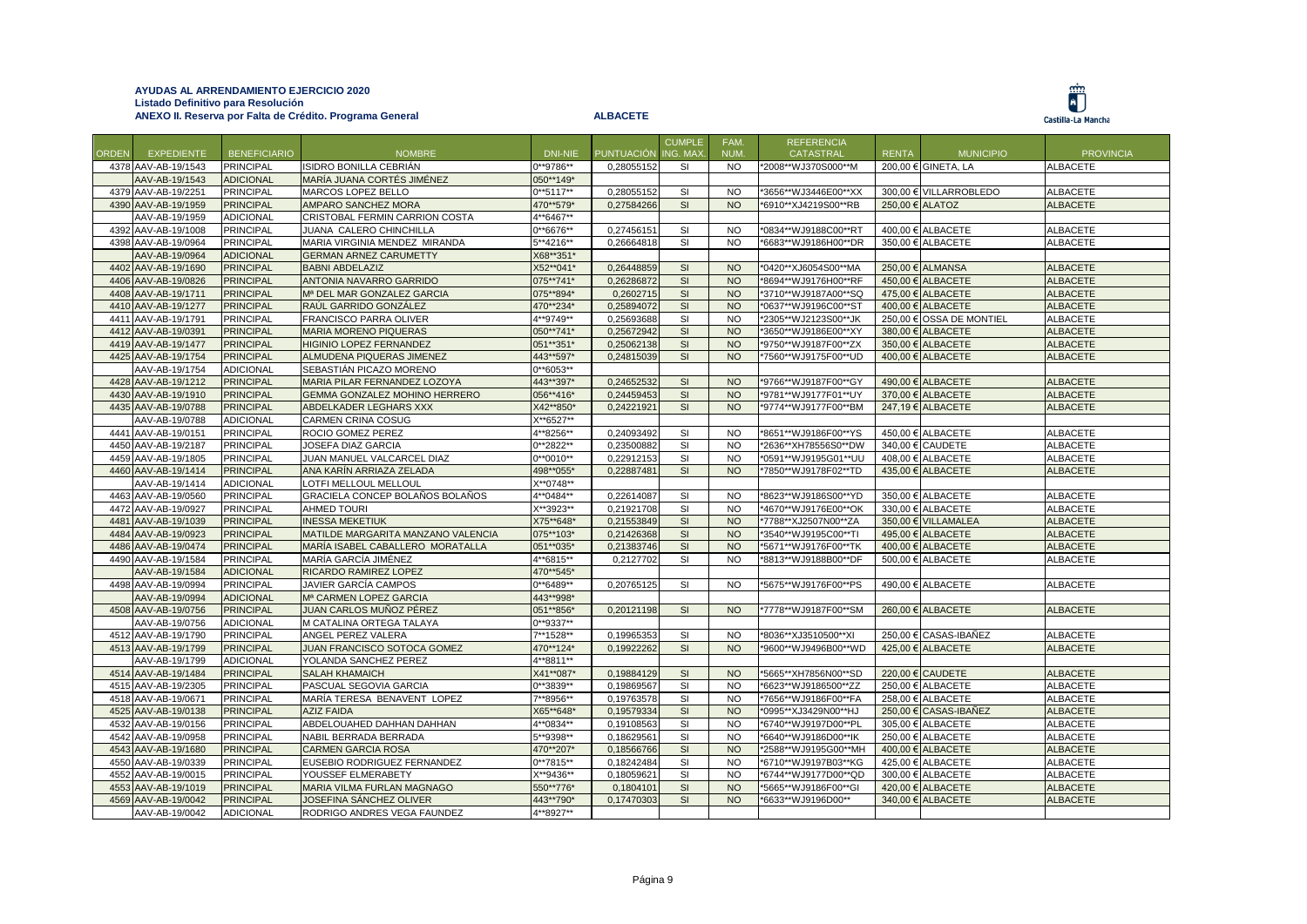|       |                                            |                                      |                                        |              |                          | <b>CUMPLE</b>   | FAM.                   | <b>REFERENCIA</b>    |              |                          |                  |
|-------|--------------------------------------------|--------------------------------------|----------------------------------------|--------------|--------------------------|-----------------|------------------------|----------------------|--------------|--------------------------|------------------|
| ORDEN | <b>EXPEDIENTE</b>                          | <b>BENEFICIARIO</b>                  | <b>NOMBRE</b>                          | DNI-NIE      | <b>PUNTUACIÓN</b>        | <b>ING. MAX</b> | NUM.                   | <b>CATASTRAL</b>     | <b>RENTA</b> | <b>MUNICIPIO</b>         | <b>PROVINCIA</b> |
|       | 4378 AAV-AB-19/1543                        | <b>PRINCIPAL</b>                     | ISIDRO BONILLA CEBRIÁN                 | 0**9786**    | 0,28055152               | <b>SI</b>       | NO.                    | *2008**WJ370S000**M  |              | 200.00 € GINETA. LA      | <b>ALBACETE</b>  |
|       | AAV-AB-19/1543                             | <b>ADICIONAL</b>                     | MARÍA JUANA CORTÉS JIMÉNEZ             | 050**149*    |                          |                 |                        |                      |              |                          |                  |
|       | 4379 AAV-AB-19/2251                        | <b>PRINCIPAL</b>                     | MARCOS LOPEZ BELLO                     | $0***5117**$ | 0,28055152               | SI              | <b>NO</b>              | *3656**WJ3446E00**XX |              | 300,00 € VILLARROBLEDO   | <b>ALBACETE</b>  |
|       | 4390 AAV-AB-19/1959                        | <b>PRINCIPAL</b>                     | <b>AMPARO SANCHEZ MORA</b>             | 470**579*    | 0,27584266               | SI              | <b>NO</b>              | *6910**XJ4219S00**RB |              | 250.00 € ALATOZ          | <b>ALBACETE</b>  |
|       | AAV-AB-19/1959                             | <b>ADICIONAL</b>                     | CRISTOBAL FERMIN CARRION COSTA         | 4**6467**    |                          |                 |                        |                      |              |                          |                  |
|       | 4392 AAV-AB-19/1008                        | <b>PRINCIPAL</b>                     | JUANA CALERO CHINCHILLA                | 0**6676**    | 0,27456151               | <b>SI</b>       | <b>NO</b>              | *0834**WJ9188C00**RT |              | 400,00 € ALBACETE        | <b>ALBACETE</b>  |
|       | 4398 AAV-AB-19/0964                        | <b>PRINCIPAL</b>                     | MARIA VIRGINIA MENDEZ MIRANDA          | 5**4216**    | 0,26664818               | SI              | <b>NO</b>              | *6683**WJ9186H00**DR |              | 350,00 € ALBACETE        | <b>ALBACETE</b>  |
|       | AAV-AB-19/0964                             | <b>ADICIONAL</b>                     | <b>GERMAN ARNEZ CARUMETTY</b>          | X68**351*    |                          |                 |                        |                      |              |                          |                  |
|       | 4402 AAV-AB-19/1690                        | <b>PRINCIPAL</b>                     | <b>BABNI ABDELAZIZ</b>                 | X52**041*    | 0,26448859               | SI              | <b>NO</b>              | *0420**XJ6054S00**MA |              | 250,00 € ALMANSA         | <b>ALBACETE</b>  |
|       | 4406 AAV-AB-19/0826                        | <b>PRINCIPAL</b>                     | <b>ANTONIA NAVARRO GARRIDO</b>         | 075**741*    | 0,26286872               | SI              | <b>NO</b>              | *8694**WJ9176H00**RF |              | 450,00 € ALBACETE        | <b>ALBACETE</b>  |
|       | 4408 AAV-AB-19/1711                        | <b>PRINCIPAL</b>                     | M <sup>a</sup> DEL MAR GONZALEZ GARCIA | 075**894*    | 0.2602715                | SI              | <b>NO</b>              | *3710**WJ9187A00**SQ |              | 475.00 € ALBACETE        | <b>ALBACETE</b>  |
|       | 4410 AAV-AB-19/1277                        | <b>PRINCIPAL</b>                     | RAÚL GARRIDO GONZÁLEZ                  | 470**234*    | 0,25894072               | SI              | <b>NO</b>              | *0637**WJ9196C00**ST |              | 400,00 € ALBACETE        | <b>ALBACETE</b>  |
|       | 4411 AAV-AB-19/1791                        | <b>PRINCIPAL</b>                     | FRANCISCO PARRA OLIVER                 | 4**9749**    | 0,25693688               | SI              | <b>NO</b>              | *2305**WJ2123S00**JK |              | 250,00 € OSSA DE MONTIEL | <b>ALBACETE</b>  |
|       | 4412 AAV-AB-19/0391                        | <b>PRINCIPAL</b>                     | <b>MARIA MORENO PIQUERAS</b>           | 050**741*    | 0,25672942               | SI              | <b>NO</b>              | *3650**WJ9186E00**XY |              | 380,00 € ALBACETE        | <b>ALBACETE</b>  |
|       | 4419 AAV-AB-19/1477                        | <b>PRINCIPAL</b>                     | HIGINIO LOPEZ FERNANDEZ                | 051**351*    | 0,25062138               | SI              | <b>NO</b>              | *9750**WJ9187F00**ZX |              | 350,00 € ALBACETE        | <b>ALBACETE</b>  |
|       | 4425 AAV-AB-19/1754                        | <b>PRINCIPAL</b>                     | ALMUDENA PIQUERAS JIMENEZ              | 443**597*    | 0,24815039               | SI              | <b>NO</b>              | *7560**WJ9175F00**UD |              | 400,00 € ALBACETE        | <b>ALBACETE</b>  |
|       | AAV-AB-19/1754                             | <b>ADICIONAL</b>                     | SEBASTIÁN PICAZO MORENO                | $0***6053**$ |                          |                 |                        |                      |              |                          |                  |
|       | 4428 AAV-AB-19/1212                        | <b>PRINCIPAL</b>                     | MARIA PILAR FERNANDEZ LOZOYA           | 443**397*    | 0,24652532               | SI              | <b>NO</b>              | *9766**WJ9187F00**GY |              | 490,00 € ALBACETE        | <b>ALBACETE</b>  |
|       | 4430 AAV-AB-19/1910                        | <b>PRINCIPAL</b>                     | GEMMA GONZALEZ MOHINO HERRERO          | 056**416*    | 0,24459453               | SI              | <b>NO</b>              | *9781**WJ9177F01**UY |              | 370,00 € ALBACETE        | <b>ALBACETE</b>  |
|       | 4435 AAV-AB-19/0788                        | <b>PRINCIPAL</b>                     | ABDELKADER LEGHARS XXX                 | X42**850*    | 0,24221921               | SI              | <b>NO</b>              | *9774**WJ9177F00**BM |              | 247,19 € ALBACETE        | <b>ALBACETE</b>  |
|       | AAV-AB-19/0788                             | <b>ADICIONAL</b>                     | <b>CARMEN CRINA COSUG</b>              | X**6527**    |                          |                 |                        |                      |              |                          |                  |
|       | 4441 AAV-AB-19/0151                        | <b>PRINCIPAL</b>                     | ROCIO GOMEZ PEREZ                      | 4**8256**    | 0,24093492               | SI              | <b>NO</b>              | *8651**WJ9186F00**YS |              | 450,00 € ALBACETE        | <b>ALBACETE</b>  |
|       | 4450 AAV-AB-19/2187                        | <b>PRINCIPAL</b>                     | JOSEFA DIAZ GARCIA                     | 0**2822**    | 0,23500882               | SI              | N <sub>O</sub>         | *2636**XH78556S0**DW |              | 340,00 € CAUDETE         | <b>ALBACETE</b>  |
|       | 4459 AAV-AB-19/1805                        | <b>PRINCIPAL</b>                     | JUAN MANUEL VALCARCEL DIAZ             | $0**0010**$  | 0.22912153               | <b>SI</b>       | <b>NO</b>              | *0591**WJ9195G01**UU |              | 408.00 € ALBACETE        | <b>ALBACETE</b>  |
|       | 4460 AAV-AB-19/1414                        | <b>PRINCIPAL</b>                     | ANA KARÍN ARRIAZA ZELADA               | 498**055*    | 0,22887481               | SI              | <b>NO</b>              | *7850**WJ9178F02**TD |              | 435,00 € ALBACETE        | <b>ALBACETE</b>  |
|       | AAV-AB-19/1414                             | <b>ADICIONAL</b>                     | LOTFI MELLOUL MELLOUL                  | X**0748**    |                          |                 |                        |                      |              |                          |                  |
|       |                                            |                                      | GRACIELA CONCEP BOLAÑOS BOLAÑOS        | 4**0484**    |                          | <b>SI</b>       | N <sub>O</sub>         |                      |              | 350,00 € ALBACETE        | <b>ALBACETE</b>  |
|       | 4463 AAV-AB-19/0560<br>4472 AAV-AB-19/0927 | <b>PRINCIPAL</b><br><b>PRINCIPAL</b> | <b>AHMED TOURI</b>                     | X**3923**    | 0,22614087<br>0,21921708 | <b>SI</b>       | <b>NO</b>              | *8623**WJ9186S00**YD |              | 330,00 € ALBACETE        | <b>ALBACETE</b>  |
|       |                                            |                                      |                                        |              |                          |                 |                        | *4670**WJ9176E00**OK |              |                          |                  |
|       | 4481 AAV-AB-19/1039                        | <b>PRINCIPAL</b>                     | <b>INESSA MEKETIUK</b>                 | X75**648*    | 0,21553849               | SI              | <b>NO</b><br><b>NO</b> | *7788**XJ2507N00**ZA |              | 350,00 € VILLAMALEA      | <b>ALBACETE</b>  |
|       | 4484 AAV-AB-19/0923                        | <b>PRINCIPAL</b>                     | MATILDE MARGARITA MANZANO VALENCIA     | 075**103*    | 0,21426368               | SI              |                        | *3540**WJ9195C00**TI |              | 495,00 € ALBACETE        | <b>ALBACETE</b>  |
|       | 4486 AAV-AB-19/0474                        | <b>PRINCIPAL</b>                     | MARÍA ISABEL CABALLERO MORATALLA       | 051**035*    | 0,21383746               | SI              | <b>NO</b>              | *5671**WJ9176F00**TK |              | 400,00 € ALBACETE        | <b>ALBACETE</b>  |
|       | 4490 AAV-AB-19/1584                        | <b>PRINCIPAL</b>                     | MARÍA GARCÍA JIMÉNEZ                   | 4**6815**    | 0,2127702                | <b>SI</b>       | <b>NO</b>              | *8813**WJ9188B00**DF |              | 500,00 € ALBACETE        | <b>ALBACETE</b>  |
|       | AAV-AB-19/1584                             | <b>ADICIONAL</b>                     | RICARDO RAMIREZ LOPEZ                  | 470**545*    |                          |                 |                        |                      |              |                          |                  |
|       | 4498 AAV-AB-19/0994                        | <b>PRINCIPAL</b>                     | JAVIER GARCÍA CAMPOS                   | $0**6489**$  | 0,20765125               | SI              | <b>NO</b>              | *5675**WJ9176F00**PS |              | 490,00 € ALBACETE        | <b>ALBACETE</b>  |
|       | AAV-AB-19/0994                             | <b>ADICIONAL</b>                     | Mª CARMEN LOPEZ GARCIA                 | 443**998*    |                          |                 |                        |                      |              |                          |                  |
|       | 4508 AAV-AB-19/0756                        | <b>PRINCIPAL</b>                     | JUAN CARLOS MUÑOZ PÉREZ                | 051**856*    | 0,20121198               | SI              | <b>NO</b>              | *7778**WJ9187F00**SM |              | 260,00 € ALBACETE        | <b>ALBACETE</b>  |
|       | AAV-AB-19/0756                             | <b>ADICIONAL</b>                     | M CATALINA ORTEGA TALAYA               | 0**9337**    |                          |                 |                        |                      |              |                          |                  |
|       | 4512 AAV-AB-19/1790                        | <b>PRINCIPAL</b>                     | ANGEL PEREZ VALERA                     | 7**1528**    | 0,19965353               | SI              | <b>NO</b>              | *8036**XJ3510500**XI |              | 250,00 € CASAS-IBAÑEZ    | <b>ALBACETE</b>  |
|       | 4513 AAV-AB-19/1799                        | <b>PRINCIPAL</b>                     | JUAN FRANCISCO SOTOCA GOMEZ            | 470**124*    | 0,19922262               | SI              | <b>NO</b>              | *9600**WJ9496B00**WD |              | 425,00 € ALBACETE        | <b>ALBACETE</b>  |
|       | AAV-AB-19/1799                             | <b>ADICIONAL</b>                     | YOLANDA SANCHEZ PEREZ                  | 4**8811**    |                          |                 |                        |                      |              |                          |                  |
|       | 4514 AAV-AB-19/1484                        | <b>PRINCIPAL</b>                     | <b>SALAH KHAMAICH</b>                  | X41**087*    | 0,19884129               | SI              | <b>NO</b>              | *5665**XH7856N00**SD |              | 220,00 € CAUDETE         | <b>ALBACETE</b>  |
|       | 4515 AAV-AB-19/2305                        | <b>PRINCIPAL</b>                     | PASCUAL SEGOVIA GARCIA                 | $0***3839**$ | 0,19869567               | <b>SI</b>       | <b>NO</b>              | *6623**WJ9186500**ZZ |              | 250.00 € ALBACETE        | <b>ALBACETE</b>  |
|       | 4518 AAV-AB-19/0671                        | <b>PRINCIPAL</b>                     | MARÍA TERESA BENAVENT LOPEZ            | 7**8956**    | 0,19763578               | SI              | <b>NO</b>              | *7656**WJ9186F00**FA |              | 258,00 € ALBACETE        | <b>ALBACETE</b>  |
|       | 4525 AAV-AB-19/0138                        | <b>PRINCIPAL</b>                     | <b>AZIZ FAIDA</b>                      | X65**648*    | 0,19579334               | SI              | <b>NO</b>              | *0995**XJ3429N00**HJ |              | 250,00 € CASAS-IBAÑEZ    | <b>ALBACETE</b>  |
|       | 4532 AAV-AB-19/0156                        | <b>PRINCIPAL</b>                     | ABDELOUAHED DAHHAN DAHHAN              | 4**0834**    | 0,19108563               | <b>SI</b>       | <b>NO</b>              | *6740**WJ9197D00**PL |              | 305,00 € ALBACETE        | <b>ALBACETE</b>  |
|       | 4542 AAV-AB-19/0958                        | <b>PRINCIPAL</b>                     | NABIL BERRADA BERRADA                  | 5**9398**    | 0,18629561               | SI              | <b>NO</b>              | *6640**WJ9186D00**IK |              | 250,00 € ALBACETE        | <b>ALBACETE</b>  |
|       | 4543 AAV-AB-19/1680                        | <b>PRINCIPAL</b>                     | <b>CARMEN GARCIA ROSA</b>              | 470**207*    | 0,18566766               | SI              | <b>NO</b>              | *2588**WJ9195G00**MH |              | 400,00 € ALBACETE        | <b>ALBACETE</b>  |
|       | 4550 AAV-AB-19/0339                        | <b>PRINCIPAL</b>                     | EUSEBIO RODRIGUEZ FERNANDEZ            | $0***7815**$ | 0,18242484               | SI              | <b>NO</b>              | *6710**WJ9197B03**KG |              | 425,00 € ALBACETE        | <b>ALBACETE</b>  |
|       | 4552 AAV-AB-19/0015                        | <b>PRINCIPAL</b>                     | YOUSSEF ELMERABETY                     | X**9436**    | 0,1805962                | SI              | <b>NO</b>              | *6744**WJ9177D00**QD |              | 300,00 € ALBACETE        | <b>ALBACETE</b>  |
|       | 4553 AAV-AB-19/1019                        | <b>PRINCIPAL</b>                     | MARIA VILMA FURLAN MAGNAGO             | 550**776*    | 0.1804101                | SI              | <b>NO</b>              | *5665**WJ9186F00**GI | 420.00 €     | <b>ALBACETE</b>          | <b>ALBACETE</b>  |
|       | 4569 AAV-AB-19/0042                        | <b>PRINCIPAL</b>                     | JOSEFINA SÁNCHEZ OLIVER                | 443**790*    | 0,17470303               | SI              | <b>NO</b>              | *6633**WJ9196D00**   |              | 340,00 € ALBACETE        | <b>ALBACETE</b>  |
|       | AAV-AB-19/0042                             | <b>ADICIONAL</b>                     | RODRIGO ANDRES VEGA FAUNDEZ            | 4**8927**    |                          |                 |                        |                      |              |                          |                  |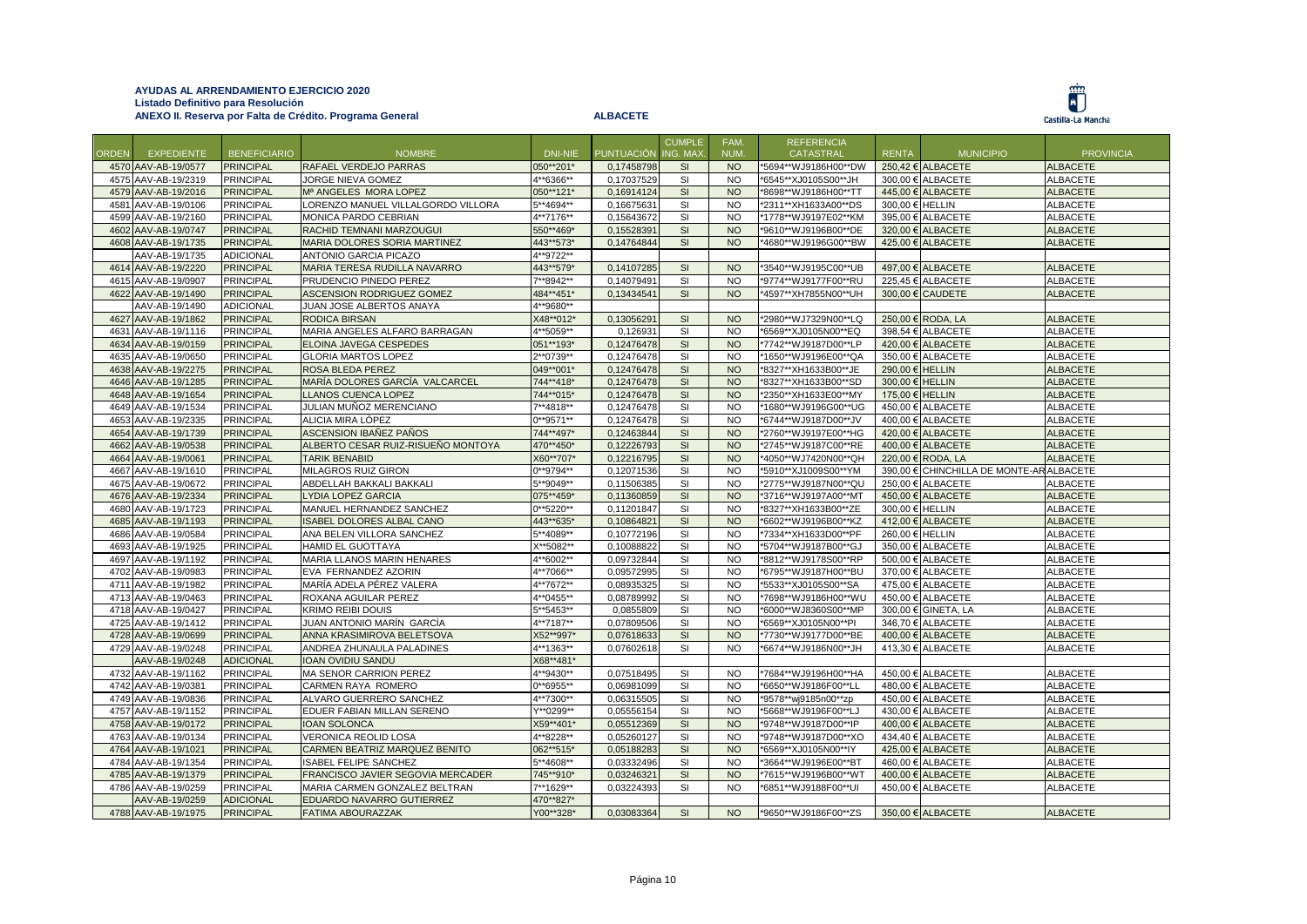



|              |                     |                     |                                    |              |                   | <b>CUMPLE</b>  | FAM.      | <b>REFERENCIA</b>    |                 |                                          |                  |
|--------------|---------------------|---------------------|------------------------------------|--------------|-------------------|----------------|-----------|----------------------|-----------------|------------------------------------------|------------------|
| <b>ORDEN</b> | <b>EXPEDIENTE</b>   | <b>BENEFICIARIO</b> | <b>NOMBRE</b>                      | DNI-NIE      | <b>PUNTUACIÓN</b> | <b>NG. MAX</b> | NUM.      | CATASTRAL            | <b>RENTA</b>    | <b>MUNICIPIO</b>                         | <b>PROVINCIA</b> |
|              | 4570 AAV-AB-19/0577 | <b>PRINCIPAL</b>    | RAFAEL VERDEJO PARRAS              | 050**201*    | 0,17458798        | SI             | <b>NO</b> | *5694**WJ9186H00**DW |                 | 250.42 $€$ ALBACETE                      | <b>ALBACETE</b>  |
|              | 4575 AAV-AB-19/2319 | <b>PRINCIPAL</b>    | JORGE NIEVA GOMEZ                  | 4**6366**    | 0,17037529        | SI             | <b>NO</b> | *6545**XJ0105S00**JH |                 | 300,00 € ALBACETE                        | <b>ALBACETE</b>  |
|              | 4579 AAV-AB-19/2016 | <b>PRINCIPAL</b>    | Mª ANGELES MORA LOPEZ              | 050**121*    | 0,16914124        | SI             | <b>NO</b> | *8698**WJ9186H00**TT |                 | 445.00 € ALBACETE                        | <b>ALBACETE</b>  |
| 4581         | AAV-AB-19/0106      | <b>PRINCIPAL</b>    | LORENZO MANUEL VILLALGORDO VILLORA | 5**4694**    | 0,16675631        | SI             | <b>NO</b> | *2311**XH1633A00**DS | 300,00 € HELLIN |                                          | <b>ALBACETE</b>  |
|              | 4599 AAV-AB-19/2160 | <b>PRINCIPAL</b>    | MONICA PARDO CEBRIAN               | 4**7176**    | 0,15643672        | SI             | <b>NO</b> | *1778**WJ9197E02**KM |                 | 395,00 € ALBACETE                        | ALBACETE         |
|              | 4602 AAV-AB-19/0747 | <b>PRINCIPAL</b>    | RACHID TEMNANI MARZOUGUI           | 550**469*    | 0,15528391        | SI             | <b>NO</b> | *9610**WJ9196B00**DE |                 | 320.00 € ALBACETE                        | <b>ALBACETE</b>  |
|              | 4608 AAV-AB-19/1735 | <b>PRINCIPAL</b>    | MARIA DOLORES SORIA MARTINEZ       | 443**573*    | 0,14764844        | SI             | <b>NO</b> | *4680**WJ9196G00**BW |                 | 425,00 € ALBACETE                        | <b>ALBACETE</b>  |
|              | AAV-AB-19/1735      | <b>ADICIONAL</b>    | <b>ANTONIO GARCIA PICAZO</b>       | 4**9722**    |                   |                |           |                      |                 |                                          |                  |
|              | 4614 AAV-AB-19/2220 | <b>PRINCIPAL</b>    | MARIA TERESA RUDILLA NAVARRO       | 443**579*    | 0,14107285        | SI             | <b>NO</b> | *3540**WJ9195C00**UB |                 | 497,00 € ALBACETE                        | <b>ALBACETE</b>  |
|              | 4615 AAV-AB-19/0907 | <b>PRINCIPAL</b>    | PRUDENCIO PINEDO PEREZ             | 7**8942**    | 0,14079491        | SI             | <b>NO</b> | *9774**WJ9177F00**RU |                 | 225.45 € ALBACETE                        | <b>ALBACETE</b>  |
|              | 4622 AAV-AB-19/1490 | <b>PRINCIPAL</b>    | ASCENSION RODRIGUEZ GOMEZ          | 484**451*    | 0,13434541        | SI             | <b>NO</b> | *4597**XH7855N00**UH |                 | 300,00 € CAUDETE                         | <b>ALBACETE</b>  |
|              | AAV-AB-19/1490      | <b>ADICIONAL</b>    | JUAN JOSE ALBERTOS ANAYA           | 4**9680**    |                   |                |           |                      |                 |                                          |                  |
|              | 4627 AAV-AB-19/1862 | <b>PRINCIPAL</b>    | RODICA BIRSAN                      | X48**012*    | 0,13056291        | SI             | <b>NO</b> | *2980**WJ7329N00**LQ |                 | 250,00 € RODA, LA                        | <b>ALBACETE</b>  |
|              | 4631 AAV-AB-19/1116 | <b>PRINCIPAL</b>    | MARIA ANGELES ALFARO BARRAGAN      | 4**5059**    | 0,126931          | SI             | <b>NO</b> | *6569**XJ0105N00**EQ |                 | 398,54 € ALBACETE                        | ALBACETE         |
|              | 4634 AAV-AB-19/0159 | <b>PRINCIPAL</b>    | ELOINA JAVEGA CESPEDES             | 051**193*    | 0,12476478        | SI             | <b>NO</b> | *7742**WJ9187D00**LP |                 | 420.00 € ALBACETE                        | <b>ALBACETE</b>  |
|              | 4635 AAV-AB-19/0650 | <b>PRINCIPAL</b>    | <b>GLORIA MARTOS LOPEZ</b>         | 2**0739**    | 0,12476478        | SI             | <b>NO</b> | 1650**WJ9196E00**QA  |                 | 350,00 € ALBACETE                        | <b>ALBACETE</b>  |
|              | 4638 AAV-AB-19/2275 | <b>PRINCIPAL</b>    | ROSA BLEDA PEREZ                   | 049**001*    | 0,12476478        | <b>SI</b>      | <b>NO</b> | *8327**XH1633B00**JE | 290.00 € HELLIN |                                          | <b>ALBACETE</b>  |
|              | 4646 AAV-AB-19/1285 | <b>PRINCIPAL</b>    | MARÍA DOLORES GARCÍA VALCARCEL     | 744**418*    | 0,12476478        | SI             | <b>NO</b> | *8327**XH1633B00**SD | 300,00 € HELLIN |                                          | <b>ALBACETE</b>  |
|              | 4648 AAV-AB-19/1654 | <b>PRINCIPAL</b>    | <b>LLANOS CUENCA LOPEZ</b>         | 744**015*    | 0,12476478        | SI             | <b>NO</b> | *2350**XH1633E00**MY | 175,00 € HELLIN |                                          | <b>ALBACETE</b>  |
|              | 4649 AAV-AB-19/1534 | <b>PRINCIPAL</b>    | JULIAN MUÑOZ MERENCIANO            | 7**4818**    | 0,12476478        | SI             | <b>NO</b> | 1680**WJ9196G00**UG  |                 | 450.00 € ALBACETE                        | <b>ALBACETE</b>  |
|              | 4653 AAV-AB-19/2335 | <b>PRINCIPAL</b>    | ALICIA MIRA LÓPEZ                  | $0***9571**$ | 0,12476478        | SI             | <b>NO</b> | *6744**WJ9187D00**JV |                 | 400,00 € ALBACETE                        | <b>ALBACETE</b>  |
|              | 4654 AAV-AB-19/1739 | <b>PRINCIPAL</b>    | ASCENSION IBANEZ PANOS             | 744**497*    | 0,12463844        | SI             | <b>NO</b> | *2760**WJ9197E00**HG |                 | 420,00 € ALBACETE                        | <b>ALBACETE</b>  |
|              | 4662 AAV-AB-19/0538 | <b>PRINCIPAL</b>    | ALBERTO CESAR RUIZ-RISUEÑO MONTOYA | 470**450*    | 0,12226793        | SI             | <b>NO</b> | *2745**WJ9187C00**RE |                 | 400,00 € ALBACETE                        | <b>ALBACETE</b>  |
|              | 4664 AAV-AB-19/0061 | <b>PRINCIPAL</b>    | <b>TARIK BENABID</b>               | X60**707*    | 0,12216795        | SI             | <b>NO</b> | *4050**WJ7420N00**QH |                 | 220.00 € RODA, LA                        | <b>ALBACETE</b>  |
|              | 4667 AAV-AB-19/1610 | <b>PRINCIPAL</b>    | MILAGROS RUIZ GIRON                | 0**9794**    | 0,12071536        | SI             | <b>NO</b> | *5910**XJ1009S00**YM |                 | 390,00 € CHINCHILLA DE MONTE-AR ALBACETE |                  |
|              | 4675 AAV-AB-19/0672 | <b>PRINCIPAL</b>    | ABDELLAH BAKKALI BAKKALI           | 5**9049**    | 0,11506385        | SI             | <b>NO</b> | *2775**WJ9187N00**QU |                 | 250,00 € ALBACETE                        | ALBACETE         |
|              | 4676 AAV-AB-19/2334 | <b>PRINCIPAL</b>    | <b>LYDIA LOPEZ GARCIA</b>          | 075**459*    | 0,11360859        | SI             | <b>NO</b> | *3716**WJ9197A00**MT |                 | 450,00 € ALBACETE                        | <b>ALBACETE</b>  |
|              | 4680 AAV-AB-19/1723 | <b>PRINCIPAL</b>    | MANUEL HERNANDEZ SANCHEZ           | $0***5220**$ | 0,11201847        | SI             | <b>NO</b> | *8327**XH1633B00**ZE | 300,00 € HELLIN |                                          | <b>ALBACETE</b>  |
|              | 4685 AAV-AB-19/1193 | <b>PRINCIPAL</b>    | <b>SABEL DOLORES ALBAL CANO</b>    | 443**635*    | 0,10864821        | SI             | <b>NO</b> | '6602**WJ9196B00**KZ |                 | 412.00 € ALBACETE                        | <b>ALBACETE</b>  |
|              | 4686 AAV-AB-19/0584 | <b>PRINCIPAL</b>    | ANA BELEN VILLORA SANCHEZ          | 5**4089**    | 0,10772196        | SI             | <b>NO</b> | *7334**XH1633D00**PF | 260,00 € HELLIN |                                          | <b>ALBACETE</b>  |
|              | 4693 AAV-AB-19/1925 | <b>PRINCIPAL</b>    | <b>HAMID EL GUOTTAYA</b>           | X**5082**    | 0,10088822        | SI             | <b>NO</b> | *5704**WJ9187B00**GJ |                 | 350,00 € ALBACETE                        | <b>ALBACETE</b>  |
|              | 4697 AAV-AB-19/1192 | <b>PRINCIPAL</b>    | MARIA LLANOS MARIN HENARES         | 4**6002**    | 0,09732844        | SI             | <b>NO</b> | *8812**WJ9178S00**RP |                 | $500.00 \in$ ALBACETE                    | <b>ALBACETE</b>  |
|              | 4702 AAV-AB-19/0983 | <b>PRINCIPAL</b>    | EVA FERNANDEZ AZORIN               | 4**7066**    | 0,09572995        | SI             | <b>NO</b> | *6795**WJ9187H00**BU |                 | 370,00 € ALBACETE                        | <b>ALBACETE</b>  |
|              | 4711 AAV-AB-19/1982 | <b>PRINCIPAL</b>    | MARÍA ADELA PÉREZ VALERA           | 4**7672**    | 0,08935325        | SI             | <b>NO</b> | *5533**XJ0105S00**SA |                 | 475,00 € ALBACETE                        | <b>ALBACETE</b>  |
|              | 4713 AAV-AB-19/0463 | <b>PRINCIPAL</b>    | ROXANA AGUILAR PEREZ               | 4**0455**    | 0,08789992        | SI             | <b>NO</b> | *7698**WJ9186H00**WU |                 | 450,00 € ALBACETE                        | <b>ALBACETE</b>  |
|              | 4718 AAV-AB-19/0427 | <b>PRINCIPAL</b>    | <b>KRIMO REIBI DOUIS</b>           | 5**5453**    | 0,0855809         | SI             | <b>NO</b> | *6000**WJ8360S00**MP |                 | 300.00 € GINETA. LA                      | <b>ALBACETE</b>  |
|              | 4725 AAV-AB-19/1412 | <b>PRINCIPAL</b>    | JUAN ANTONIO MARÍN GARCÍA          | 4**7187**    | 0,07809506        | SI             | <b>NO</b> | *6569**XJ0105N00**PI |                 | 346,70 € ALBACETE                        | <b>ALBACETE</b>  |
|              | 4728 AAV-AB-19/0699 | <b>PRINCIPAL</b>    | ANNA KRASIMIROVA BELETSOVA         | X52**997*    | 0,07618633        | SI             | <b>NO</b> | '7730**WJ9177D00**BE |                 | 400.00 € ALBACETE                        | <b>ALBACETE</b>  |
|              | 4729 AAV-AB-19/0248 | <b>PRINCIPAL</b>    | ANDREA ZHUNAULA PALADINES          | 4**1363**    | 0,07602618        | SI             | <b>NO</b> | *6674**WJ9186N00**JH |                 | 413,30 € ALBACETE                        | <b>ALBACETE</b>  |
|              | AAV-AB-19/0248      | <b>ADICIONAL</b>    | IOAN OVIDIU SANDU                  | X68**481*    |                   |                |           |                      |                 |                                          |                  |
|              | 4732 AAV-AB-19/1162 | <b>PRINCIPAL</b>    | MA SENOR CARRION PEREZ             | 4**9430**    | 0,07518495        | SI             | <b>NO</b> | 7684**WJ9196H00**HA  |                 | 450,00 € ALBACETE                        | <b>ALBACETE</b>  |
|              | 4742 AAV-AB-19/0381 | <b>PRINCIPAL</b>    | CARMEN RAYA ROMERO                 | 0**6955**    | 0,06981099        | SI             | <b>NO</b> | *6650**WJ9186F00**LL |                 | 480,00 € ALBACETE                        | <b>ALBACETE</b>  |
|              | 4749 AAV-AB-19/0836 | <b>PRINCIPAL</b>    | ALVARO GUERRERO SANCHEZ            | 4**7300**    | 0,06315505        | <b>SI</b>      | <b>NO</b> | *9578**wj9185n00**zp |                 | 450.00 € ALBACETE                        | <b>ALBACETE</b>  |
|              | 4757 AAV-AB-19/1152 | <b>PRINCIPAL</b>    | EDUER FABIAN MILLAN SERENO         | Y**0299**    | 0,05556154        | SI             | <b>NO</b> | *5668**WJ9196F00**LJ |                 | 430,00 € ALBACETE                        | <b>ALBACETE</b>  |
|              | 4758 AAV-AB-19/0172 | <b>PRINCIPAL</b>    | <b>IOAN SOLONCA</b>                | X59**401*    | 0,05512369        | SI             | <b>NO</b> | *9748**WJ9187D00**IP |                 | 400,00 € ALBACETE                        | <b>ALBACETE</b>  |
|              | 4763 AAV-AB-19/0134 | <b>PRINCIPAL</b>    | <b>VERONICA REOLID LOSA</b>        | 4**8228**    | 0,05260127        | SI             | <b>NO</b> | *9748**WJ9187D00**XO |                 | 434.40 € ALBACETE                        | <b>ALBACETE</b>  |
|              | 4764 AAV-AB-19/1021 | <b>PRINCIPAL</b>    | CARMEN BEATRIZ MARQUEZ BENITO      | 062**515*    | 0,05188283        | SI             | <b>NO</b> | *6569**XJ0105N00**IY |                 | 425,00 € ALBACETE                        | <b>ALBACETE</b>  |
|              | 4784 AAV-AB-19/1354 | <b>PRINCIPAL</b>    | <b>ISABEL FELIPE SANCHEZ</b>       | 5**4608**    | 0,03332496        | SI             | <b>NO</b> | *3664**WJ9196E00**BT |                 | 460,00 € ALBACETE                        | <b>ALBACETE</b>  |
|              | 4785 AAV-AB-19/1379 | <b>PRINCIPAL</b>    | FRANCISCO JAVIER SEGOVIA MERCADER  | 745**910*    | 0,03246321        | SI             | <b>NO</b> | *7615**WJ9196B00**WT |                 | 400,00 € ALBACETE                        | <b>ALBACETE</b>  |
|              | 4786 AAV-AB-19/0259 | <b>PRINCIPAL</b>    | MARIA CARMEN GONZALEZ BELTRAN      | 7**1629**    | 0.03224393        | SI             | <b>NO</b> | '6851**WJ9188F00**UI |                 | 450.00 € ALBACETE                        | <b>ALBACETE</b>  |
|              | AAV-AB-19/0259      | <b>ADICIONAL</b>    | EDUARDO NAVARRO GUTIERREZ          | 470**827*    |                   |                |           |                      |                 |                                          |                  |
|              | 4788 AAV-AB-19/1975 | <b>PRINCIPAL</b>    | <b>FATIMA ABOURAZZAK</b>           | Y00**328*    | 0,03083364        | SI             | <b>NO</b> | *9650**WJ9186F00**ZS |                 | 350,00 € ALBACETE                        | <b>ALBACETE</b>  |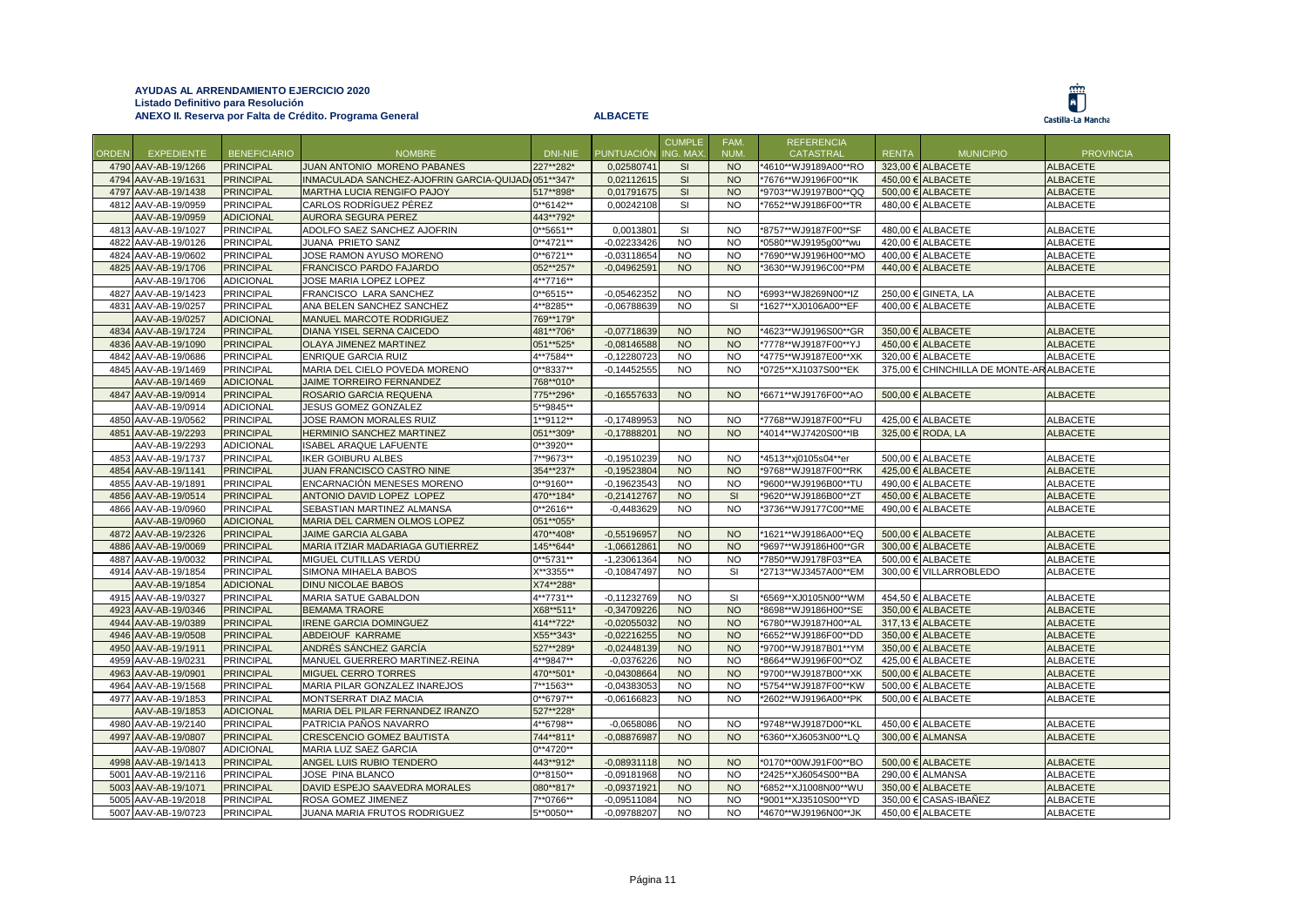|              |                     |                     |                                           |               |                   | <b>CUMPLE</b> | FAM.       | <b>REFERENCIA</b>    |              |                                 |                  |
|--------------|---------------------|---------------------|-------------------------------------------|---------------|-------------------|---------------|------------|----------------------|--------------|---------------------------------|------------------|
| <b>ORDEN</b> | <b>EXPEDIENTE</b>   | <b>BENEFICIARIO</b> | <b>NOMBRE</b>                             | DNI-NIE       | <b>PUNTUACIÓN</b> | ING. MAX      | <b>NUM</b> | <b>CATASTRAL</b>     | <b>RENTA</b> | <b>MUNICIPIO</b>                | <b>PROVINCIA</b> |
|              | 4790 AAV-AB-19/1266 | <b>PRINCIPAL</b>    | JUAN ANTONIO MORENO PABANES               | 227**282*     | 0,02580741        | <b>SI</b>     | <b>NO</b>  | *4610**WJ9189A00**RO |              | 323,00 € ALBACETE               | <b>ALBACETE</b>  |
| 4794         | AAV-AB-19/1631      | <b>PRINCIPAL</b>    | INMACULADA SANCHEZ-AJOFRIN GARCIA-QUIJAD/ | 051**347*     | 0.02112615        | <b>SI</b>     | <b>NO</b>  | *7676**WJ9196F00**IK |              | 450.00 € ALBACETE               | <b>ALBACETE</b>  |
|              | 4797 AAV-AB-19/1438 | <b>PRINCIPAL</b>    | MARTHA LUCIA RENGIFO PAJOY                | 517**898*     | 0,01791675        | SI            | <b>NO</b>  | *9703**WJ9197B00**QQ |              | 500,00 € ALBACETE               | <b>ALBACETE</b>  |
|              | 4812 AAV-AB-19/0959 | <b>PRINCIPAL</b>    | CARLOS RODRÍGUEZ PÉREZ                    | $0**6142**$   | 0,00242108        | SI            | <b>NO</b>  | *7652**WJ9186F00**TR |              | 480,00 € ALBACETE               | <b>ALBACETE</b>  |
|              | AAV-AB-19/0959      | <b>ADICIONAL</b>    | <b>AURORA SEGURA PEREZ</b>                | 443**792*     |                   |               |            |                      |              |                                 |                  |
|              | 4813 AAV-AB-19/1027 | <b>PRINCIPAL</b>    | ADOLFO SAEZ SANCHEZ AJOFRIN               | $0**$ 5651**  | 0,001380          | SI            | <b>NO</b>  | *8757**WJ9187F00**SF |              | 480,00 € ALBACETE               | <b>ALBACETE</b>  |
|              | 4822 AAV-AB-19/0126 | <b>PRINCIPAL</b>    | JUANA PRIETO SANZ                         | $0***4721**$  | $-0,02233426$     | <b>NO</b>     | <b>NO</b>  | *0580**WJ9195g00**wu |              | 420,00 € ALBACETE               | <b>ALBACETE</b>  |
|              | 4824 AAV-AB-19/0602 | <b>PRINCIPAL</b>    | JOSE RAMON AYUSO MORENO                   | $0***6721**$  | $-0.03118654$     | <b>NO</b>     | <b>NO</b>  | *7690**WJ9196H00**MO |              | 400,00 € ALBACETE               | ALBACETE         |
|              | 4825 AAV-AB-19/1706 | <b>PRINCIPAL</b>    | FRANCISCO PARDO FAJARDO                   | 052**257*     | $-0.04962591$     | <b>NO</b>     | <b>NO</b>  | *3630**WJ9196C00**PM |              | 440,00 € ALBACETE               | <b>ALBACETE</b>  |
|              | AAV-AB-19/1706      | ADICIONAL           | JOSE MARIA LOPEZ LOPEZ                    | 4**7716**     |                   |               |            |                      |              |                                 |                  |
|              | 4827 AAV-AB-19/1423 | <b>PRINCIPAL</b>    | FRANCISCO LARA SANCHEZ                    | $0***6515**$  | $-0.05462352$     | <b>NO</b>     | <b>NO</b>  | *6993**WJ8269N00**IZ |              | 250,00 € GINETA, LA             | <b>ALBACETE</b>  |
|              | 4831 AAV-AB-19/0257 | PRINCIPAL           | ANA BELEN SANCHEZ SANCHEZ                 | 4**8285**     | $-0.06788639$     | <b>NO</b>     | SI         | *1627**XJ0106A00**EF |              | 400,00 € ALBACETE               | <b>ALBACETE</b>  |
|              | AAV-AB-19/0257      | <b>ADICIONAL</b>    | MANUEL MARCOTE RODRIGUEZ                  | 769**179*     |                   |               |            |                      |              |                                 |                  |
|              | 4834 AAV-AB-19/1724 | <b>PRINCIPAL</b>    | DIANA YISEL SERNA CAICEDO                 | 481**706*     | $-0,07718639$     | <b>NO</b>     | <b>NO</b>  | *4623**WJ9196S00**GR |              | 350,00 € ALBACETE               | <b>ALBACETE</b>  |
|              | 4836 AAV-AB-19/1090 | <b>PRINCIPAL</b>    | <b>OLAYA JIMENEZ MARTINEZ</b>             | 051**525*     | $-0,08146588$     | <b>NO</b>     | <b>NO</b>  | *7778**WJ9187F00**YJ |              | 450,00 € ALBACETE               | <b>ALBACETE</b>  |
|              | 4842 AAV-AB-19/0686 | <b>PRINCIPAL</b>    | ENRIQUE GARCIA RUIZ                       | 4**7584**     | $-0,12280723$     | <b>NO</b>     | <b>NO</b>  | *4775**WJ9187E00**XK |              | 320,00 € ALBACETE               | ALBACETE         |
|              | 4845 AAV-AB-19/1469 | PRINCIPAL           | MARIA DEL CIELO POVEDA MORENO             | 0**8337**     | $-0,14452555$     | <b>NO</b>     | <b>NO</b>  | *0725**XJ1037S00**EK | 375,00 €     | CHINCHILLA DE MONTE-AR ALBACETE |                  |
|              | AAV-AB-19/1469      | <b>ADICIONAL</b>    | JAIME TORREIRO FERNANDEZ                  | 768**010*     |                   |               |            |                      |              |                                 |                  |
|              | 4847 AAV-AB-19/0914 | <b>PRINCIPAL</b>    | ROSARIO GARCIA REQUENA                    | 775**296*     | $-0,16557633$     | <b>NO</b>     | <b>NO</b>  | *6671**WJ9176F00**AO |              | 500,00 € ALBACETE               | <b>ALBACETE</b>  |
|              | AAV-AB-19/0914      | <b>ADICIONAL</b>    | JESUS GOMEZ GONZALEZ                      | 5**9845**     |                   |               |            |                      |              |                                 |                  |
|              | 4850 AAV-AB-19/0562 | <b>PRINCIPAL</b>    | JOSE RAMON MORALES RUIZ                   | 1**9112**     | $-0.17489953$     | <b>NO</b>     | <b>NO</b>  | *7768**WJ9187F00**FU |              | 425.00 € ALBACETE               | <b>ALBACETE</b>  |
|              | 4851 AAV-AB-19/2293 | <b>PRINCIPAL</b>    | HERMINIO SANCHEZ MARTINEZ                 | 051**309*     | $-0,17888201$     | <b>NO</b>     | <b>NO</b>  | *4014**WJ7420S00**IB |              | 325,00 € RODA, LA               | <b>ALBACETE</b>  |
|              | AAV-AB-19/2293      | <b>ADICIONAL</b>    | <b>ISABEL ARAQUE LAFUENTE</b>             | $0***3920**$  |                   |               |            |                      |              |                                 |                  |
|              | 4853 AAV-AB-19/1737 | <b>PRINCIPAL</b>    | <b>IKER GOIBURU ALBES</b>                 | 7**9673**     | $-0.19510239$     | <b>NO</b>     | <b>NO</b>  | *4513**xj0105s04**er |              | 500,00 € ALBACETE               | <b>ALBACETE</b>  |
|              | 4854 AAV-AB-19/1141 | <b>PRINCIPAL</b>    | JUAN FRANCISCO CASTRO NINE                | 354**237*     | $-0,19523804$     | <b>NO</b>     | <b>NO</b>  | *9768**WJ9187F00**RK |              | 425,00 € ALBACETE               | <b>ALBACETE</b>  |
|              | 4855 AAV-AB-19/1891 | PRINCIPAL           | ENCARNACIÓN MENESES MORENO                | 0**9160**     | $-0,19623543$     | <b>NO</b>     | <b>NO</b>  | *9600**WJ9196B00**TU |              | 490,00 € ALBACETE               | <b>ALBACETE</b>  |
|              | 4856 AAV-AB-19/0514 | <b>PRINCIPAL</b>    | ANTONIO DAVID LOPEZ LOPEZ                 | 470**184*     | $-0,21412767$     | <b>NO</b>     | <b>SI</b>  | *9620**WJ9186B00**ZT | 450.00€      | <b>ALBACETE</b>                 | <b>ALBACETE</b>  |
|              | 4866 AAV-AB-19/0960 | <b>PRINCIPAL</b>    | SEBASTIAN MARTINEZ ALMANSA                | $0***2616**$  | $-0,4483629$      | <b>NO</b>     | <b>NO</b>  | *3736**WJ9177C00**ME |              | 490,00 € ALBACETE               | <b>ALBACETE</b>  |
|              | AAV-AB-19/0960      | <b>ADICIONAL</b>    | MARIA DEL CARMEN OLMOS LOPEZ              | 051**055*     |                   |               |            |                      |              |                                 |                  |
|              | 4872 AAV-AB-19/2326 | <b>PRINCIPAL</b>    | <b>JAIME GARCIA ALGABA</b>                | 470**408*     | $-0,55196957$     | <b>NO</b>     | <b>NO</b>  | *1621**WJ9186A00**EQ |              | 500,00 € ALBACETE               | <b>ALBACETE</b>  |
| 4886         | AAV-AB-19/0069      | <b>PRINCIPAL</b>    | MARIA ITZIAR MADARIAGA GUTIERREZ          | 145**644*     | $-1,06612861$     | <b>NO</b>     | <b>NO</b>  | *9697**WJ9186H00**GR |              | 300,00 € ALBACETE               | <b>ALBACETE</b>  |
| 4887         | AAV-AB-19/0032      | PRINCIPAL           | MIGUEL CUTILLAS VERDÚ                     | $0***$ 5731** | -1,23061364       | <b>NO</b>     | <b>NO</b>  | *7850**WJ9178F03**EA |              | 500,00 € ALBACETE               | <b>ALBACETE</b>  |
|              | 4914 AAV-AB-19/1854 | <b>PRINCIPAL</b>    | SIMONA MIHAELA BABOS                      | X**3355**     | $-0,10847497$     | <b>NO</b>     | SI         | *2713**WJ3457A00**EM |              | 300,00 € VILLARROBLEDO          | ALBACETE         |
|              | AAV-AB-19/1854      | <b>ADICIONAL</b>    | <b>DINU NICOLAE BABOS</b>                 | X74**288*     |                   |               |            |                      |              |                                 |                  |
|              | 4915 AAV-AB-19/0327 | PRINCIPAL           | MARIA SATUE GABALDON                      | 4**7731**     | $-0,11232769$     | <b>NO</b>     | SI         | *6569**XJ0105N00**WM |              | 454,50 € ALBACETE               | <b>ALBACETE</b>  |
| 4923         | AAV-AB-19/0346      | <b>PRINCIPAL</b>    | <b>BEMAMA TRAORE</b>                      | X68**511*     | $-0,34709226$     | <b>NO</b>     | <b>NO</b>  | *8698**WJ9186H00**SE |              | 350,00 € ALBACETE               | <b>ALBACETE</b>  |
|              | 4944 AAV-AB-19/0389 | <b>PRINCIPAL</b>    | <b>RENE GARCIA DOMINGUEZ</b>              | 414**722*     | $-0.02055032$     | <b>NO</b>     | <b>NO</b>  | *6780**WJ9187H00**AL |              | 317.13 € ALBACETE               | <b>ALBACETE</b>  |
|              | 4946 AAV-AB-19/0508 | <b>PRINCIPAL</b>    | ABDEIOUF KARRAME                          | X55**343*     | $-0.02216255$     | <b>NO</b>     | <b>NO</b>  | *6652**WJ9186F00**DD |              | 350,00 € ALBACETE               | <b>ALBACETE</b>  |
|              | 4950 AAV-AB-19/1911 | <b>PRINCIPAL</b>    | ANDRÉS SÁNCHEZ GARCÍA                     | 527**289*     | $-0.02448139$     | <b>NO</b>     | <b>NO</b>  | *9700**WJ9187B01**YM |              | 350,00 € ALBACETE               | <b>ALBACETE</b>  |
|              | 4959 AAV-AB-19/0231 | <b>PRINCIPAL</b>    | MANUEL GUERRERO MARTINEZ-REINA            | 4**9847**     | $-0,0376226$      | <b>NO</b>     | <b>NO</b>  | *8664**WJ9196F00**OZ |              | 425,00 € ALBACETE               | <b>ALBACETE</b>  |
|              | 4963 AAV-AB-19/0901 | <b>PRINCIPAL</b>    | <b>MIGUEL CERRO TORRES</b>                | 470**501*     | $-0,04308664$     | <b>NO</b>     | <b>NO</b>  | *9700**WJ9187B00**XK |              | 500,00 € ALBACETE               | <b>ALBACETE</b>  |
|              | 4964 AAV-AB-19/1568 | PRINCIPAL           | MARIA PILAR GONZALEZ INAREJOS             | 7**1563**     | $-0,04383053$     | <b>NO</b>     | <b>NO</b>  | *5754**WJ9187F00**KW |              | 500,00 € ALBACETE               | <b>ALBACETE</b>  |
|              | 4977 AAV-AB-19/1853 | <b>PRINCIPAL</b>    | MONTSERRAT DIAZ MACIA                     | $0***6797**$  | $-0.06166823$     | <b>NO</b>     | <b>NO</b>  | *2602**WJ9196A00**PK | 500.00 €     | <b>ALBACETE</b>                 | <b>ALBACETE</b>  |
|              | AAV-AB-19/1853      | <b>ADICIONAL</b>    | MARIA DEL PILAR FERNANDEZ IRANZO          | 527**228*     |                   |               |            |                      |              |                                 |                  |
|              | 4980 AAV-AB-19/2140 | PRINCIPAL           | PATRICIA PAÑOS NAVARRO                    | 4**6798**     | $-0,0658086$      | <b>NO</b>     | <b>NO</b>  | *9748**WJ9187D00**KL |              | 450,00 € ALBACETE               | <b>ALBACETE</b>  |
|              | 4997 AAV-AB-19/0807 | <b>PRINCIPAL</b>    | <b>CRESCENCIO GOMEZ BAUTISTA</b>          | 744**811*     | $-0.08876987$     | <b>NO</b>     | <b>NO</b>  | *6360**XJ6053N00**LQ |              | 300,00 € ALMANSA                | <b>ALBACETE</b>  |
|              | AAV-AB-19/0807      | <b>ADICIONAL</b>    | MARIA LUZ SAEZ GARCIA                     | $0**4720**$   |                   |               |            |                      |              |                                 |                  |
|              | 4998 AAV-AB-19/1413 | <b>PRINCIPAL</b>    | ANGEL LUIS RUBIO TENDERO                  | 443**912*     | $-0.08931118$     | <b>NO</b>     | <b>NO</b>  | *0170**00WJ91F00**BO |              | 500,00 € ALBACETE               | <b>ALBACETE</b>  |
|              | 5001 AAV-AB-19/2116 | PRINCIPAL           | JOSE PINA BLANCO                          | $0***8150**$  | $-0,09181968$     | <b>NO</b>     | <b>NO</b>  | *2425**XJ6054S00**BA |              | 290,00 € ALMANSA                | <b>ALBACETE</b>  |
|              | 5003 AAV-AB-19/1071 | <b>PRINCIPAL</b>    | DAVID ESPEJO SAAVEDRA MORALES             | 080**817*     | 0.09371921        | <b>NO</b>     | <b>NO</b>  | *6852**XJ1008N00**WU |              | 350.00 € ALBACETE               | <b>ALBACETE</b>  |
|              | 5005 AAV-AB-19/2018 | PRINCIPAL           | ROSA GOMEZ JIMENEZ                        | 7**0766**     | $-0.09511084$     | NO            | <b>NO</b>  | *9001**XJ3510S00**YD |              | 350,00 € CASAS-IBAÑEZ           | <b>ALBACETE</b>  |
|              | 5007 AAV-AB-19/0723 | <b>PRINCIPAL</b>    | JUANA MARIA FRUTOS RODRIGUEZ              | 5**0050**     | $-0,09788207$     | <b>NO</b>     | <b>NO</b>  | *4670**WJ9196N00**JK |              | 450,00 € ALBACETE               | ALBACETE         |
|              |                     |                     |                                           |               |                   |               |            |                      |              |                                 |                  |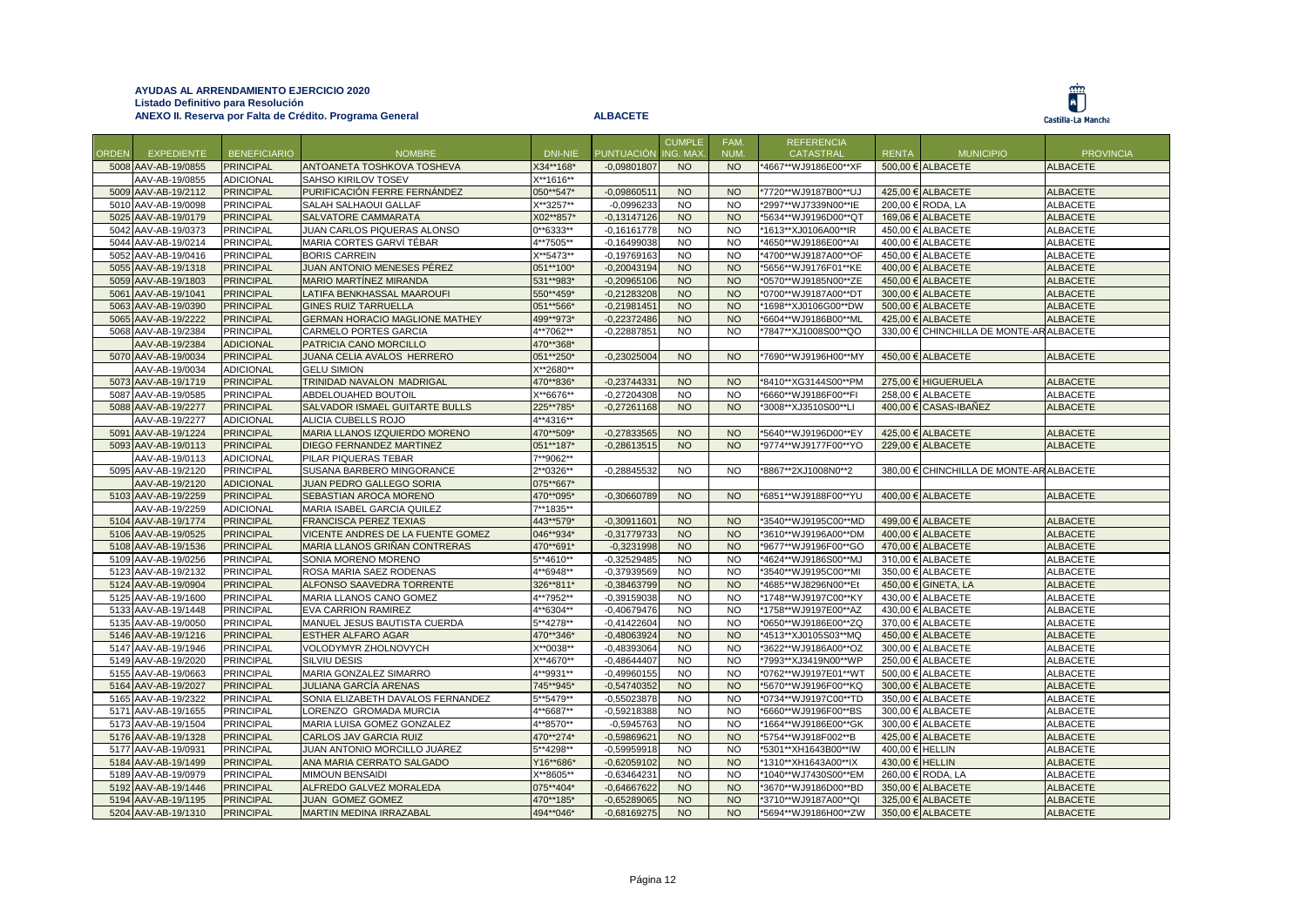Ë